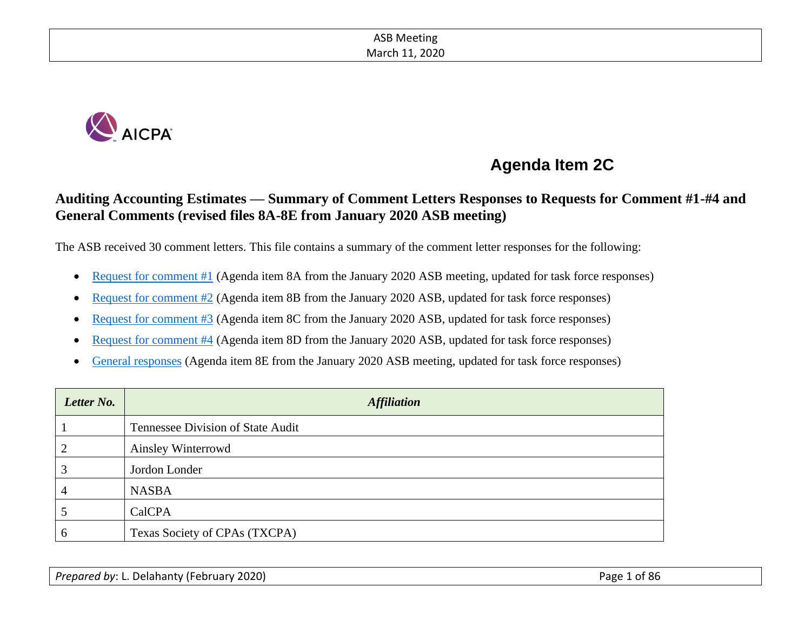

# **Agenda Item 2C**

# **Auditing Accounting Estimates — Summary of Comment Letters Responses to Requests for Comment #1-#4 and General Comments (revised files 8A-8E from January 2020 ASB meeting)**

The ASB received 30 comment letters. This file contains a summary of the comment letter responses for the following:

- [Request for comment #1](#page-2-0) (Agenda item 8A from the January 2020 ASB meeting, updated for task force responses)
- [Request for comment #2](#page-15-0) (Agenda item 8B from the January 2020 ASB, updated for task force responses)
- [Request for comment #3](#page-37-0) (Agenda item 8C from the January 2020 ASB, updated for task force responses)
- [Request for comment #4](#page-54-0) (Agenda item 8D from the January 2020 ASB, updated for task force responses)
- [General responses](#page-64-0) (Agenda item 8E from the January 2020 ASB meeting, updated for task force responses)

| Letter No. | <b>Affiliation</b>                |  |  |
|------------|-----------------------------------|--|--|
|            | Tennessee Division of State Audit |  |  |
| ◠          | Ainsley Winterrowd                |  |  |
| 3          | Jordon Londer                     |  |  |
| 4          | <b>NASBA</b>                      |  |  |
|            | CalCPA                            |  |  |
| 6          | Texas Society of CPAs (TXCPA)     |  |  |

*Prepared by*: L. Delahanty (February 2020) **Prepared by: L. Delahanty (February 2020**)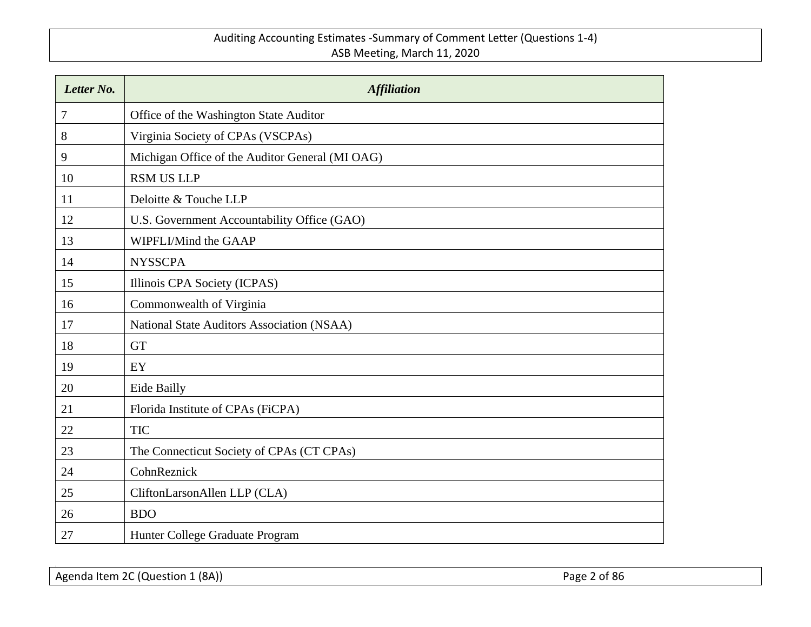| Letter No. | <b>Affiliation</b>                              |
|------------|-------------------------------------------------|
| 7          | Office of the Washington State Auditor          |
| 8          | Virginia Society of CPAs (VSCPAs)               |
| 9          | Michigan Office of the Auditor General (MI OAG) |
| 10         | <b>RSM US LLP</b>                               |
| 11         | Deloitte & Touche LLP                           |
| 12         | U.S. Government Accountability Office (GAO)     |
| 13         | WIPFLI/Mind the GAAP                            |
| 14         | <b>NYSSCPA</b>                                  |
| 15         | Illinois CPA Society (ICPAS)                    |
| 16         | Commonwealth of Virginia                        |
| 17         | National State Auditors Association (NSAA)      |
| 18         | <b>GT</b>                                       |
| 19         | EY                                              |
| 20         | Eide Bailly                                     |
| 21         | Florida Institute of CPAs (FiCPA)               |
| 22         | <b>TIC</b>                                      |
| 23         | The Connecticut Society of CPAs (CT CPAs)       |
| 24         | CohnReznick                                     |
| 25         | CliftonLarsonAllen LLP (CLA)                    |
| 26         | <b>BDO</b>                                      |
| 27         | Hunter College Graduate Program                 |

Agenda Item 2C (Question 1 (8A)) **Page 2 of 86**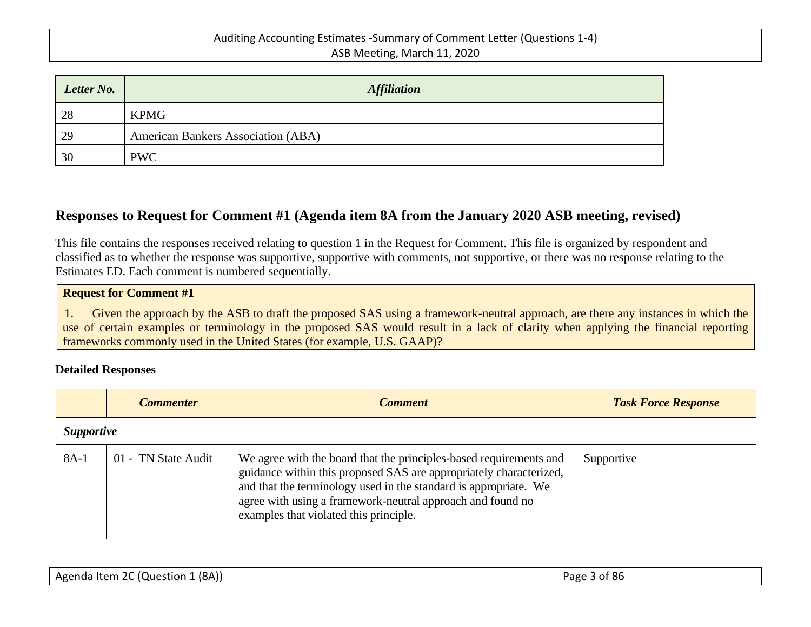| Letter No. | <b>Affiliation</b>                        |
|------------|-------------------------------------------|
| 28         | <b>KPMG</b>                               |
| 29         | <b>American Bankers Association (ABA)</b> |
| 30         | <b>PWC</b>                                |

# <span id="page-2-0"></span>**Responses to Request for Comment #1 (Agenda item 8A from the January 2020 ASB meeting, revised)**

This file contains the responses received relating to question 1 in the Request for Comment. This file is organized by respondent and classified as to whether the response was supportive, supportive with comments, not supportive, or there was no response relating to the Estimates ED. Each comment is numbered sequentially.

#### **Request for Comment #1**

1. Given the approach by the ASB to draft the proposed SAS using a framework-neutral approach, are there any instances in which the use of certain examples or terminology in the proposed SAS would result in a lack of clarity when applying the financial reporting frameworks commonly used in the United States (for example, U.S. GAAP)?

#### **Detailed Responses**

|        | <b>Commenter</b>    | <b>Comment</b>                                                                                                                                                                                                                                                                                                       | <b>Task Force Response</b> |  |  |
|--------|---------------------|----------------------------------------------------------------------------------------------------------------------------------------------------------------------------------------------------------------------------------------------------------------------------------------------------------------------|----------------------------|--|--|
|        | <b>Supportive</b>   |                                                                                                                                                                                                                                                                                                                      |                            |  |  |
| $8A-1$ | 01 - TN State Audit | We agree with the board that the principles-based requirements and<br>guidance within this proposed SAS are appropriately characterized,<br>and that the terminology used in the standard is appropriate. We<br>agree with using a framework-neutral approach and found no<br>examples that violated this principle. | Supportive                 |  |  |

| Agenda Item 2C (Question 1 (8A)) | Page 3 of 86 |
|----------------------------------|--------------|
|----------------------------------|--------------|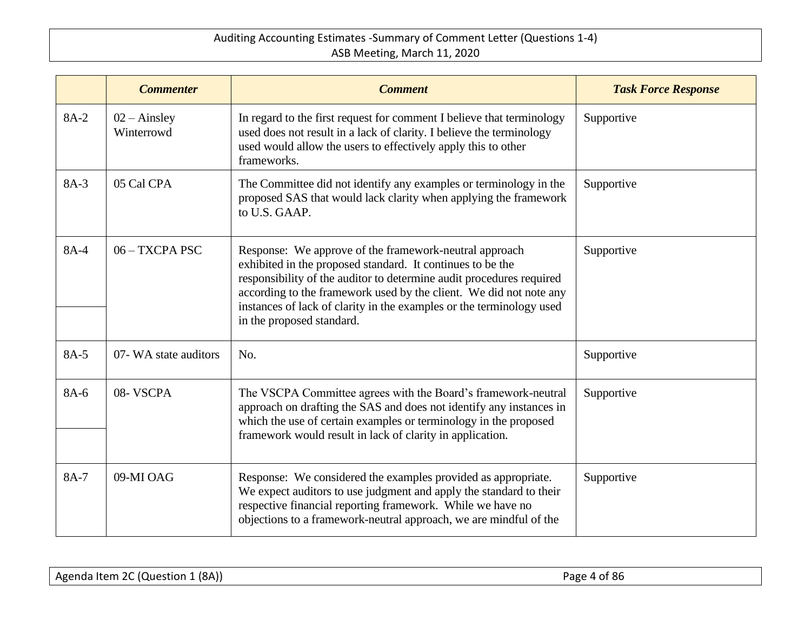|      | <b>Commenter</b>                    | <b>Comment</b>                                                                                                                                                                                                                                                                                                                                                          | <b>Task Force Response</b> |
|------|-------------------------------------|-------------------------------------------------------------------------------------------------------------------------------------------------------------------------------------------------------------------------------------------------------------------------------------------------------------------------------------------------------------------------|----------------------------|
| 8A-2 | $02 - \text{Ainsley}$<br>Winterrowd | In regard to the first request for comment I believe that terminology<br>used does not result in a lack of clarity. I believe the terminology<br>used would allow the users to effectively apply this to other<br>frameworks.                                                                                                                                           | Supportive                 |
| 8A-3 | 05 Cal CPA                          | The Committee did not identify any examples or terminology in the<br>proposed SAS that would lack clarity when applying the framework<br>to U.S. GAAP.                                                                                                                                                                                                                  | Supportive                 |
| 8A-4 | $06 - TXCPA PSC$                    | Response: We approve of the framework-neutral approach<br>exhibited in the proposed standard. It continues to be the<br>responsibility of the auditor to determine audit procedures required<br>according to the framework used by the client. We did not note any<br>instances of lack of clarity in the examples or the terminology used<br>in the proposed standard. | Supportive                 |
| 8A-5 | 07- WA state auditors               | No.                                                                                                                                                                                                                                                                                                                                                                     | Supportive                 |
| 8A-6 | 08-VSCPA                            | The VSCPA Committee agrees with the Board's framework-neutral<br>approach on drafting the SAS and does not identify any instances in<br>which the use of certain examples or terminology in the proposed<br>framework would result in lack of clarity in application.                                                                                                   | Supportive                 |
| 8A-7 | 09-MI OAG                           | Response: We considered the examples provided as appropriate.<br>We expect auditors to use judgment and apply the standard to their<br>respective financial reporting framework. While we have no<br>objections to a framework-neutral approach, we are mindful of the                                                                                                  | Supportive                 |

| Agenda Item 2C (Question 1 (8A))<br>Page 4 of 86 |  |
|--------------------------------------------------|--|
|--------------------------------------------------|--|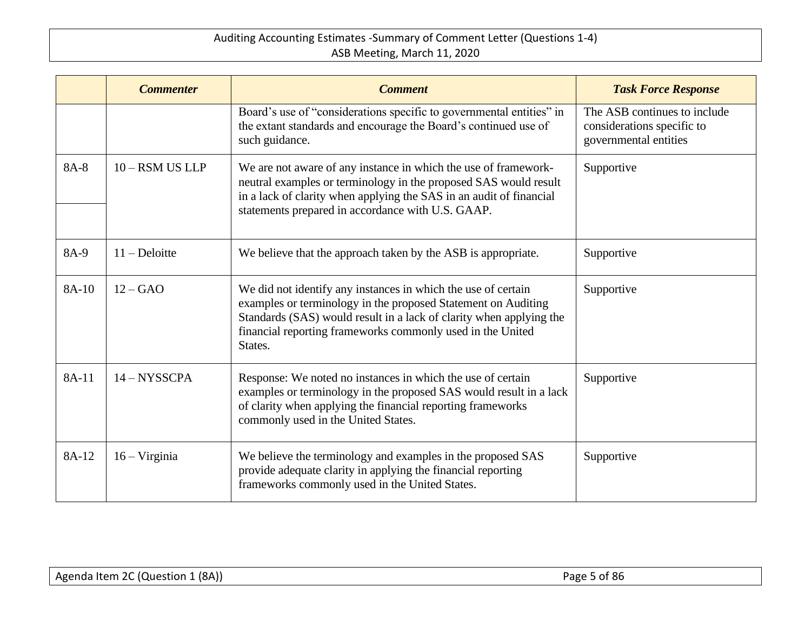|       | <b>Commenter</b>       | <b>Comment</b>                                                                                                                                                                                                                                                                 | <b>Task Force Response</b>                                                          |
|-------|------------------------|--------------------------------------------------------------------------------------------------------------------------------------------------------------------------------------------------------------------------------------------------------------------------------|-------------------------------------------------------------------------------------|
|       |                        | Board's use of "considerations specific to governmental entities" in<br>the extant standards and encourage the Board's continued use of<br>such guidance.                                                                                                                      | The ASB continues to include<br>considerations specific to<br>governmental entities |
| 8A-8  | $10 -$ RSM US LLP      | We are not aware of any instance in which the use of framework-<br>neutral examples or terminology in the proposed SAS would result<br>in a lack of clarity when applying the SAS in an audit of financial<br>statements prepared in accordance with U.S. GAAP.                | Supportive                                                                          |
| 8A-9  | $11 - \text{Deloitte}$ | We believe that the approach taken by the ASB is appropriate.                                                                                                                                                                                                                  | Supportive                                                                          |
| 8A-10 | $12 - GAO$             | We did not identify any instances in which the use of certain<br>examples or terminology in the proposed Statement on Auditing<br>Standards (SAS) would result in a lack of clarity when applying the<br>financial reporting frameworks commonly used in the United<br>States. | Supportive                                                                          |
| 8A-11 | $14 - NYSSCPA$         | Response: We noted no instances in which the use of certain<br>examples or terminology in the proposed SAS would result in a lack<br>of clarity when applying the financial reporting frameworks<br>commonly used in the United States.                                        | Supportive                                                                          |
| 8A-12 | $16 - Virginia$        | We believe the terminology and examples in the proposed SAS<br>provide adequate clarity in applying the financial reporting<br>frameworks commonly used in the United States.                                                                                                  | Supportive                                                                          |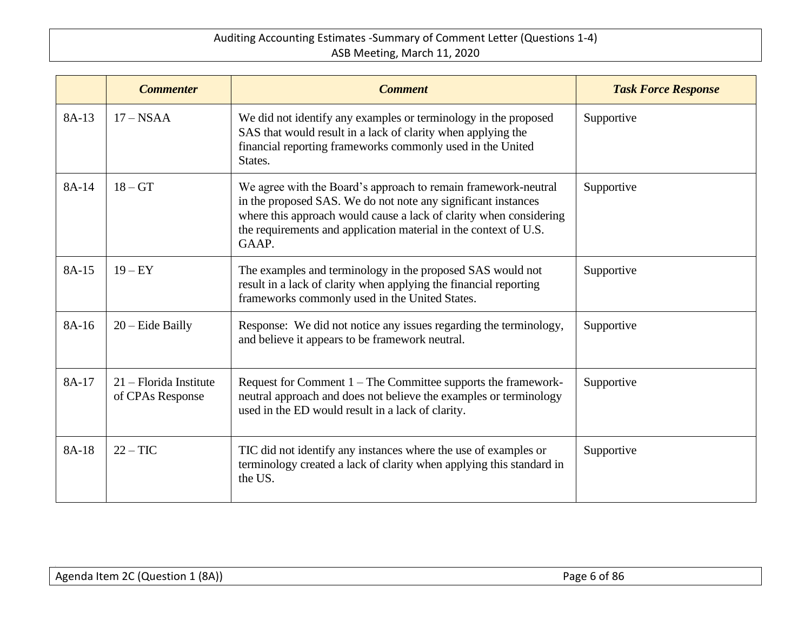|       | <b>Commenter</b>                             | <b>Comment</b>                                                                                                                                                                                                                                                                     | <b>Task Force Response</b> |
|-------|----------------------------------------------|------------------------------------------------------------------------------------------------------------------------------------------------------------------------------------------------------------------------------------------------------------------------------------|----------------------------|
| 8A-13 | $17 - NSAA$                                  | We did not identify any examples or terminology in the proposed<br>SAS that would result in a lack of clarity when applying the<br>financial reporting frameworks commonly used in the United<br>States.                                                                           | Supportive                 |
| 8A-14 | $18 - GT$                                    | We agree with the Board's approach to remain framework-neutral<br>in the proposed SAS. We do not note any significant instances<br>where this approach would cause a lack of clarity when considering<br>the requirements and application material in the context of U.S.<br>GAAP. | Supportive                 |
| 8A-15 | $19 - EY$                                    | The examples and terminology in the proposed SAS would not<br>result in a lack of clarity when applying the financial reporting<br>frameworks commonly used in the United States.                                                                                                  | Supportive                 |
| 8A-16 | $20$ – Eide Bailly                           | Response: We did not notice any issues regarding the terminology,<br>and believe it appears to be framework neutral.                                                                                                                                                               | Supportive                 |
| 8A-17 | $21$ – Florida Institute<br>of CPAs Response | Request for Comment 1 – The Committee supports the framework-<br>neutral approach and does not believe the examples or terminology<br>used in the ED would result in a lack of clarity.                                                                                            | Supportive                 |
| 8A-18 | $22 - TIC$                                   | TIC did not identify any instances where the use of examples or<br>terminology created a lack of clarity when applying this standard in<br>the US.                                                                                                                                 | Supportive                 |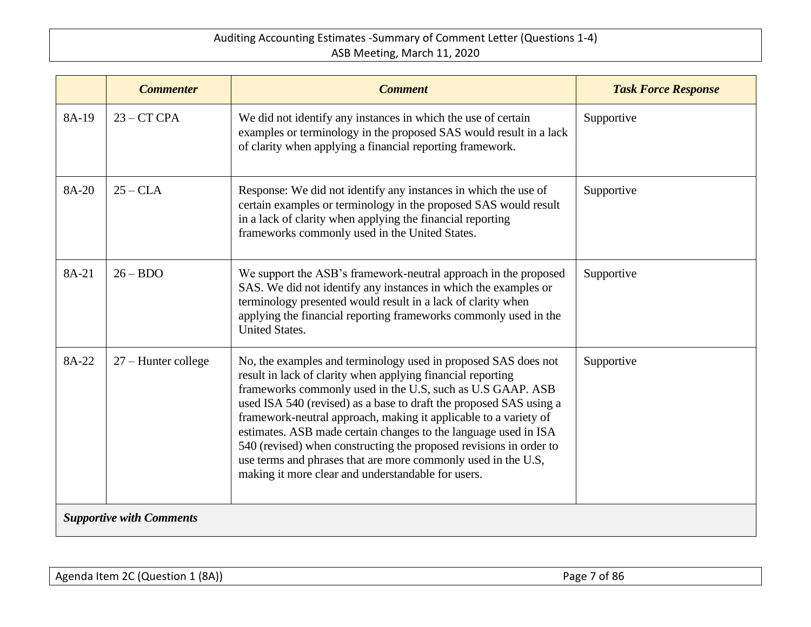|                                 | <b>Commenter</b>      | <b>Comment</b>                                                                                                                                                                                                                                                                                                                                                                                                                                                                                                                                                                                        | <b>Task Force Response</b> |
|---------------------------------|-----------------------|-------------------------------------------------------------------------------------------------------------------------------------------------------------------------------------------------------------------------------------------------------------------------------------------------------------------------------------------------------------------------------------------------------------------------------------------------------------------------------------------------------------------------------------------------------------------------------------------------------|----------------------------|
| 8A-19                           | $23 - CT$ CPA         | We did not identify any instances in which the use of certain<br>examples or terminology in the proposed SAS would result in a lack<br>of clarity when applying a financial reporting framework.                                                                                                                                                                                                                                                                                                                                                                                                      | Supportive                 |
| 8A-20                           | $25 - CLA$            | Response: We did not identify any instances in which the use of<br>certain examples or terminology in the proposed SAS would result<br>in a lack of clarity when applying the financial reporting<br>frameworks commonly used in the United States.                                                                                                                                                                                                                                                                                                                                                   | Supportive                 |
| 8A-21                           | $26 - BDO$            | We support the ASB's framework-neutral approach in the proposed<br>SAS. We did not identify any instances in which the examples or<br>terminology presented would result in a lack of clarity when<br>applying the financial reporting frameworks commonly used in the<br><b>United States.</b>                                                                                                                                                                                                                                                                                                       | Supportive                 |
| 8A-22                           | $27$ – Hunter college | No, the examples and terminology used in proposed SAS does not<br>result in lack of clarity when applying financial reporting<br>frameworks commonly used in the U.S, such as U.S GAAP. ASB<br>used ISA 540 (revised) as a base to draft the proposed SAS using a<br>framework-neutral approach, making it applicable to a variety of<br>estimates. ASB made certain changes to the language used in ISA<br>540 (revised) when constructing the proposed revisions in order to<br>use terms and phrases that are more commonly used in the U.S,<br>making it more clear and understandable for users. | Supportive                 |
| <b>Supportive with Comments</b> |                       |                                                                                                                                                                                                                                                                                                                                                                                                                                                                                                                                                                                                       |                            |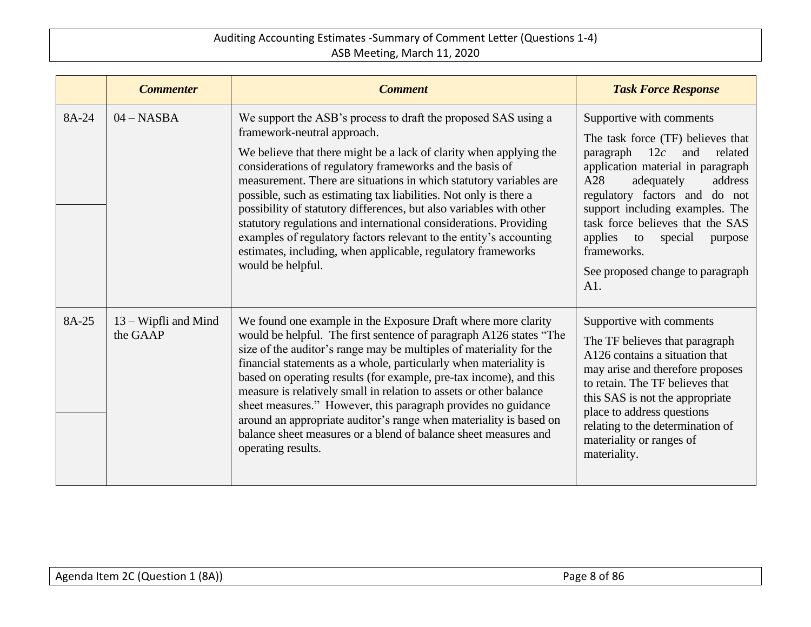|       | <b>Commenter</b>                   | <b>Comment</b>                                                                                                                                                                                                                                                                                                                                                                                                                                                                                                                                                                                                                                                                    | <b>Task Force Response</b>                                                                                                                                                                                                                                                                                                                                                        |
|-------|------------------------------------|-----------------------------------------------------------------------------------------------------------------------------------------------------------------------------------------------------------------------------------------------------------------------------------------------------------------------------------------------------------------------------------------------------------------------------------------------------------------------------------------------------------------------------------------------------------------------------------------------------------------------------------------------------------------------------------|-----------------------------------------------------------------------------------------------------------------------------------------------------------------------------------------------------------------------------------------------------------------------------------------------------------------------------------------------------------------------------------|
| 8A-24 | $04 - NASA$                        | We support the ASB's process to draft the proposed SAS using a<br>framework-neutral approach.<br>We believe that there might be a lack of clarity when applying the<br>considerations of regulatory frameworks and the basis of<br>measurement. There are situations in which statutory variables are<br>possible, such as estimating tax liabilities. Not only is there a<br>possibility of statutory differences, but also variables with other<br>statutory regulations and international considerations. Providing<br>examples of regulatory factors relevant to the entity's accounting<br>estimates, including, when applicable, regulatory frameworks<br>would be helpful. | Supportive with comments<br>The task force (TF) believes that<br>12c<br>related<br>paragraph<br>and<br>application material in paragraph<br>A28<br>adequately<br>address<br>regulatory factors and do not<br>support including examples. The<br>task force believes that the SAS<br>applies<br>special<br>to<br>purpose<br>frameworks.<br>See proposed change to paragraph<br>A1. |
| 8A-25 | $13 - Wipfli$ and Mind<br>the GAAP | We found one example in the Exposure Draft where more clarity<br>would be helpful. The first sentence of paragraph A126 states "The<br>size of the auditor's range may be multiples of materiality for the<br>financial statements as a whole, particularly when materiality is<br>based on operating results (for example, pre-tax income), and this<br>measure is relatively small in relation to assets or other balance<br>sheet measures." However, this paragraph provides no guidance<br>around an appropriate auditor's range when materiality is based on<br>balance sheet measures or a blend of balance sheet measures and<br>operating results.                       | Supportive with comments<br>The TF believes that paragraph<br>A126 contains a situation that<br>may arise and therefore proposes<br>to retain. The TF believes that<br>this SAS is not the appropriate<br>place to address questions<br>relating to the determination of<br>materiality or ranges of<br>materiality.                                                              |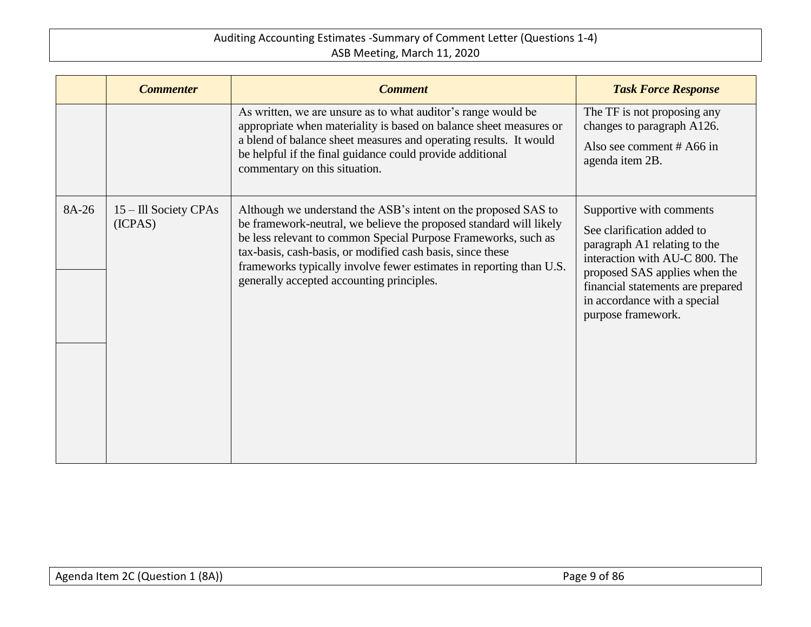|       | <b>Commenter</b>                 | <b>Comment</b>                                                                                                                                                                                                                                                                                                                                                                           | <b>Task Force Response</b>                                                                                                                                                                                                                           |
|-------|----------------------------------|------------------------------------------------------------------------------------------------------------------------------------------------------------------------------------------------------------------------------------------------------------------------------------------------------------------------------------------------------------------------------------------|------------------------------------------------------------------------------------------------------------------------------------------------------------------------------------------------------------------------------------------------------|
|       |                                  | As written, we are unsure as to what auditor's range would be<br>appropriate when materiality is based on balance sheet measures or<br>a blend of balance sheet measures and operating results. It would<br>be helpful if the final guidance could provide additional<br>commentary on this situation.                                                                                   | The TF is not proposing any<br>changes to paragraph A126.<br>Also see comment $#A66$ in<br>agenda item 2B.                                                                                                                                           |
| 8A-26 | 15 – Ill Society CPAs<br>(ICPAS) | Although we understand the ASB's intent on the proposed SAS to<br>be framework-neutral, we believe the proposed standard will likely<br>be less relevant to common Special Purpose Frameworks, such as<br>tax-basis, cash-basis, or modified cash basis, since these<br>frameworks typically involve fewer estimates in reporting than U.S.<br>generally accepted accounting principles. | Supportive with comments<br>See clarification added to<br>paragraph A1 relating to the<br>interaction with AU-C 800. The<br>proposed SAS applies when the<br>financial statements are prepared<br>in accordance with a special<br>purpose framework. |
|       |                                  |                                                                                                                                                                                                                                                                                                                                                                                          |                                                                                                                                                                                                                                                      |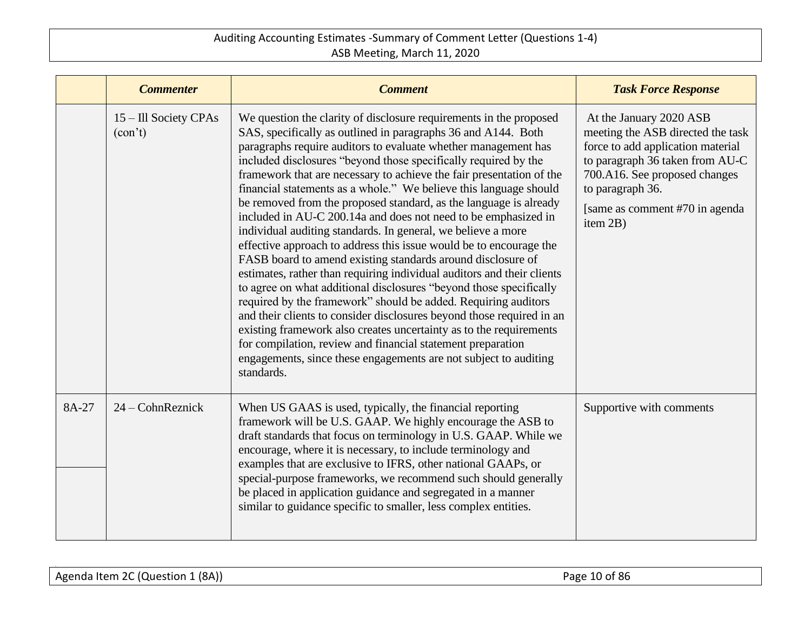|       | <b>Commenter</b>                 | <b>Comment</b>                                                                                                                                                                                                                                                                                                                                                                                                                                                                                                                                                                                                                                                                                                                                                                                                                                                                                                                                                                                                                                                                                                                                                                                                                                                                      | <b>Task Force Response</b>                                                                                                                                                                                                               |
|-------|----------------------------------|-------------------------------------------------------------------------------------------------------------------------------------------------------------------------------------------------------------------------------------------------------------------------------------------------------------------------------------------------------------------------------------------------------------------------------------------------------------------------------------------------------------------------------------------------------------------------------------------------------------------------------------------------------------------------------------------------------------------------------------------------------------------------------------------------------------------------------------------------------------------------------------------------------------------------------------------------------------------------------------------------------------------------------------------------------------------------------------------------------------------------------------------------------------------------------------------------------------------------------------------------------------------------------------|------------------------------------------------------------------------------------------------------------------------------------------------------------------------------------------------------------------------------------------|
|       | 15 – Ill Society CPAs<br>(con't) | We question the clarity of disclosure requirements in the proposed<br>SAS, specifically as outlined in paragraphs 36 and A144. Both<br>paragraphs require auditors to evaluate whether management has<br>included disclosures "beyond those specifically required by the<br>framework that are necessary to achieve the fair presentation of the<br>financial statements as a whole." We believe this language should<br>be removed from the proposed standard, as the language is already<br>included in AU-C 200.14a and does not need to be emphasized in<br>individual auditing standards. In general, we believe a more<br>effective approach to address this issue would be to encourage the<br>FASB board to amend existing standards around disclosure of<br>estimates, rather than requiring individual auditors and their clients<br>to agree on what additional disclosures "beyond those specifically<br>required by the framework" should be added. Requiring auditors<br>and their clients to consider disclosures beyond those required in an<br>existing framework also creates uncertainty as to the requirements<br>for compilation, review and financial statement preparation<br>engagements, since these engagements are not subject to auditing<br>standards. | At the January 2020 ASB<br>meeting the ASB directed the task<br>force to add application material<br>to paragraph 36 taken from AU-C<br>700.A16. See proposed changes<br>to paragraph 36.<br>[same as comment #70 in agenda]<br>item 2B) |
| 8A-27 | $24$ – Cohn Reznick              | When US GAAS is used, typically, the financial reporting<br>framework will be U.S. GAAP. We highly encourage the ASB to<br>draft standards that focus on terminology in U.S. GAAP. While we<br>encourage, where it is necessary, to include terminology and<br>examples that are exclusive to IFRS, other national GAAPs, or<br>special-purpose frameworks, we recommend such should generally<br>be placed in application guidance and segregated in a manner<br>similar to guidance specific to smaller, less complex entities.                                                                                                                                                                                                                                                                                                                                                                                                                                                                                                                                                                                                                                                                                                                                                   | Supportive with comments                                                                                                                                                                                                                 |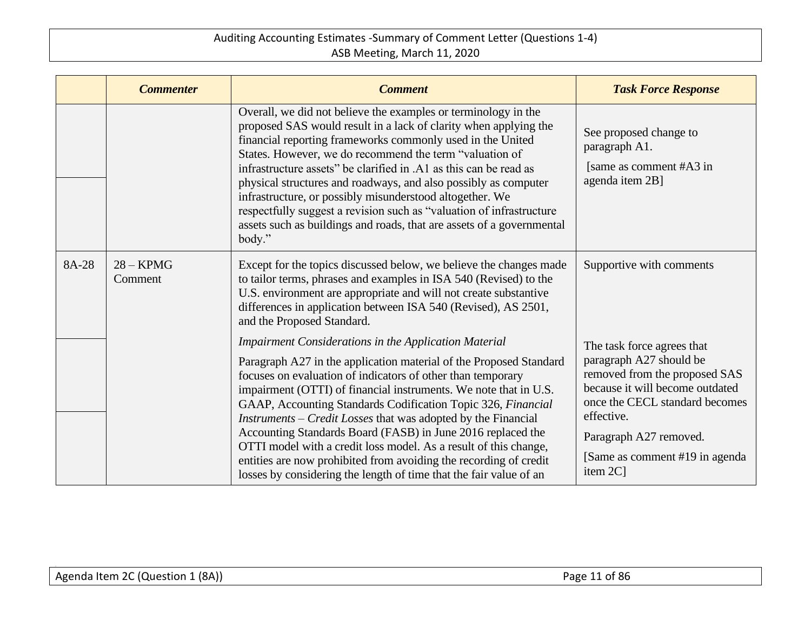|       | <b>Commenter</b>       | <b>Comment</b>                                                                                                                                                                                                                                                                                                                                                                                                                                                                                                                                                                                                                                                                       | <b>Task Force Response</b>                                                                                                                                                                                                                         |
|-------|------------------------|--------------------------------------------------------------------------------------------------------------------------------------------------------------------------------------------------------------------------------------------------------------------------------------------------------------------------------------------------------------------------------------------------------------------------------------------------------------------------------------------------------------------------------------------------------------------------------------------------------------------------------------------------------------------------------------|----------------------------------------------------------------------------------------------------------------------------------------------------------------------------------------------------------------------------------------------------|
|       |                        | Overall, we did not believe the examples or terminology in the<br>proposed SAS would result in a lack of clarity when applying the<br>financial reporting frameworks commonly used in the United<br>States. However, we do recommend the term "valuation of<br>infrastructure assets" be clarified in .A1 as this can be read as<br>physical structures and roadways, and also possibly as computer<br>infrastructure, or possibly misunderstood altogether. We<br>respectfully suggest a revision such as "valuation of infrastructure<br>assets such as buildings and roads, that are assets of a governmental<br>body."                                                           | See proposed change to<br>paragraph A1.<br>[same as comment #A3 in]<br>agenda item 2B]                                                                                                                                                             |
| 8A-28 | $28 - KPMG$<br>Comment | Except for the topics discussed below, we believe the changes made<br>to tailor terms, phrases and examples in ISA 540 (Revised) to the<br>U.S. environment are appropriate and will not create substantive<br>differences in application between ISA 540 (Revised), AS 2501,<br>and the Proposed Standard.                                                                                                                                                                                                                                                                                                                                                                          | Supportive with comments                                                                                                                                                                                                                           |
|       |                        | Impairment Considerations in the Application Material<br>Paragraph A27 in the application material of the Proposed Standard<br>focuses on evaluation of indicators of other than temporary<br>impairment (OTTI) of financial instruments. We note that in U.S.<br>GAAP, Accounting Standards Codification Topic 326, Financial<br><i>Instruments – Credit Losses</i> that was adopted by the Financial<br>Accounting Standards Board (FASB) in June 2016 replaced the<br>OTTI model with a credit loss model. As a result of this change,<br>entities are now prohibited from avoiding the recording of credit<br>losses by considering the length of time that the fair value of an | The task force agrees that<br>paragraph A27 should be<br>removed from the proposed SAS<br>because it will become outdated<br>once the CECL standard becomes<br>effective.<br>Paragraph A27 removed.<br>[Same as comment #19 in agenda]<br>item 2C] |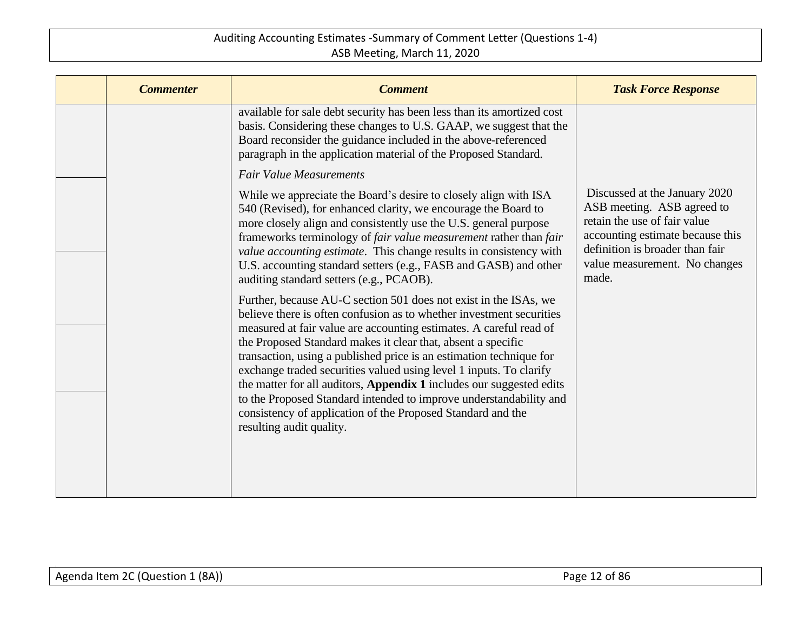| <b>Commenter</b> | <b>Comment</b>                                                                                                                                                                                                                                                                                                                                                                                                                                                                                                                                                                                                                                                       | <b>Task Force Response</b>                                                                                                                                                                                   |
|------------------|----------------------------------------------------------------------------------------------------------------------------------------------------------------------------------------------------------------------------------------------------------------------------------------------------------------------------------------------------------------------------------------------------------------------------------------------------------------------------------------------------------------------------------------------------------------------------------------------------------------------------------------------------------------------|--------------------------------------------------------------------------------------------------------------------------------------------------------------------------------------------------------------|
|                  | available for sale debt security has been less than its amortized cost<br>basis. Considering these changes to U.S. GAAP, we suggest that the<br>Board reconsider the guidance included in the above-referenced<br>paragraph in the application material of the Proposed Standard.                                                                                                                                                                                                                                                                                                                                                                                    |                                                                                                                                                                                                              |
|                  | <b>Fair Value Measurements</b>                                                                                                                                                                                                                                                                                                                                                                                                                                                                                                                                                                                                                                       |                                                                                                                                                                                                              |
|                  | While we appreciate the Board's desire to closely align with ISA<br>540 (Revised), for enhanced clarity, we encourage the Board to<br>more closely align and consistently use the U.S. general purpose<br>frameworks terminology of fair value measurement rather than fair<br>value accounting estimate. This change results in consistency with<br>U.S. accounting standard setters (e.g., FASB and GASB) and other<br>auditing standard setters (e.g., PCAOB).                                                                                                                                                                                                    | Discussed at the January 2020<br>ASB meeting. ASB agreed to<br>retain the use of fair value<br>accounting estimate because this<br>definition is broader than fair<br>value measurement. No changes<br>made. |
|                  | Further, because AU-C section 501 does not exist in the ISAs, we<br>believe there is often confusion as to whether investment securities<br>measured at fair value are accounting estimates. A careful read of<br>the Proposed Standard makes it clear that, absent a specific<br>transaction, using a published price is an estimation technique for<br>exchange traded securities valued using level 1 inputs. To clarify<br>the matter for all auditors, Appendix 1 includes our suggested edits<br>to the Proposed Standard intended to improve understandability and<br>consistency of application of the Proposed Standard and the<br>resulting audit quality. |                                                                                                                                                                                                              |
|                  |                                                                                                                                                                                                                                                                                                                                                                                                                                                                                                                                                                                                                                                                      |                                                                                                                                                                                                              |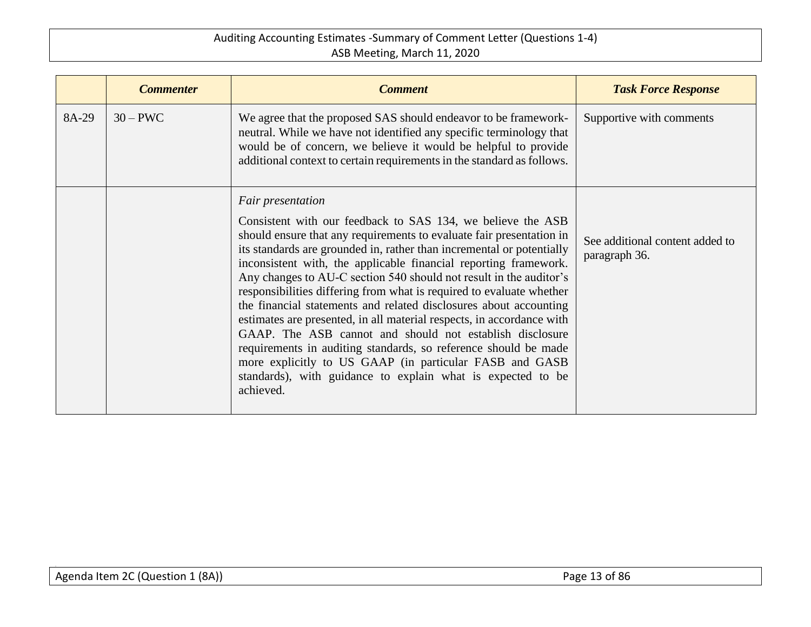|       | <b>Commenter</b> | <b>Comment</b>                                                                                                                                                                                                                                                                                                                                                                                                                                                                                                                                                                                                                                                                                                                   | <b>Task Force Response</b>                       |
|-------|------------------|----------------------------------------------------------------------------------------------------------------------------------------------------------------------------------------------------------------------------------------------------------------------------------------------------------------------------------------------------------------------------------------------------------------------------------------------------------------------------------------------------------------------------------------------------------------------------------------------------------------------------------------------------------------------------------------------------------------------------------|--------------------------------------------------|
| 8A-29 | $30 - PWC$       | We agree that the proposed SAS should endeavor to be framework-<br>neutral. While we have not identified any specific terminology that<br>would be of concern, we believe it would be helpful to provide<br>additional context to certain requirements in the standard as follows.                                                                                                                                                                                                                                                                                                                                                                                                                                               | Supportive with comments                         |
|       |                  | Fair presentation<br>Consistent with our feedback to SAS 134, we believe the ASB<br>should ensure that any requirements to evaluate fair presentation in<br>its standards are grounded in, rather than incremental or potentially<br>inconsistent with, the applicable financial reporting framework.<br>Any changes to AU-C section 540 should not result in the auditor's<br>responsibilities differing from what is required to evaluate whether<br>the financial statements and related disclosures about accounting<br>estimates are presented, in all material respects, in accordance with<br>GAAP. The ASB cannot and should not establish disclosure<br>requirements in auditing standards, so reference should be made | See additional content added to<br>paragraph 36. |
|       |                  | more explicitly to US GAAP (in particular FASB and GASB<br>standards), with guidance to explain what is expected to be<br>achieved.                                                                                                                                                                                                                                                                                                                                                                                                                                                                                                                                                                                              |                                                  |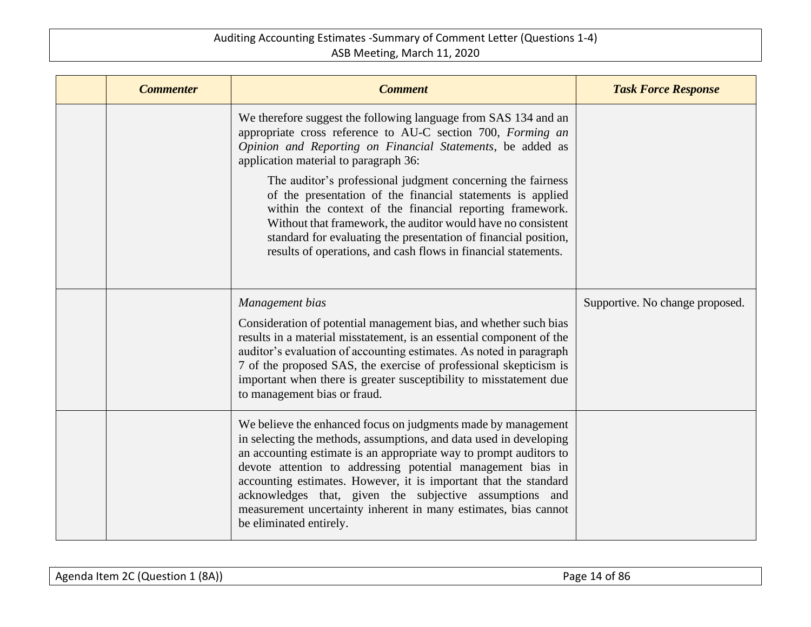| <b>Commenter</b> | <b>Comment</b>                                                                                                                                                                                                                                                                                                                                                                                                                                                                                        | <b>Task Force Response</b>      |
|------------------|-------------------------------------------------------------------------------------------------------------------------------------------------------------------------------------------------------------------------------------------------------------------------------------------------------------------------------------------------------------------------------------------------------------------------------------------------------------------------------------------------------|---------------------------------|
|                  | We therefore suggest the following language from SAS 134 and an<br>appropriate cross reference to AU-C section 700, Forming an<br>Opinion and Reporting on Financial Statements, be added as<br>application material to paragraph 36:                                                                                                                                                                                                                                                                 |                                 |
|                  | The auditor's professional judgment concerning the fairness<br>of the presentation of the financial statements is applied<br>within the context of the financial reporting framework.<br>Without that framework, the auditor would have no consistent<br>standard for evaluating the presentation of financial position,<br>results of operations, and cash flows in financial statements.                                                                                                            |                                 |
|                  | Management bias<br>Consideration of potential management bias, and whether such bias<br>results in a material misstatement, is an essential component of the<br>auditor's evaluation of accounting estimates. As noted in paragraph<br>7 of the proposed SAS, the exercise of professional skepticism is<br>important when there is greater susceptibility to misstatement due<br>to management bias or fraud.                                                                                        | Supportive. No change proposed. |
|                  | We believe the enhanced focus on judgments made by management<br>in selecting the methods, assumptions, and data used in developing<br>an accounting estimate is an appropriate way to prompt auditors to<br>devote attention to addressing potential management bias in<br>accounting estimates. However, it is important that the standard<br>acknowledges that, given the subjective assumptions and<br>measurement uncertainty inherent in many estimates, bias cannot<br>be eliminated entirely. |                                 |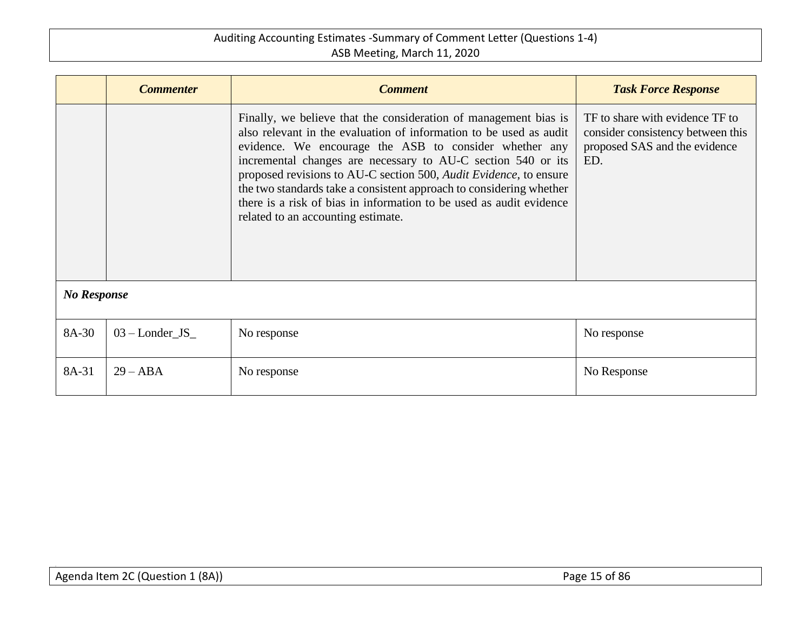|                    | <b>Commenter</b>  | <b>Comment</b>                                                                                                                                                                                                                                                                                                                                                                                                                                                                                                            | <b>Task Force Response</b>                                                                                   |  |
|--------------------|-------------------|---------------------------------------------------------------------------------------------------------------------------------------------------------------------------------------------------------------------------------------------------------------------------------------------------------------------------------------------------------------------------------------------------------------------------------------------------------------------------------------------------------------------------|--------------------------------------------------------------------------------------------------------------|--|
|                    |                   | Finally, we believe that the consideration of management bias is<br>also relevant in the evaluation of information to be used as audit<br>evidence. We encourage the ASB to consider whether any<br>incremental changes are necessary to AU-C section 540 or its<br>proposed revisions to AU-C section 500, Audit Evidence, to ensure<br>the two standards take a consistent approach to considering whether<br>there is a risk of bias in information to be used as audit evidence<br>related to an accounting estimate. | TF to share with evidence TF to<br>consider consistency between this<br>proposed SAS and the evidence<br>ED. |  |
| <b>No Response</b> |                   |                                                                                                                                                                                                                                                                                                                                                                                                                                                                                                                           |                                                                                                              |  |
| 8A-30              | $03$ – Londer_JS_ | No response                                                                                                                                                                                                                                                                                                                                                                                                                                                                                                               | No response                                                                                                  |  |
| 8A-31              | $29 - ABA$        | No response                                                                                                                                                                                                                                                                                                                                                                                                                                                                                                               | No Response                                                                                                  |  |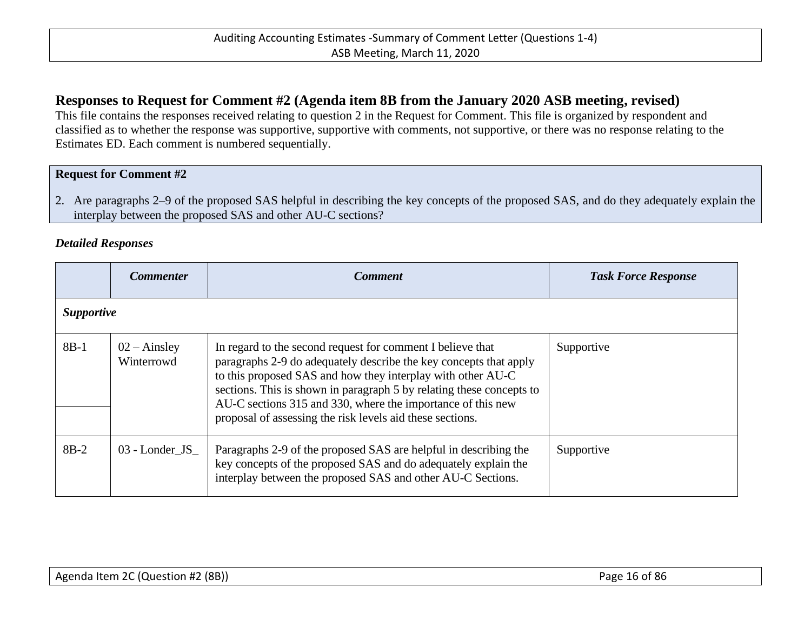# <span id="page-15-0"></span>**Responses to Request for Comment #2 (Agenda item 8B from the January 2020 ASB meeting, revised)**

This file contains the responses received relating to question 2 in the Request for Comment. This file is organized by respondent and classified as to whether the response was supportive, supportive with comments, not supportive, or there was no response relating to the Estimates ED. Each comment is numbered sequentially.

#### **Request for Comment #2**

2. Are paragraphs 2–9 of the proposed SAS helpful in describing the key concepts of the proposed SAS, and do they adequately explain the interplay between the proposed SAS and other AU-C sections?

#### *Detailed Responses*

|        | <b>Commenter</b>                    | <b>Comment</b>                                                                                                                                                                                                                                                                                                                                                                                     | <b>Task Force Response</b> |  |  |
|--------|-------------------------------------|----------------------------------------------------------------------------------------------------------------------------------------------------------------------------------------------------------------------------------------------------------------------------------------------------------------------------------------------------------------------------------------------------|----------------------------|--|--|
|        | <i>Supportive</i>                   |                                                                                                                                                                                                                                                                                                                                                                                                    |                            |  |  |
| $8B-1$ | $02 - \text{Ainsley}$<br>Winterrowd | In regard to the second request for comment I believe that<br>paragraphs 2-9 do adequately describe the key concepts that apply<br>to this proposed SAS and how they interplay with other AU-C<br>sections. This is shown in paragraph 5 by relating these concepts to<br>AU-C sections 315 and 330, where the importance of this new<br>proposal of assessing the risk levels aid these sections. | Supportive                 |  |  |
| $8B-2$ | 03 - Londer_JS_                     | Paragraphs 2-9 of the proposed SAS are helpful in describing the<br>key concepts of the proposed SAS and do adequately explain the<br>interplay between the proposed SAS and other AU-C Sections.                                                                                                                                                                                                  | Supportive                 |  |  |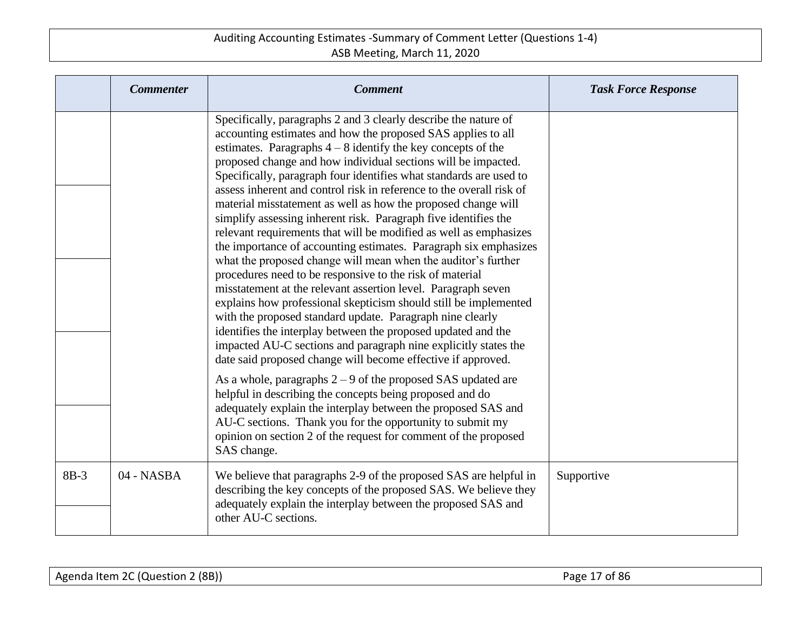|        | <b>Commenter</b> | <b>Comment</b>                                                                                                                                                                                                                                                                                                                                                                                                                                                                                                                                                                                                                                                                                                                                                                                                                                                                                                                                                                                                                                                                                                                                                                                                                 | <b>Task Force Response</b> |
|--------|------------------|--------------------------------------------------------------------------------------------------------------------------------------------------------------------------------------------------------------------------------------------------------------------------------------------------------------------------------------------------------------------------------------------------------------------------------------------------------------------------------------------------------------------------------------------------------------------------------------------------------------------------------------------------------------------------------------------------------------------------------------------------------------------------------------------------------------------------------------------------------------------------------------------------------------------------------------------------------------------------------------------------------------------------------------------------------------------------------------------------------------------------------------------------------------------------------------------------------------------------------|----------------------------|
|        |                  | Specifically, paragraphs 2 and 3 clearly describe the nature of<br>accounting estimates and how the proposed SAS applies to all<br>estimates. Paragraphs $4-8$ identify the key concepts of the<br>proposed change and how individual sections will be impacted.<br>Specifically, paragraph four identifies what standards are used to<br>assess inherent and control risk in reference to the overall risk of<br>material misstatement as well as how the proposed change will<br>simplify assessing inherent risk. Paragraph five identifies the<br>relevant requirements that will be modified as well as emphasizes<br>the importance of accounting estimates. Paragraph six emphasizes<br>what the proposed change will mean when the auditor's further<br>procedures need to be responsive to the risk of material<br>misstatement at the relevant assertion level. Paragraph seven<br>explains how professional skepticism should still be implemented<br>with the proposed standard update. Paragraph nine clearly<br>identifies the interplay between the proposed updated and the<br>impacted AU-C sections and paragraph nine explicitly states the<br>date said proposed change will become effective if approved. |                            |
|        |                  | As a whole, paragraphs $2 - 9$ of the proposed SAS updated are<br>helpful in describing the concepts being proposed and do<br>adequately explain the interplay between the proposed SAS and<br>AU-C sections. Thank you for the opportunity to submit my<br>opinion on section 2 of the request for comment of the proposed<br>SAS change.                                                                                                                                                                                                                                                                                                                                                                                                                                                                                                                                                                                                                                                                                                                                                                                                                                                                                     |                            |
| $8B-3$ | 04 - NASBA       | We believe that paragraphs 2-9 of the proposed SAS are helpful in<br>describing the key concepts of the proposed SAS. We believe they<br>adequately explain the interplay between the proposed SAS and<br>other AU-C sections.                                                                                                                                                                                                                                                                                                                                                                                                                                                                                                                                                                                                                                                                                                                                                                                                                                                                                                                                                                                                 | Supportive                 |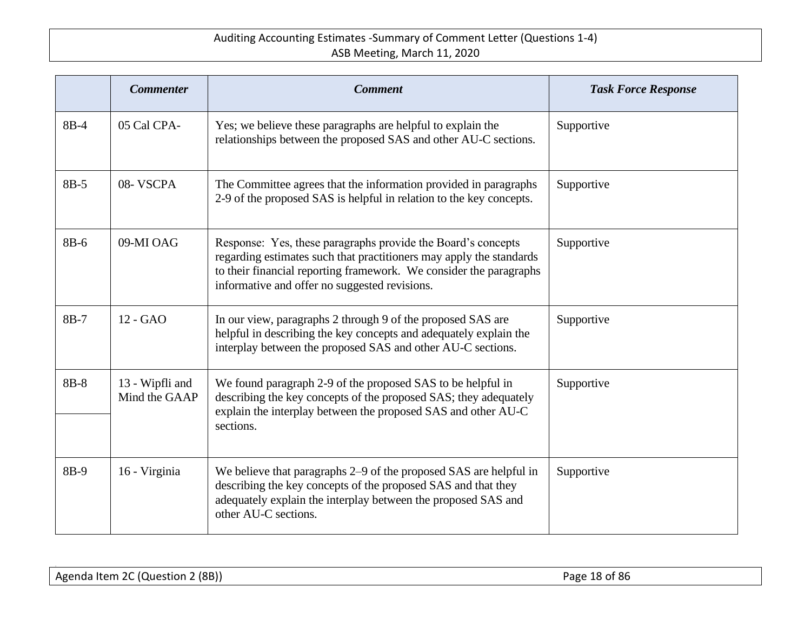|      | <b>Commenter</b>                 | <b>Comment</b>                                                                                                                                                                                                                                             | <b>Task Force Response</b> |
|------|----------------------------------|------------------------------------------------------------------------------------------------------------------------------------------------------------------------------------------------------------------------------------------------------------|----------------------------|
| 8B-4 | 05 Cal CPA-                      | Yes; we believe these paragraphs are helpful to explain the<br>relationships between the proposed SAS and other AU-C sections.                                                                                                                             | Supportive                 |
| 8B-5 | 08-VSCPA                         | The Committee agrees that the information provided in paragraphs<br>2-9 of the proposed SAS is helpful in relation to the key concepts.                                                                                                                    | Supportive                 |
| 8B-6 | 09-MI OAG                        | Response: Yes, these paragraphs provide the Board's concepts<br>regarding estimates such that practitioners may apply the standards<br>to their financial reporting framework. We consider the paragraphs<br>informative and offer no suggested revisions. | Supportive                 |
| 8B-7 | 12 - GAO                         | In our view, paragraphs 2 through 9 of the proposed SAS are<br>helpful in describing the key concepts and adequately explain the<br>interplay between the proposed SAS and other AU-C sections.                                                            | Supportive                 |
| 8B-8 | 13 - Wipfli and<br>Mind the GAAP | We found paragraph 2-9 of the proposed SAS to be helpful in<br>describing the key concepts of the proposed SAS; they adequately<br>explain the interplay between the proposed SAS and other AU-C<br>sections.                                              | Supportive                 |
| 8B-9 | 16 - Virginia                    | We believe that paragraphs 2–9 of the proposed SAS are helpful in<br>describing the key concepts of the proposed SAS and that they<br>adequately explain the interplay between the proposed SAS and<br>other AU-C sections.                                | Supportive                 |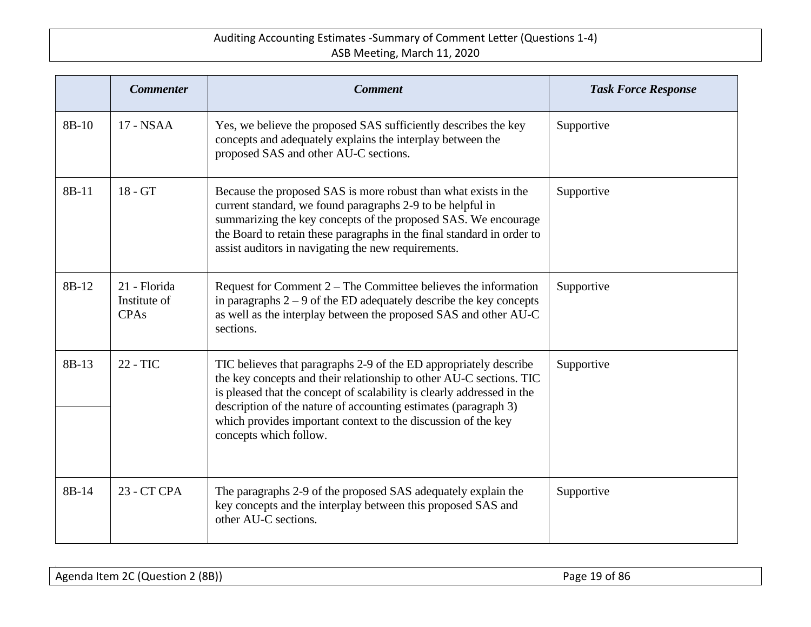|       | <b>Commenter</b>                            | <b>Comment</b>                                                                                                                                                                                                                                                                                                                                                                   | <b>Task Force Response</b> |
|-------|---------------------------------------------|----------------------------------------------------------------------------------------------------------------------------------------------------------------------------------------------------------------------------------------------------------------------------------------------------------------------------------------------------------------------------------|----------------------------|
| 8B-10 | 17 - NSAA                                   | Yes, we believe the proposed SAS sufficiently describes the key<br>concepts and adequately explains the interplay between the<br>proposed SAS and other AU-C sections.                                                                                                                                                                                                           | Supportive                 |
| 8B-11 | 18 - GT                                     | Because the proposed SAS is more robust than what exists in the<br>current standard, we found paragraphs 2-9 to be helpful in<br>summarizing the key concepts of the proposed SAS. We encourage<br>the Board to retain these paragraphs in the final standard in order to<br>assist auditors in navigating the new requirements.                                                 | Supportive                 |
| 8B-12 | 21 - Florida<br>Institute of<br><b>CPAs</b> | Request for Comment $2$ – The Committee believes the information<br>in paragraphs $2 - 9$ of the ED adequately describe the key concepts<br>as well as the interplay between the proposed SAS and other AU-C<br>sections.                                                                                                                                                        | Supportive                 |
| 8B-13 | 22 - TIC                                    | TIC believes that paragraphs 2-9 of the ED appropriately describe<br>the key concepts and their relationship to other AU-C sections. TIC<br>is pleased that the concept of scalability is clearly addressed in the<br>description of the nature of accounting estimates (paragraph 3)<br>which provides important context to the discussion of the key<br>concepts which follow. | Supportive                 |
| 8B-14 | 23 - CT CPA                                 | The paragraphs 2-9 of the proposed SAS adequately explain the<br>key concepts and the interplay between this proposed SAS and<br>other AU-C sections.                                                                                                                                                                                                                            | Supportive                 |

Agenda Item 2C (Question 2 (8B)) Agenda Item 2C (Question 2 (8B)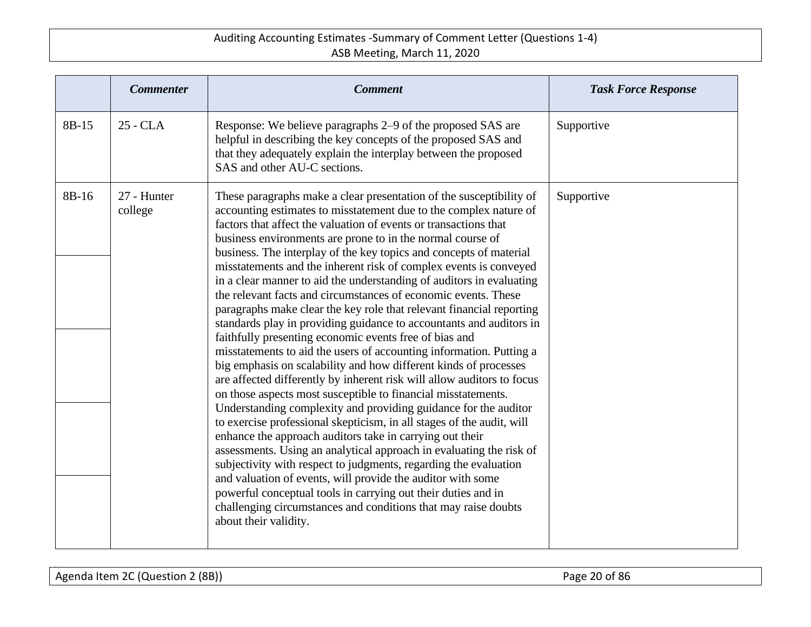|       | <b>Commenter</b>       | <b>Comment</b>                                                                                                                                                                                                                                                                                                                                                                                                                                                                                                                                                                                                                                                                                                                                                                                                                                                                                                                                                                                                                                                                                                                                                                                                                                                                                                                                                                                                                                                                                                                                                                                                                               | <b>Task Force Response</b> |
|-------|------------------------|----------------------------------------------------------------------------------------------------------------------------------------------------------------------------------------------------------------------------------------------------------------------------------------------------------------------------------------------------------------------------------------------------------------------------------------------------------------------------------------------------------------------------------------------------------------------------------------------------------------------------------------------------------------------------------------------------------------------------------------------------------------------------------------------------------------------------------------------------------------------------------------------------------------------------------------------------------------------------------------------------------------------------------------------------------------------------------------------------------------------------------------------------------------------------------------------------------------------------------------------------------------------------------------------------------------------------------------------------------------------------------------------------------------------------------------------------------------------------------------------------------------------------------------------------------------------------------------------------------------------------------------------|----------------------------|
| 8B-15 | 25 - CLA               | Response: We believe paragraphs 2-9 of the proposed SAS are<br>helpful in describing the key concepts of the proposed SAS and<br>that they adequately explain the interplay between the proposed<br>SAS and other AU-C sections.                                                                                                                                                                                                                                                                                                                                                                                                                                                                                                                                                                                                                                                                                                                                                                                                                                                                                                                                                                                                                                                                                                                                                                                                                                                                                                                                                                                                             | Supportive                 |
| 8B-16 | 27 - Hunter<br>college | These paragraphs make a clear presentation of the susceptibility of<br>accounting estimates to misstatement due to the complex nature of<br>factors that affect the valuation of events or transactions that<br>business environments are prone to in the normal course of<br>business. The interplay of the key topics and concepts of material<br>misstatements and the inherent risk of complex events is conveyed<br>in a clear manner to aid the understanding of auditors in evaluating<br>the relevant facts and circumstances of economic events. These<br>paragraphs make clear the key role that relevant financial reporting<br>standards play in providing guidance to accountants and auditors in<br>faithfully presenting economic events free of bias and<br>misstatements to aid the users of accounting information. Putting a<br>big emphasis on scalability and how different kinds of processes<br>are affected differently by inherent risk will allow auditors to focus<br>on those aspects most susceptible to financial misstatements.<br>Understanding complexity and providing guidance for the auditor<br>to exercise professional skepticism, in all stages of the audit, will<br>enhance the approach auditors take in carrying out their<br>assessments. Using an analytical approach in evaluating the risk of<br>subjectivity with respect to judgments, regarding the evaluation<br>and valuation of events, will provide the auditor with some<br>powerful conceptual tools in carrying out their duties and in<br>challenging circumstances and conditions that may raise doubts<br>about their validity. | Supportive                 |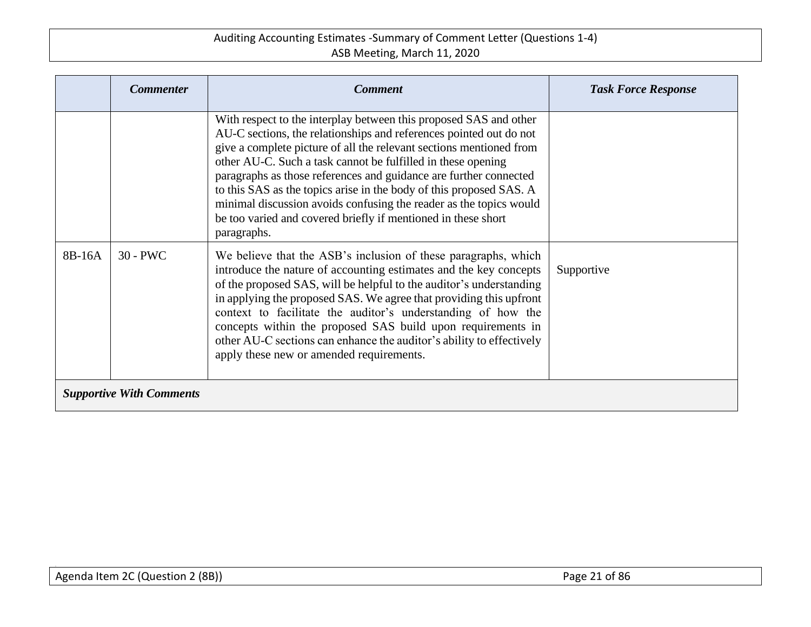|                                 | <b>Commenter</b> | <b>Comment</b>                                                                                                                                                                                                                                                                                                                                                                                                                                                                                                                                                                   | <b>Task Force Response</b> |  |
|---------------------------------|------------------|----------------------------------------------------------------------------------------------------------------------------------------------------------------------------------------------------------------------------------------------------------------------------------------------------------------------------------------------------------------------------------------------------------------------------------------------------------------------------------------------------------------------------------------------------------------------------------|----------------------------|--|
|                                 |                  | With respect to the interplay between this proposed SAS and other<br>AU-C sections, the relationships and references pointed out do not<br>give a complete picture of all the relevant sections mentioned from<br>other AU-C. Such a task cannot be fulfilled in these opening<br>paragraphs as those references and guidance are further connected<br>to this SAS as the topics arise in the body of this proposed SAS. A<br>minimal discussion avoids confusing the reader as the topics would<br>be too varied and covered briefly if mentioned in these short<br>paragraphs. |                            |  |
| 8B-16A                          | $30 - PWC$       | We believe that the ASB's inclusion of these paragraphs, which<br>introduce the nature of accounting estimates and the key concepts<br>of the proposed SAS, will be helpful to the auditor's understanding<br>in applying the proposed SAS. We agree that providing this upfront<br>context to facilitate the auditor's understanding of how the<br>concepts within the proposed SAS build upon requirements in<br>other AU-C sections can enhance the auditor's ability to effectively<br>apply these new or amended requirements.                                              | Supportive                 |  |
| <b>Supportive With Comments</b> |                  |                                                                                                                                                                                                                                                                                                                                                                                                                                                                                                                                                                                  |                            |  |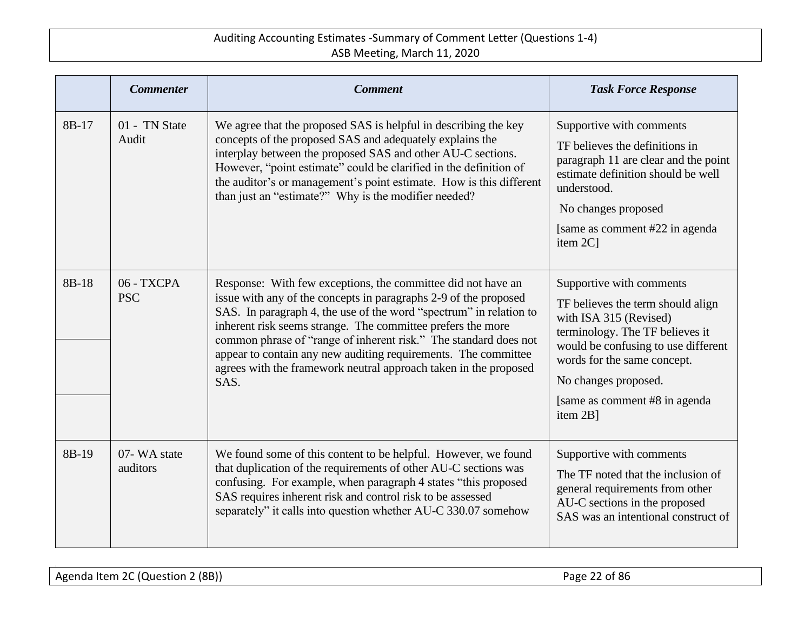|       | <b>Commenter</b>         | <b>Comment</b>                                                                                                                                                                                                                                                                                                                                                                                                                                                                          | <b>Task Force Response</b>                                                                                                                                                                                                                                             |
|-------|--------------------------|-----------------------------------------------------------------------------------------------------------------------------------------------------------------------------------------------------------------------------------------------------------------------------------------------------------------------------------------------------------------------------------------------------------------------------------------------------------------------------------------|------------------------------------------------------------------------------------------------------------------------------------------------------------------------------------------------------------------------------------------------------------------------|
| 8B-17 | 01 - TN State<br>Audit   | We agree that the proposed SAS is helpful in describing the key<br>concepts of the proposed SAS and adequately explains the<br>interplay between the proposed SAS and other AU-C sections.<br>However, "point estimate" could be clarified in the definition of<br>the auditor's or management's point estimate. How is this different<br>than just an "estimate?" Why is the modifier needed?                                                                                          | Supportive with comments<br>TF believes the definitions in<br>paragraph 11 are clear and the point<br>estimate definition should be well<br>understood.<br>No changes proposed<br>[same as comment #22 in agenda]<br>item 2C]                                          |
| 8B-18 | 06 - TXCPA<br><b>PSC</b> | Response: With few exceptions, the committee did not have an<br>issue with any of the concepts in paragraphs 2-9 of the proposed<br>SAS. In paragraph 4, the use of the word "spectrum" in relation to<br>inherent risk seems strange. The committee prefers the more<br>common phrase of "range of inherent risk." The standard does not<br>appear to contain any new auditing requirements. The committee<br>agrees with the framework neutral approach taken in the proposed<br>SAS. | Supportive with comments<br>TF believes the term should align<br>with ISA 315 (Revised)<br>terminology. The TF believes it<br>would be confusing to use different<br>words for the same concept.<br>No changes proposed.<br>[same as comment #8 in agenda]<br>item 2B] |
| 8B-19 | 07-WA state<br>auditors  | We found some of this content to be helpful. However, we found<br>that duplication of the requirements of other AU-C sections was<br>confusing. For example, when paragraph 4 states "this proposed<br>SAS requires inherent risk and control risk to be assessed<br>separately" it calls into question whether AU-C 330.07 somehow                                                                                                                                                     | Supportive with comments<br>The TF noted that the inclusion of<br>general requirements from other<br>AU-C sections in the proposed<br>SAS was an intentional construct of                                                                                              |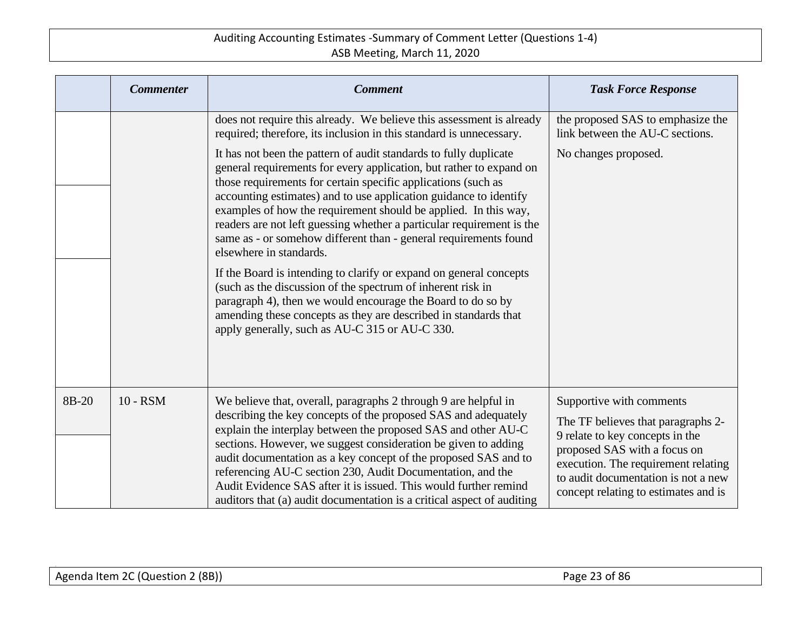|       | <b>Commenter</b> | <b>Comment</b>                                                                                                                                                                                                                                                                                                                                                                                                                                                                                                                                      | <b>Task Force Response</b>                                                                                                                                                                                                                              |
|-------|------------------|-----------------------------------------------------------------------------------------------------------------------------------------------------------------------------------------------------------------------------------------------------------------------------------------------------------------------------------------------------------------------------------------------------------------------------------------------------------------------------------------------------------------------------------------------------|---------------------------------------------------------------------------------------------------------------------------------------------------------------------------------------------------------------------------------------------------------|
|       |                  | does not require this already. We believe this assessment is already<br>required; therefore, its inclusion in this standard is unnecessary.                                                                                                                                                                                                                                                                                                                                                                                                         | the proposed SAS to emphasize the<br>link between the AU-C sections.                                                                                                                                                                                    |
|       |                  | It has not been the pattern of audit standards to fully duplicate<br>general requirements for every application, but rather to expand on<br>those requirements for certain specific applications (such as<br>accounting estimates) and to use application guidance to identify<br>examples of how the requirement should be applied. In this way,<br>readers are not left guessing whether a particular requirement is the<br>same as - or somehow different than - general requirements found<br>elsewhere in standards.                           | No changes proposed.                                                                                                                                                                                                                                    |
|       |                  | If the Board is intending to clarify or expand on general concepts<br>(such as the discussion of the spectrum of inherent risk in<br>paragraph 4), then we would encourage the Board to do so by<br>amending these concepts as they are described in standards that<br>apply generally, such as AU-C 315 or AU-C 330.                                                                                                                                                                                                                               |                                                                                                                                                                                                                                                         |
| 8B-20 | 10 - RSM         | We believe that, overall, paragraphs 2 through 9 are helpful in<br>describing the key concepts of the proposed SAS and adequately<br>explain the interplay between the proposed SAS and other AU-C<br>sections. However, we suggest consideration be given to adding<br>audit documentation as a key concept of the proposed SAS and to<br>referencing AU-C section 230, Audit Documentation, and the<br>Audit Evidence SAS after it is issued. This would further remind<br>auditors that (a) audit documentation is a critical aspect of auditing | Supportive with comments<br>The TF believes that paragraphs 2-<br>9 relate to key concepts in the<br>proposed SAS with a focus on<br>execution. The requirement relating<br>to audit documentation is not a new<br>concept relating to estimates and is |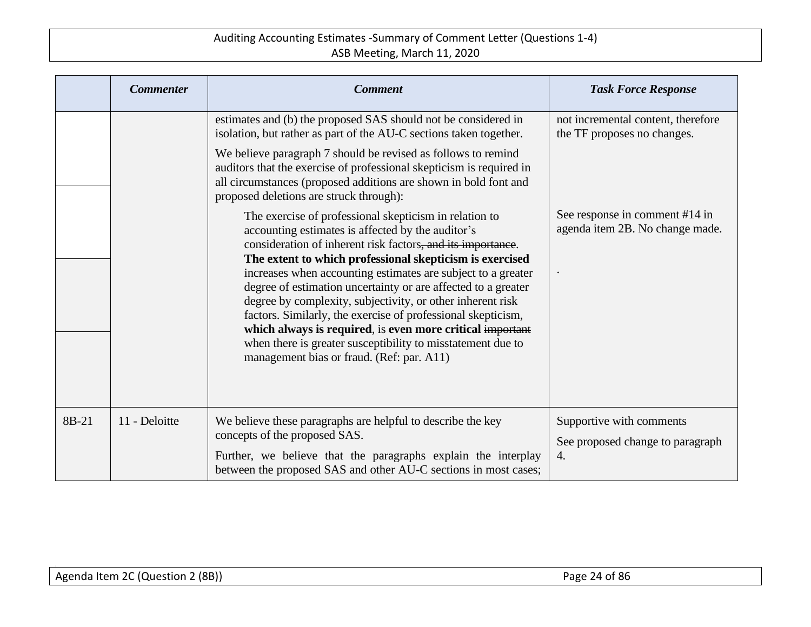|       | <b>Commenter</b> | <b>Comment</b>                                                                                                                                                                                                                                                                                                                                                                                                                                                                                                                                                                                                                                                                 | <b>Task Force Response</b>                                         |
|-------|------------------|--------------------------------------------------------------------------------------------------------------------------------------------------------------------------------------------------------------------------------------------------------------------------------------------------------------------------------------------------------------------------------------------------------------------------------------------------------------------------------------------------------------------------------------------------------------------------------------------------------------------------------------------------------------------------------|--------------------------------------------------------------------|
|       |                  | estimates and (b) the proposed SAS should not be considered in<br>isolation, but rather as part of the AU-C sections taken together.<br>We believe paragraph 7 should be revised as follows to remind<br>auditors that the exercise of professional skepticism is required in<br>all circumstances (proposed additions are shown in bold font and<br>proposed deletions are struck through):                                                                                                                                                                                                                                                                                   | not incremental content, therefore<br>the TF proposes no changes.  |
|       |                  | The exercise of professional skepticism in relation to<br>accounting estimates is affected by the auditor's<br>consideration of inherent risk factors, and its importance.<br>The extent to which professional skepticism is exercised<br>increases when accounting estimates are subject to a greater<br>degree of estimation uncertainty or are affected to a greater<br>degree by complexity, subjectivity, or other inherent risk<br>factors. Similarly, the exercise of professional skepticism,<br>which always is required, is even more critical important<br>when there is greater susceptibility to misstatement due to<br>management bias or fraud. (Ref: par. A11) | See response in comment #14 in<br>agenda item 2B. No change made.  |
| 8B-21 | 11 - Deloitte    | We believe these paragraphs are helpful to describe the key<br>concepts of the proposed SAS.<br>Further, we believe that the paragraphs explain the interplay<br>between the proposed SAS and other AU-C sections in most cases;                                                                                                                                                                                                                                                                                                                                                                                                                                               | Supportive with comments<br>See proposed change to paragraph<br>4. |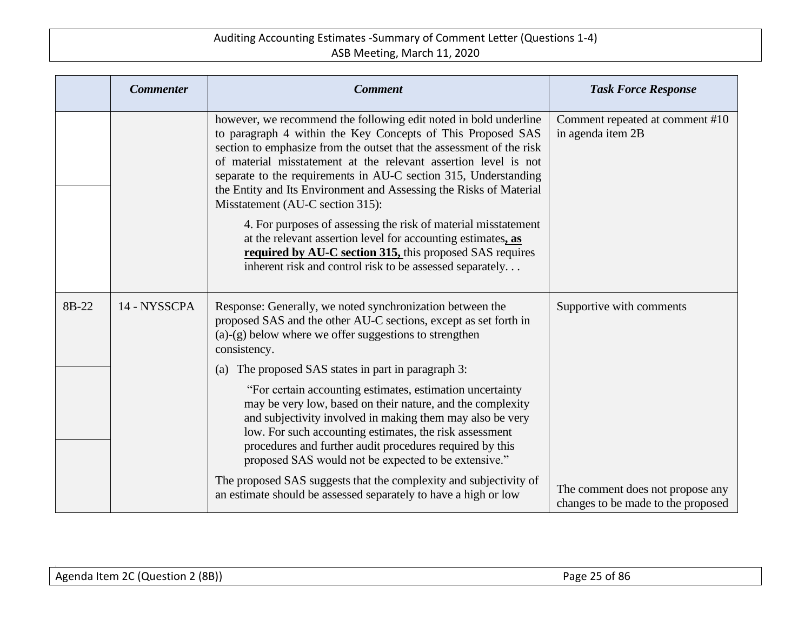|       | <b>Commenter</b> | <b>Comment</b>                                                                                                                                                                                                                                                                                                                                                                                                                                                                                                                                                                                                                                                                                                    | <b>Task Force Response</b>                                             |
|-------|------------------|-------------------------------------------------------------------------------------------------------------------------------------------------------------------------------------------------------------------------------------------------------------------------------------------------------------------------------------------------------------------------------------------------------------------------------------------------------------------------------------------------------------------------------------------------------------------------------------------------------------------------------------------------------------------------------------------------------------------|------------------------------------------------------------------------|
|       |                  | however, we recommend the following edit noted in bold underline<br>to paragraph 4 within the Key Concepts of This Proposed SAS<br>section to emphasize from the outset that the assessment of the risk<br>of material misstatement at the relevant assertion level is not<br>separate to the requirements in AU-C section 315, Understanding<br>the Entity and Its Environment and Assessing the Risks of Material<br>Misstatement (AU-C section 315):<br>4. For purposes of assessing the risk of material misstatement<br>at the relevant assertion level for accounting estimates, as<br>required by AU-C section 315, this proposed SAS requires<br>inherent risk and control risk to be assessed separately | Comment repeated at comment #10<br>in agenda item 2B                   |
| 8B-22 | 14 - NYSSCPA     | Response: Generally, we noted synchronization between the<br>proposed SAS and the other AU-C sections, except as set forth in<br>$(a)-(g)$ below where we offer suggestions to strengthen<br>consistency.                                                                                                                                                                                                                                                                                                                                                                                                                                                                                                         | Supportive with comments                                               |
|       |                  | The proposed SAS states in part in paragraph 3:<br>(a)                                                                                                                                                                                                                                                                                                                                                                                                                                                                                                                                                                                                                                                            |                                                                        |
|       |                  | "For certain accounting estimates, estimation uncertainty<br>may be very low, based on their nature, and the complexity<br>and subjectivity involved in making them may also be very<br>low. For such accounting estimates, the risk assessment<br>procedures and further audit procedures required by this<br>proposed SAS would not be expected to be extensive."                                                                                                                                                                                                                                                                                                                                               |                                                                        |
|       |                  | The proposed SAS suggests that the complexity and subjectivity of<br>an estimate should be assessed separately to have a high or low                                                                                                                                                                                                                                                                                                                                                                                                                                                                                                                                                                              | The comment does not propose any<br>changes to be made to the proposed |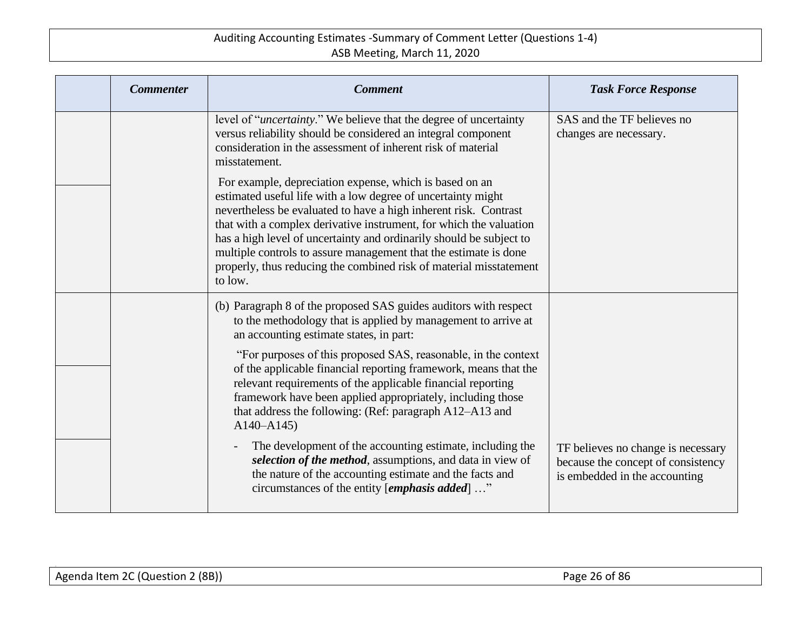| <b>Commenter</b> | <b>Comment</b>                                                                                                                                                                                                                                                                                                                                                                                                                                                                                | <b>Task Force Response</b>                                                                                |
|------------------|-----------------------------------------------------------------------------------------------------------------------------------------------------------------------------------------------------------------------------------------------------------------------------------------------------------------------------------------------------------------------------------------------------------------------------------------------------------------------------------------------|-----------------------------------------------------------------------------------------------------------|
|                  | level of " <i>uncertainty</i> ." We believe that the degree of uncertainty<br>versus reliability should be considered an integral component<br>consideration in the assessment of inherent risk of material<br>misstatement.                                                                                                                                                                                                                                                                  | SAS and the TF believes no<br>changes are necessary.                                                      |
|                  | For example, depreciation expense, which is based on an<br>estimated useful life with a low degree of uncertainty might<br>nevertheless be evaluated to have a high inherent risk. Contrast<br>that with a complex derivative instrument, for which the valuation<br>has a high level of uncertainty and ordinarily should be subject to<br>multiple controls to assure management that the estimate is done<br>properly, thus reducing the combined risk of material misstatement<br>to low. |                                                                                                           |
|                  | (b) Paragraph 8 of the proposed SAS guides auditors with respect<br>to the methodology that is applied by management to arrive at<br>an accounting estimate states, in part:                                                                                                                                                                                                                                                                                                                  |                                                                                                           |
|                  | "For purposes of this proposed SAS, reasonable, in the context<br>of the applicable financial reporting framework, means that the<br>relevant requirements of the applicable financial reporting<br>framework have been applied appropriately, including those<br>that address the following: (Ref: paragraph A12–A13 and<br>$A140 - A145$                                                                                                                                                    |                                                                                                           |
|                  | The development of the accounting estimate, including the<br>selection of the method, assumptions, and data in view of<br>the nature of the accounting estimate and the facts and<br>circumstances of the entity [emphasis added] "                                                                                                                                                                                                                                                           | TF believes no change is necessary<br>because the concept of consistency<br>is embedded in the accounting |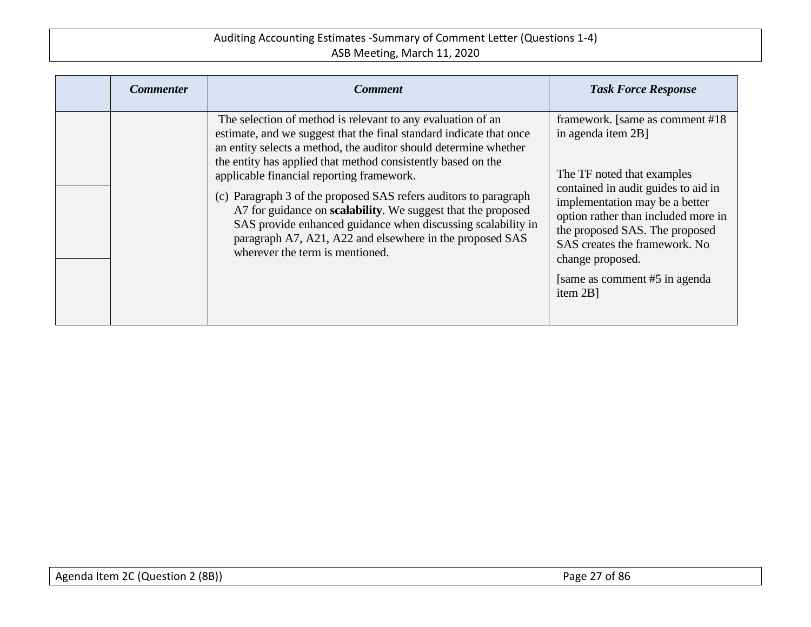| <b>Commenter</b> | <b>Comment</b>                                                                                                                                                                                                                                                                                                      | <b>Task Force Response</b>                                                                                                                                                                                                                        |
|------------------|---------------------------------------------------------------------------------------------------------------------------------------------------------------------------------------------------------------------------------------------------------------------------------------------------------------------|---------------------------------------------------------------------------------------------------------------------------------------------------------------------------------------------------------------------------------------------------|
|                  | The selection of method is relevant to any evaluation of an<br>estimate, and we suggest that the final standard indicate that once<br>an entity selects a method, the auditor should determine whether<br>the entity has applied that method consistently based on the<br>applicable financial reporting framework. | framework. [same as comment #18]<br>in agenda item 2B]<br>The TF noted that examples                                                                                                                                                              |
|                  | (c) Paragraph 3 of the proposed SAS refers auditors to paragraph<br>A7 for guidance on <b>scalability</b> . We suggest that the proposed<br>SAS provide enhanced guidance when discussing scalability in<br>paragraph A7, A21, A22 and elsewhere in the proposed SAS<br>wherever the term is mentioned.             | contained in audit guides to aid in<br>implementation may be a better<br>option rather than included more in<br>the proposed SAS. The proposed<br>SAS creates the framework. No<br>change proposed.<br>[same as comment #5 in agenda]<br>item 2B] |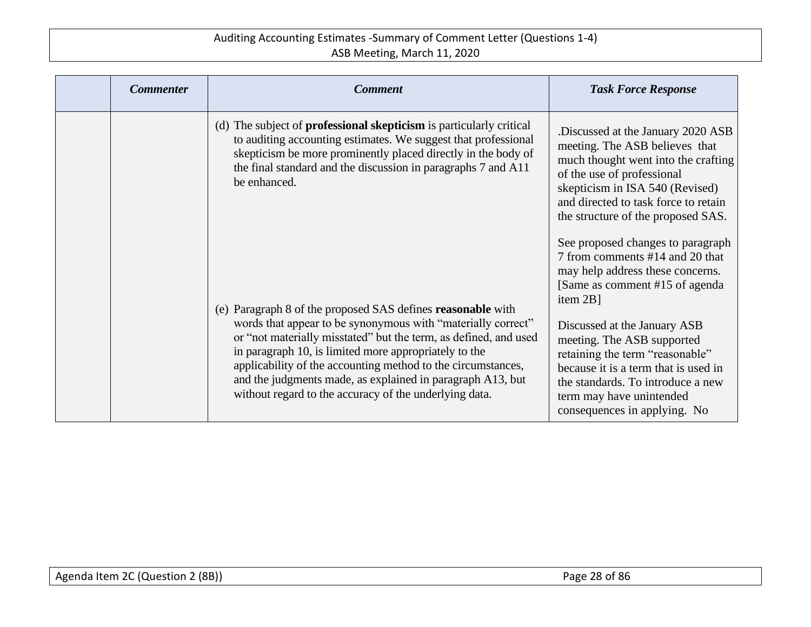| <b>Commenter</b> | <b>Comment</b>                                                                                                                                                                                                                                                                                                                                                                    | <b>Task Force Response</b>                                                                                                                                                                                                                                 |
|------------------|-----------------------------------------------------------------------------------------------------------------------------------------------------------------------------------------------------------------------------------------------------------------------------------------------------------------------------------------------------------------------------------|------------------------------------------------------------------------------------------------------------------------------------------------------------------------------------------------------------------------------------------------------------|
|                  | (d) The subject of <b>professional skepticism</b> is particularly critical<br>to auditing accounting estimates. We suggest that professional<br>skepticism be more prominently placed directly in the body of<br>the final standard and the discussion in paragraphs 7 and A11<br>be enhanced.                                                                                    | Discussed at the January 2020 ASB.<br>meeting. The ASB believes that<br>much thought went into the crafting<br>of the use of professional<br>skepticism in ISA 540 (Revised)<br>and directed to task force to retain<br>the structure of the proposed SAS. |
|                  | (e) Paragraph 8 of the proposed SAS defines <b>reasonable</b> with                                                                                                                                                                                                                                                                                                                | See proposed changes to paragraph<br>7 from comments #14 and 20 that<br>may help address these concerns.<br>[Same as comment #15 of agenda]<br>item 2B]                                                                                                    |
|                  | words that appear to be synonymous with "materially correct"<br>or "not materially misstated" but the term, as defined, and used<br>in paragraph 10, is limited more appropriately to the<br>applicability of the accounting method to the circumstances,<br>and the judgments made, as explained in paragraph A13, but<br>without regard to the accuracy of the underlying data. | Discussed at the January ASB<br>meeting. The ASB supported<br>retaining the term "reasonable"<br>because it is a term that is used in<br>the standards. To introduce a new<br>term may have unintended<br>consequences in applying. No                     |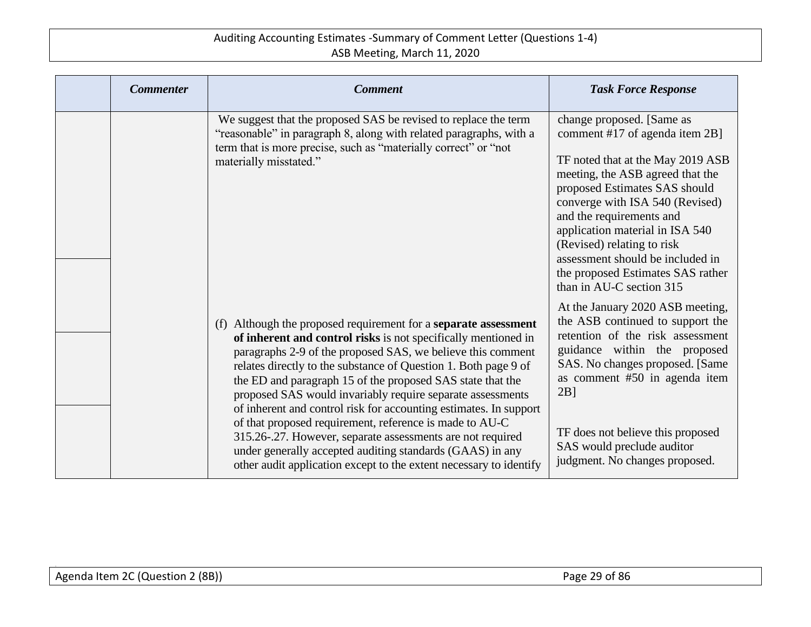| <b>Commenter</b> | <b>Comment</b>                                                                                                                                                                                                                                                                                                                                                                                                                                                                                                                                                                                                                                                                                                                          | <b>Task Force Response</b>                                                                                                                                                                                                                                                                                                                                                                                 |
|------------------|-----------------------------------------------------------------------------------------------------------------------------------------------------------------------------------------------------------------------------------------------------------------------------------------------------------------------------------------------------------------------------------------------------------------------------------------------------------------------------------------------------------------------------------------------------------------------------------------------------------------------------------------------------------------------------------------------------------------------------------------|------------------------------------------------------------------------------------------------------------------------------------------------------------------------------------------------------------------------------------------------------------------------------------------------------------------------------------------------------------------------------------------------------------|
|                  | We suggest that the proposed SAS be revised to replace the term<br>"reasonable" in paragraph 8, along with related paragraphs, with a<br>term that is more precise, such as "materially correct" or "not<br>materially misstated."                                                                                                                                                                                                                                                                                                                                                                                                                                                                                                      | change proposed. [Same as<br>comment #17 of agenda item 2B]<br>TF noted that at the May 2019 ASB<br>meeting, the ASB agreed that the<br>proposed Estimates SAS should<br>converge with ISA 540 (Revised)<br>and the requirements and<br>application material in ISA 540<br>(Revised) relating to risk<br>assessment should be included in<br>the proposed Estimates SAS rather<br>than in AU-C section 315 |
|                  | (f) Although the proposed requirement for a <b>separate assessment</b><br>of inherent and control risks is not specifically mentioned in<br>paragraphs 2-9 of the proposed SAS, we believe this comment<br>relates directly to the substance of Question 1. Both page 9 of<br>the ED and paragraph 15 of the proposed SAS state that the<br>proposed SAS would invariably require separate assessments<br>of inherent and control risk for accounting estimates. In support<br>of that proposed requirement, reference is made to AU-C<br>315.26-.27. However, separate assessments are not required<br>under generally accepted auditing standards (GAAS) in any<br>other audit application except to the extent necessary to identify | At the January 2020 ASB meeting,<br>the ASB continued to support the<br>retention of the risk assessment<br>guidance within the proposed<br>SAS. No changes proposed. [Same<br>as comment #50 in agenda item<br>$2B$ ]<br>TF does not believe this proposed<br>SAS would preclude auditor<br>judgment. No changes proposed.                                                                                |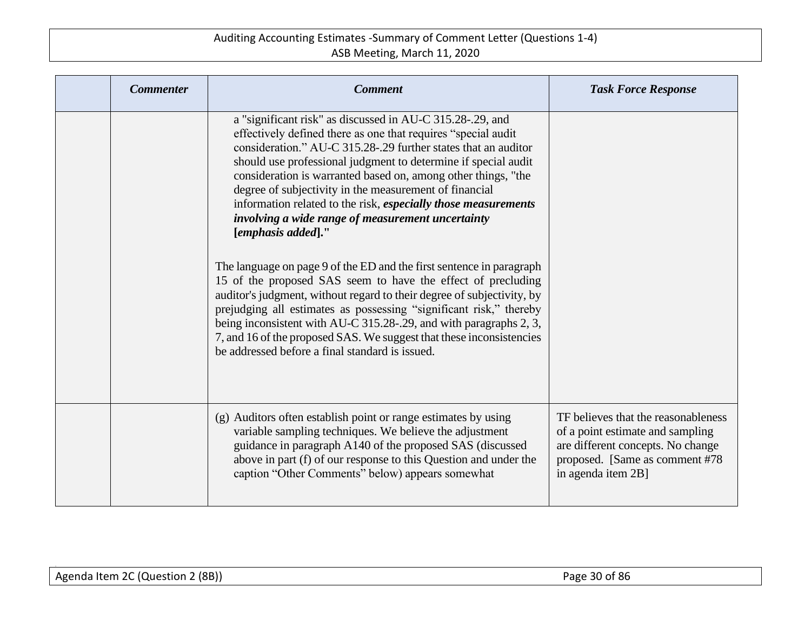| <b>Commenter</b> | <b>Comment</b>                                                                                                                                                                                                                                                                                                                                                                                                                                                                                                                                                                                                                                                                                                                                                                                                                                                                                                                                                                                                                  | <b>Task Force Response</b>                                                                                                                                           |
|------------------|---------------------------------------------------------------------------------------------------------------------------------------------------------------------------------------------------------------------------------------------------------------------------------------------------------------------------------------------------------------------------------------------------------------------------------------------------------------------------------------------------------------------------------------------------------------------------------------------------------------------------------------------------------------------------------------------------------------------------------------------------------------------------------------------------------------------------------------------------------------------------------------------------------------------------------------------------------------------------------------------------------------------------------|----------------------------------------------------------------------------------------------------------------------------------------------------------------------|
|                  | a "significant risk" as discussed in AU-C 315.28-.29, and<br>effectively defined there as one that requires "special audit<br>consideration." AU-C 315.28-.29 further states that an auditor<br>should use professional judgment to determine if special audit<br>consideration is warranted based on, among other things, "the<br>degree of subjectivity in the measurement of financial<br>information related to the risk, especially those measurements<br>involving a wide range of measurement uncertainty<br>[emphasis added]."<br>The language on page 9 of the ED and the first sentence in paragraph<br>15 of the proposed SAS seem to have the effect of precluding<br>auditor's judgment, without regard to their degree of subjectivity, by<br>prejudging all estimates as possessing "significant risk," thereby<br>being inconsistent with AU-C 315.28-.29, and with paragraphs 2, 3,<br>7, and 16 of the proposed SAS. We suggest that these inconsistencies<br>be addressed before a final standard is issued. |                                                                                                                                                                      |
|                  | (g) Auditors often establish point or range estimates by using<br>variable sampling techniques. We believe the adjustment<br>guidance in paragraph A140 of the proposed SAS (discussed<br>above in part (f) of our response to this Question and under the<br>caption "Other Comments" below) appears somewhat                                                                                                                                                                                                                                                                                                                                                                                                                                                                                                                                                                                                                                                                                                                  | TF believes that the reasonableness<br>of a point estimate and sampling<br>are different concepts. No change<br>proposed. [Same as comment #78<br>in agenda item 2B] |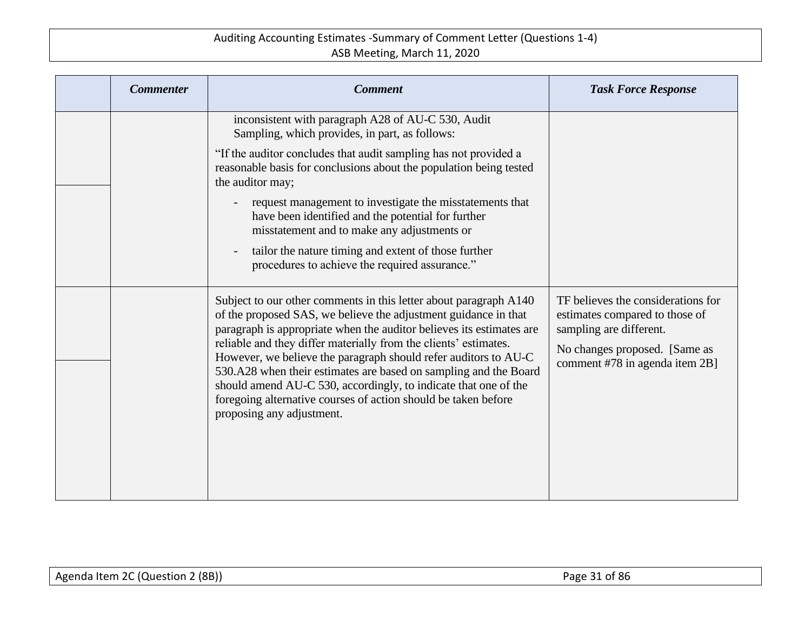| <b>Commenter</b> | <b>Comment</b>                                                                                                                                                                                                                                                                                                                                                                                                                                                                                                                                                                            | <b>Task Force Response</b>                                                                                                                                         |
|------------------|-------------------------------------------------------------------------------------------------------------------------------------------------------------------------------------------------------------------------------------------------------------------------------------------------------------------------------------------------------------------------------------------------------------------------------------------------------------------------------------------------------------------------------------------------------------------------------------------|--------------------------------------------------------------------------------------------------------------------------------------------------------------------|
|                  | inconsistent with paragraph A28 of AU-C 530, Audit<br>Sampling, which provides, in part, as follows:<br>"If the auditor concludes that audit sampling has not provided a<br>reasonable basis for conclusions about the population being tested<br>the auditor may;<br>request management to investigate the misstatements that<br>have been identified and the potential for further<br>misstatement and to make any adjustments or                                                                                                                                                       |                                                                                                                                                                    |
|                  | tailor the nature timing and extent of those further<br>procedures to achieve the required assurance."                                                                                                                                                                                                                                                                                                                                                                                                                                                                                    |                                                                                                                                                                    |
|                  | Subject to our other comments in this letter about paragraph A140<br>of the proposed SAS, we believe the adjustment guidance in that<br>paragraph is appropriate when the auditor believes its estimates are<br>reliable and they differ materially from the clients' estimates.<br>However, we believe the paragraph should refer auditors to AU-C<br>530.A28 when their estimates are based on sampling and the Board<br>should amend AU-C 530, accordingly, to indicate that one of the<br>foregoing alternative courses of action should be taken before<br>proposing any adjustment. | TF believes the considerations for<br>estimates compared to those of<br>sampling are different.<br>No changes proposed. [Same as<br>comment #78 in agenda item 2B] |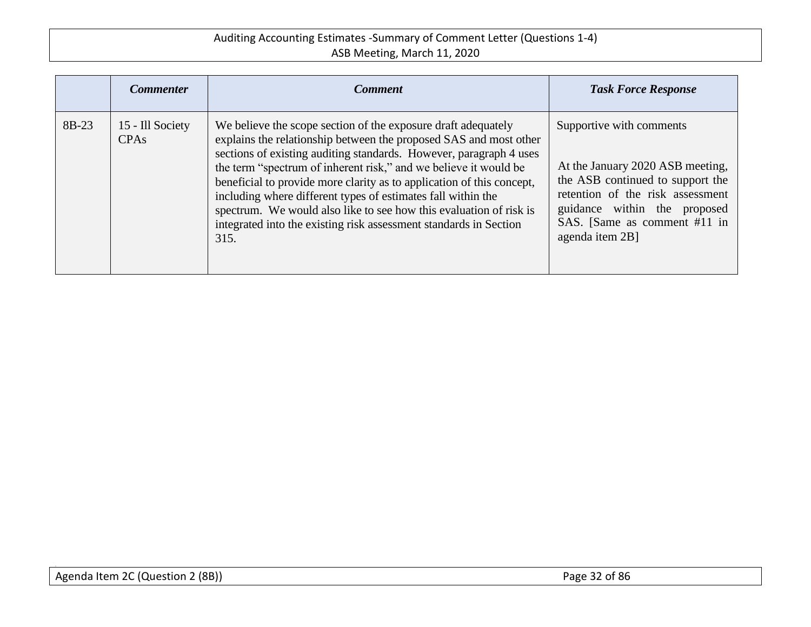|       | <b>Commenter</b>                     | <b>Comment</b>                                                                                                                                                                                                                                                                                                                                                                                                                                                                                                                                                           | <b>Task Force Response</b>                                                                                                                                                                                              |
|-------|--------------------------------------|--------------------------------------------------------------------------------------------------------------------------------------------------------------------------------------------------------------------------------------------------------------------------------------------------------------------------------------------------------------------------------------------------------------------------------------------------------------------------------------------------------------------------------------------------------------------------|-------------------------------------------------------------------------------------------------------------------------------------------------------------------------------------------------------------------------|
| 8B-23 | 15 - Ill Society<br>CPA <sub>s</sub> | We believe the scope section of the exposure draft adequately<br>explains the relationship between the proposed SAS and most other<br>sections of existing auditing standards. However, paragraph 4 uses<br>the term "spectrum of inherent risk," and we believe it would be<br>beneficial to provide more clarity as to application of this concept,<br>including where different types of estimates fall within the<br>spectrum. We would also like to see how this evaluation of risk is<br>integrated into the existing risk assessment standards in Section<br>315. | Supportive with comments<br>At the January 2020 ASB meeting,<br>the ASB continued to support the<br>retention of the risk assessment<br>guidance within the proposed<br>SAS. [Same as comment #11 in<br>agenda item 2B] |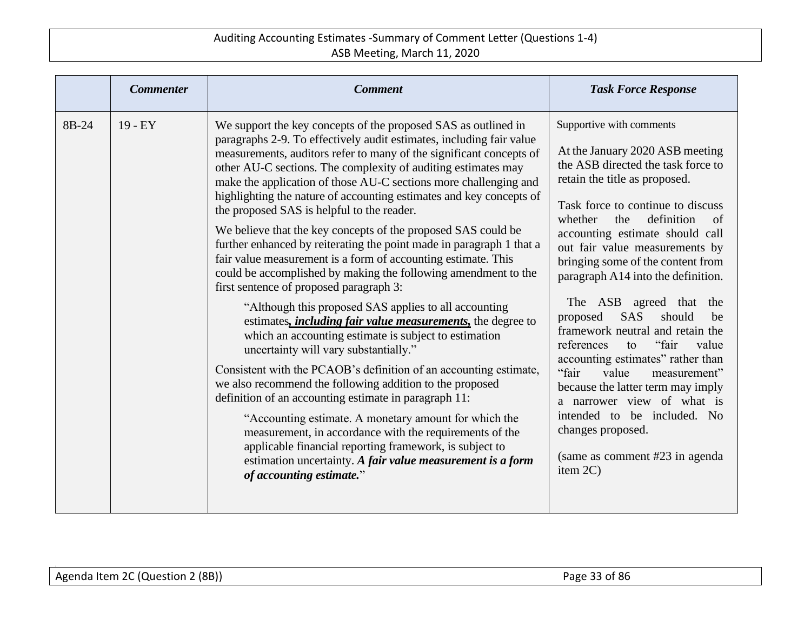|       | <b>Commenter</b> | <b>Comment</b>                                                                                                                                                                                                                                                                                                                                                                                                                                                                                                                                                                                                                                                                                                                                                                                                                                                                                                                                                                                                                                                                                                                                                                                                                                                                                                                                                                                                                                                                                      | <b>Task Force Response</b>                                                                                                                                                                                                                                                                                                                                                                                                                                                                                                                                                                                                                                                                                                                             |
|-------|------------------|-----------------------------------------------------------------------------------------------------------------------------------------------------------------------------------------------------------------------------------------------------------------------------------------------------------------------------------------------------------------------------------------------------------------------------------------------------------------------------------------------------------------------------------------------------------------------------------------------------------------------------------------------------------------------------------------------------------------------------------------------------------------------------------------------------------------------------------------------------------------------------------------------------------------------------------------------------------------------------------------------------------------------------------------------------------------------------------------------------------------------------------------------------------------------------------------------------------------------------------------------------------------------------------------------------------------------------------------------------------------------------------------------------------------------------------------------------------------------------------------------------|--------------------------------------------------------------------------------------------------------------------------------------------------------------------------------------------------------------------------------------------------------------------------------------------------------------------------------------------------------------------------------------------------------------------------------------------------------------------------------------------------------------------------------------------------------------------------------------------------------------------------------------------------------------------------------------------------------------------------------------------------------|
| 8B-24 | $19 - EY$        | We support the key concepts of the proposed SAS as outlined in<br>paragraphs 2-9. To effectively audit estimates, including fair value<br>measurements, auditors refer to many of the significant concepts of<br>other AU-C sections. The complexity of auditing estimates may<br>make the application of those AU-C sections more challenging and<br>highlighting the nature of accounting estimates and key concepts of<br>the proposed SAS is helpful to the reader.<br>We believe that the key concepts of the proposed SAS could be<br>further enhanced by reiterating the point made in paragraph 1 that a<br>fair value measurement is a form of accounting estimate. This<br>could be accomplished by making the following amendment to the<br>first sentence of proposed paragraph 3:<br>"Although this proposed SAS applies to all accounting<br>estimates, <i>including fair value measurements</i> , the degree to<br>which an accounting estimate is subject to estimation<br>uncertainty will vary substantially."<br>Consistent with the PCAOB's definition of an accounting estimate,<br>we also recommend the following addition to the proposed<br>definition of an accounting estimate in paragraph 11:<br>"Accounting estimate. A monetary amount for which the<br>measurement, in accordance with the requirements of the<br>applicable financial reporting framework, is subject to<br>estimation uncertainty. A fair value measurement is a form<br>of accounting estimate." | Supportive with comments<br>At the January 2020 ASB meeting<br>the ASB directed the task force to<br>retain the title as proposed.<br>Task force to continue to discuss<br>whether<br>definition<br>the<br>of<br>accounting estimate should call<br>out fair value measurements by<br>bringing some of the content from<br>paragraph A14 into the definition.<br>The ASB agreed that the<br>SAS<br>should<br>proposed<br>be<br>framework neutral and retain the<br>references<br>"fair<br>value<br>to<br>accounting estimates" rather than<br>"fair"<br>value<br>measurement"<br>because the latter term may imply<br>a narrower view of what is<br>intended to be included. No<br>changes proposed.<br>(same as comment #23 in agenda)<br>item $2C$ ) |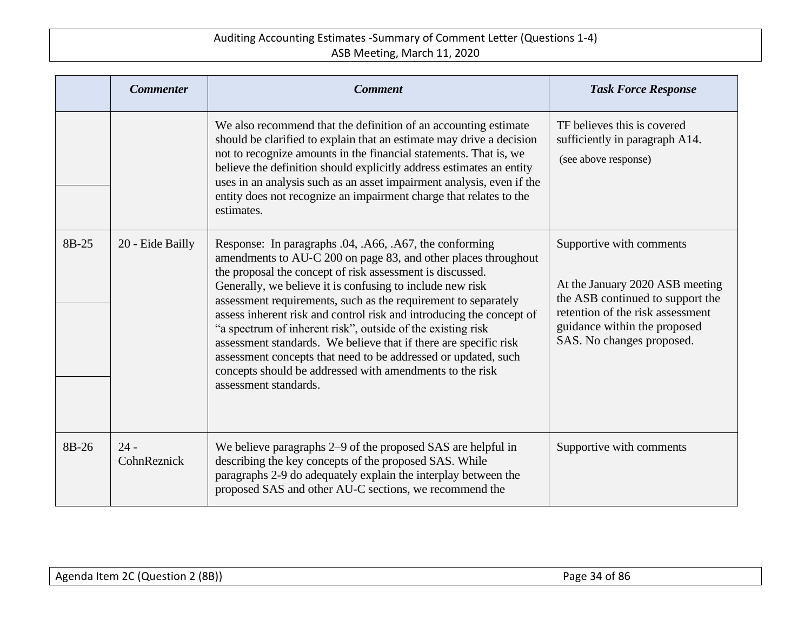|       | <b>Commenter</b>      | <b>Comment</b>                                                                                                                                                                                                                                                                                                                                                                                                                                                                                                                                                                                                                                                                          | <b>Task Force Response</b>                                                                                                                                                                       |
|-------|-----------------------|-----------------------------------------------------------------------------------------------------------------------------------------------------------------------------------------------------------------------------------------------------------------------------------------------------------------------------------------------------------------------------------------------------------------------------------------------------------------------------------------------------------------------------------------------------------------------------------------------------------------------------------------------------------------------------------------|--------------------------------------------------------------------------------------------------------------------------------------------------------------------------------------------------|
|       |                       | We also recommend that the definition of an accounting estimate<br>should be clarified to explain that an estimate may drive a decision<br>not to recognize amounts in the financial statements. That is, we<br>believe the definition should explicitly address estimates an entity<br>uses in an analysis such as an asset impairment analysis, even if the<br>entity does not recognize an impairment charge that relates to the<br>estimates.                                                                                                                                                                                                                                       | TF believes this is covered<br>sufficiently in paragraph A14.<br>(see above response)                                                                                                            |
| 8B-25 | 20 - Eide Bailly      | Response: In paragraphs .04, .A66, .A67, the conforming<br>amendments to AU-C 200 on page 83, and other places throughout<br>the proposal the concept of risk assessment is discussed.<br>Generally, we believe it is confusing to include new risk<br>assessment requirements, such as the requirement to separately<br>assess inherent risk and control risk and introducing the concept of<br>"a spectrum of inherent risk", outside of the existing risk<br>assessment standards. We believe that if there are specific risk<br>assessment concepts that need to be addressed or updated, such<br>concepts should be addressed with amendments to the risk<br>assessment standards. | Supportive with comments<br>At the January 2020 ASB meeting<br>the ASB continued to support the<br>retention of the risk assessment<br>guidance within the proposed<br>SAS. No changes proposed. |
| 8B-26 | $24 -$<br>CohnReznick | We believe paragraphs 2–9 of the proposed SAS are helpful in<br>describing the key concepts of the proposed SAS. While<br>paragraphs 2-9 do adequately explain the interplay between the<br>proposed SAS and other AU-C sections, we recommend the                                                                                                                                                                                                                                                                                                                                                                                                                                      | Supportive with comments                                                                                                                                                                         |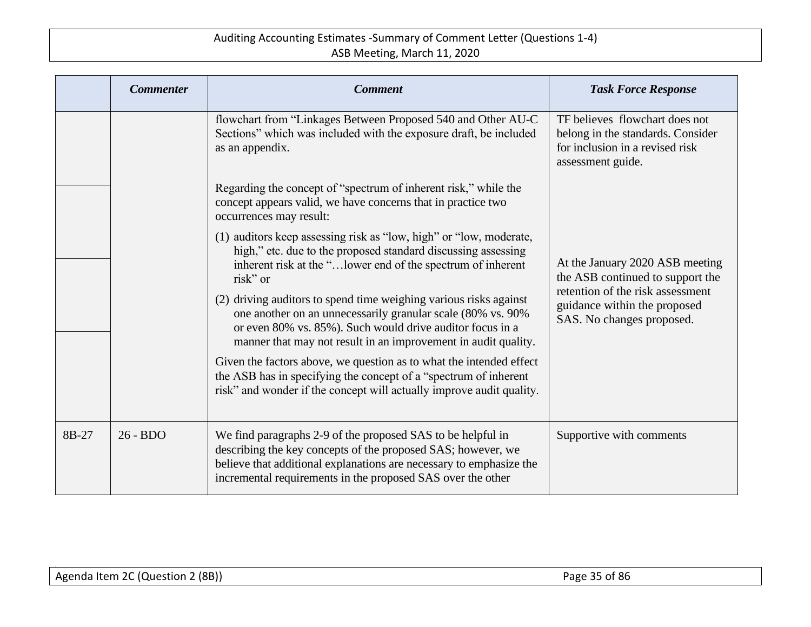|       | <b>Commenter</b> | <b>Comment</b>                                                                                                                                                                                                                                                    | <b>Task Force Response</b>                                                                                                                                           |
|-------|------------------|-------------------------------------------------------------------------------------------------------------------------------------------------------------------------------------------------------------------------------------------------------------------|----------------------------------------------------------------------------------------------------------------------------------------------------------------------|
|       |                  | flowchart from "Linkages Between Proposed 540 and Other AU-C<br>Sections" which was included with the exposure draft, be included<br>as an appendix.                                                                                                              | TF believes flowchart does not<br>belong in the standards. Consider<br>for inclusion in a revised risk<br>assessment guide.                                          |
|       |                  | Regarding the concept of "spectrum of inherent risk," while the<br>concept appears valid, we have concerns that in practice two<br>occurrences may result:                                                                                                        |                                                                                                                                                                      |
|       |                  | (1) auditors keep assessing risk as "low, high" or "low, moderate,<br>high," etc. due to the proposed standard discussing assessing<br>inherent risk at the " lower end of the spectrum of inherent<br>risk" or                                                   | At the January 2020 ASB meeting<br>the ASB continued to support the<br>retention of the risk assessment<br>guidance within the proposed<br>SAS. No changes proposed. |
|       |                  | (2) driving auditors to spend time weighing various risks against<br>one another on an unnecessarily granular scale (80% vs. 90%)<br>or even 80% vs. 85%). Such would drive auditor focus in a<br>manner that may not result in an improvement in audit quality.  |                                                                                                                                                                      |
|       |                  | Given the factors above, we question as to what the intended effect<br>the ASB has in specifying the concept of a "spectrum of inherent<br>risk" and wonder if the concept will actually improve audit quality.                                                   |                                                                                                                                                                      |
| 8B-27 | $26 - BDO$       | We find paragraphs 2-9 of the proposed SAS to be helpful in<br>describing the key concepts of the proposed SAS; however, we<br>believe that additional explanations are necessary to emphasize the<br>incremental requirements in the proposed SAS over the other | Supportive with comments                                                                                                                                             |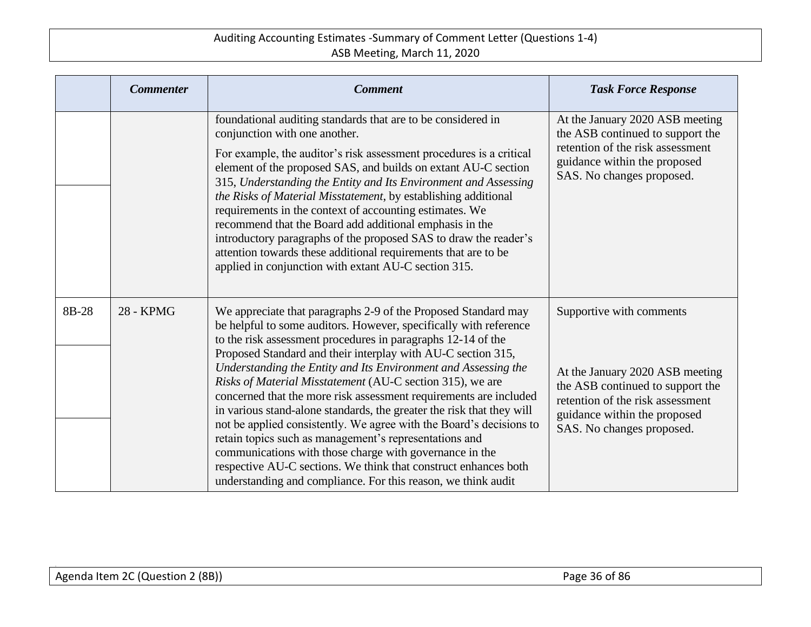|       | <b>Commenter</b> | <b>Comment</b>                                                                                                                                                                                                                                                                                                                                                                                                                                                                                                                                                                                                                                                                                                                                                                                                                                                                   | <b>Task Force Response</b>                                                                                                                                                                       |
|-------|------------------|----------------------------------------------------------------------------------------------------------------------------------------------------------------------------------------------------------------------------------------------------------------------------------------------------------------------------------------------------------------------------------------------------------------------------------------------------------------------------------------------------------------------------------------------------------------------------------------------------------------------------------------------------------------------------------------------------------------------------------------------------------------------------------------------------------------------------------------------------------------------------------|--------------------------------------------------------------------------------------------------------------------------------------------------------------------------------------------------|
|       |                  | foundational auditing standards that are to be considered in<br>conjunction with one another.<br>For example, the auditor's risk assessment procedures is a critical<br>element of the proposed SAS, and builds on extant AU-C section<br>315, Understanding the Entity and Its Environment and Assessing<br>the Risks of Material Misstatement, by establishing additional<br>requirements in the context of accounting estimates. We<br>recommend that the Board add additional emphasis in the<br>introductory paragraphs of the proposed SAS to draw the reader's<br>attention towards these additional requirements that are to be<br>applied in conjunction with extant AU-C section 315.                                                                                                                                                                                  | At the January 2020 ASB meeting<br>the ASB continued to support the<br>retention of the risk assessment<br>guidance within the proposed<br>SAS. No changes proposed.                             |
| 8B-28 | <b>28 - KPMG</b> | We appreciate that paragraphs 2-9 of the Proposed Standard may<br>be helpful to some auditors. However, specifically with reference<br>to the risk assessment procedures in paragraphs 12-14 of the<br>Proposed Standard and their interplay with AU-C section 315,<br>Understanding the Entity and Its Environment and Assessing the<br>Risks of Material Misstatement (AU-C section 315), we are<br>concerned that the more risk assessment requirements are included<br>in various stand-alone standards, the greater the risk that they will<br>not be applied consistently. We agree with the Board's decisions to<br>retain topics such as management's representations and<br>communications with those charge with governance in the<br>respective AU-C sections. We think that construct enhances both<br>understanding and compliance. For this reason, we think audit | Supportive with comments<br>At the January 2020 ASB meeting<br>the ASB continued to support the<br>retention of the risk assessment<br>guidance within the proposed<br>SAS. No changes proposed. |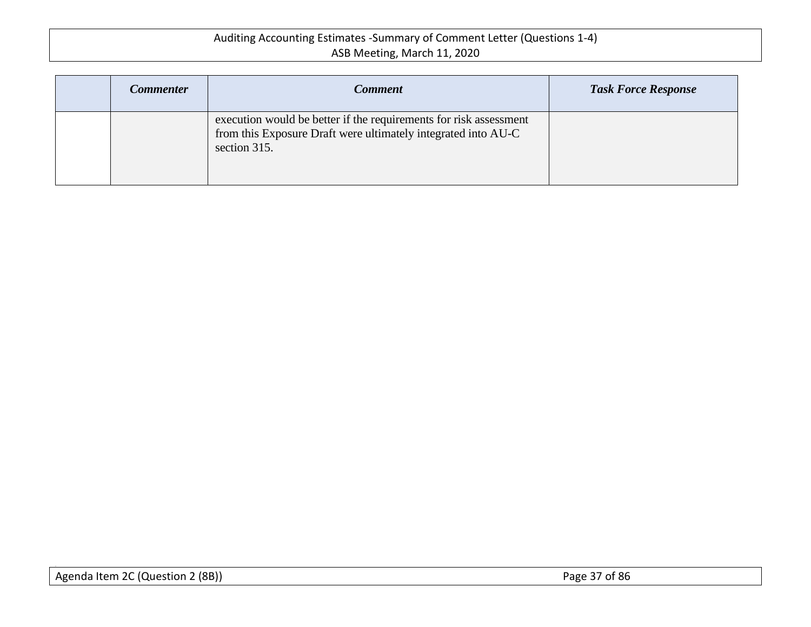| <b>Commenter</b> | <b>Comment</b>                                                                                                                                     | <b>Task Force Response</b> |
|------------------|----------------------------------------------------------------------------------------------------------------------------------------------------|----------------------------|
|                  | execution would be better if the requirements for risk assessment<br>from this Exposure Draft were ultimately integrated into AU-C<br>section 315. |                            |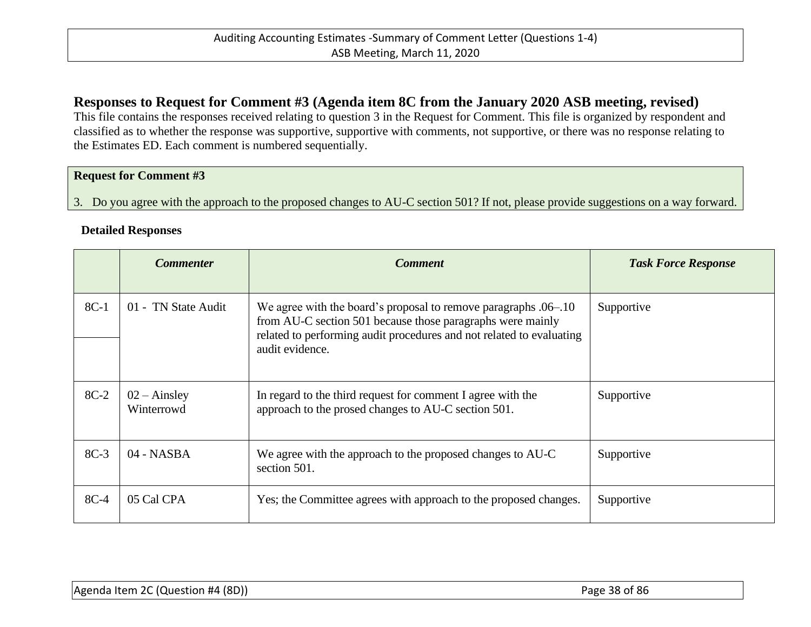## **Responses to Request for Comment #3 (Agenda item 8C from the January 2020 ASB meeting, revised)**

This file contains the responses received relating to question 3 in the Request for Comment. This file is organized by respondent and classified as to whether the response was supportive, supportive with comments, not supportive, or there was no response relating to the Estimates ED. Each comment is numbered sequentially.

### **Request for Comment #3**

3. Do you agree with the approach to the proposed changes to AU-C section 501? If not, please provide suggestions on a way forward.

#### **Detailed Responses**

|        | <b>Commenter</b>                    | <b>Comment</b>                                                                                                                                                                                                           | <b>Task Force Response</b> |
|--------|-------------------------------------|--------------------------------------------------------------------------------------------------------------------------------------------------------------------------------------------------------------------------|----------------------------|
| $8C-1$ | 01 - TN State Audit                 | We agree with the board's proposal to remove paragraphs .06–.10<br>from AU-C section 501 because those paragraphs were mainly<br>related to performing audit procedures and not related to evaluating<br>audit evidence. | Supportive                 |
| $8C-2$ | $02 - \text{Ainsley}$<br>Winterrowd | In regard to the third request for comment I agree with the<br>approach to the prosed changes to AU-C section 501.                                                                                                       | Supportive                 |
| $8C-3$ | $04 - NASA$                         | We agree with the approach to the proposed changes to AU-C<br>section 501.                                                                                                                                               | Supportive                 |
| $8C-4$ | 05 Cal CPA                          | Yes; the Committee agrees with approach to the proposed changes.                                                                                                                                                         | Supportive                 |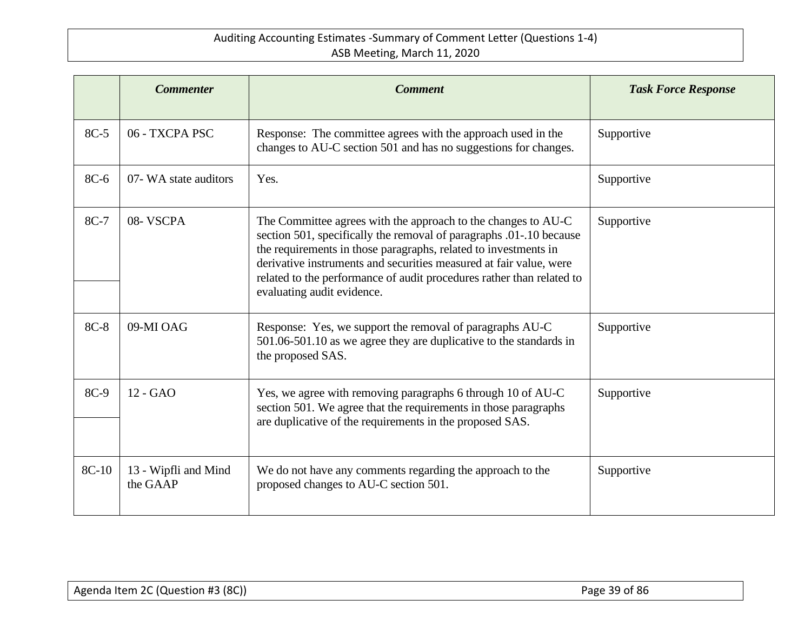|       | <b>Commenter</b>                 | <b>Comment</b>                                                                                                                                                                                                                                                                                                                                                                       | <b>Task Force Response</b> |
|-------|----------------------------------|--------------------------------------------------------------------------------------------------------------------------------------------------------------------------------------------------------------------------------------------------------------------------------------------------------------------------------------------------------------------------------------|----------------------------|
| 8C-5  | 06 - TXCPA PSC                   | Response: The committee agrees with the approach used in the<br>changes to AU-C section 501 and has no suggestions for changes.                                                                                                                                                                                                                                                      | Supportive                 |
| 8C-6  | 07- WA state auditors            | Yes.                                                                                                                                                                                                                                                                                                                                                                                 | Supportive                 |
| 8C-7  | 08-VSCPA                         | The Committee agrees with the approach to the changes to AU-C<br>section 501, specifically the removal of paragraphs .01-.10 because<br>the requirements in those paragraphs, related to investments in<br>derivative instruments and securities measured at fair value, were<br>related to the performance of audit procedures rather than related to<br>evaluating audit evidence. | Supportive                 |
| 8C-8  | 09-MI OAG                        | Response: Yes, we support the removal of paragraphs AU-C<br>501.06-501.10 as we agree they are duplicative to the standards in<br>the proposed SAS.                                                                                                                                                                                                                                  | Supportive                 |
| 8C-9  | 12 - GAO                         | Yes, we agree with removing paragraphs 6 through 10 of AU-C<br>section 501. We agree that the requirements in those paragraphs<br>are duplicative of the requirements in the proposed SAS.                                                                                                                                                                                           | Supportive                 |
| 8C-10 | 13 - Wipfli and Mind<br>the GAAP | We do not have any comments regarding the approach to the<br>proposed changes to AU-C section 501.                                                                                                                                                                                                                                                                                   | Supportive                 |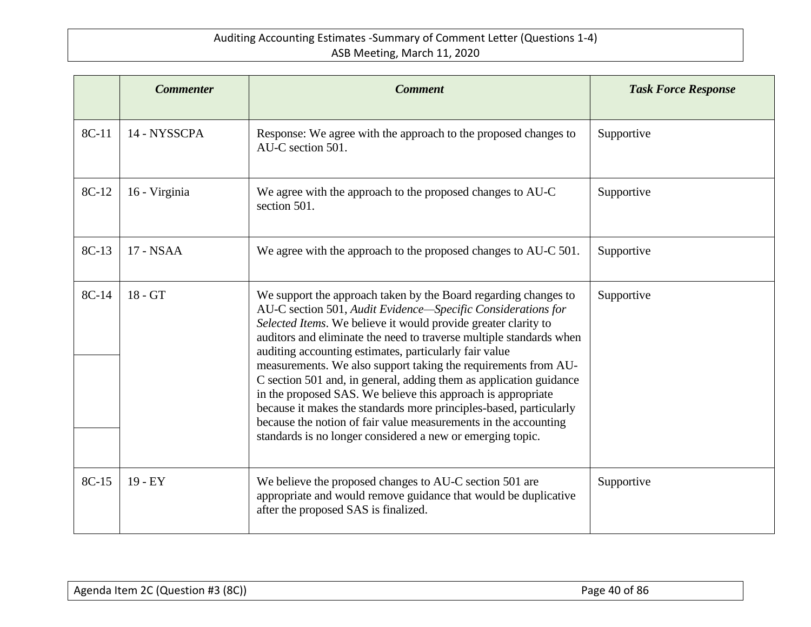|       | <b>Commenter</b> | <b>Comment</b>                                                                                                                                                                                                                                                                                                                                                                                                                                                                                                                                                                                                                                                                                                                                    | <b>Task Force Response</b> |
|-------|------------------|---------------------------------------------------------------------------------------------------------------------------------------------------------------------------------------------------------------------------------------------------------------------------------------------------------------------------------------------------------------------------------------------------------------------------------------------------------------------------------------------------------------------------------------------------------------------------------------------------------------------------------------------------------------------------------------------------------------------------------------------------|----------------------------|
| 8C-11 | 14 - NYSSCPA     | Response: We agree with the approach to the proposed changes to<br>AU-C section 501.                                                                                                                                                                                                                                                                                                                                                                                                                                                                                                                                                                                                                                                              | Supportive                 |
| 8C-12 | 16 - Virginia    | We agree with the approach to the proposed changes to AU-C<br>section 501.                                                                                                                                                                                                                                                                                                                                                                                                                                                                                                                                                                                                                                                                        | Supportive                 |
| 8C-13 | 17 - NSAA        | We agree with the approach to the proposed changes to AU-C 501.                                                                                                                                                                                                                                                                                                                                                                                                                                                                                                                                                                                                                                                                                   | Supportive                 |
| 8C-14 | $18 - GT$        | We support the approach taken by the Board regarding changes to<br>AU-C section 501, Audit Evidence-Specific Considerations for<br>Selected Items. We believe it would provide greater clarity to<br>auditors and eliminate the need to traverse multiple standards when<br>auditing accounting estimates, particularly fair value<br>measurements. We also support taking the requirements from AU-<br>C section 501 and, in general, adding them as application guidance<br>in the proposed SAS. We believe this approach is appropriate<br>because it makes the standards more principles-based, particularly<br>because the notion of fair value measurements in the accounting<br>standards is no longer considered a new or emerging topic. | Supportive                 |
| 8C-15 | $19 - EY$        | We believe the proposed changes to AU-C section 501 are<br>appropriate and would remove guidance that would be duplicative<br>after the proposed SAS is finalized.                                                                                                                                                                                                                                                                                                                                                                                                                                                                                                                                                                                | Supportive                 |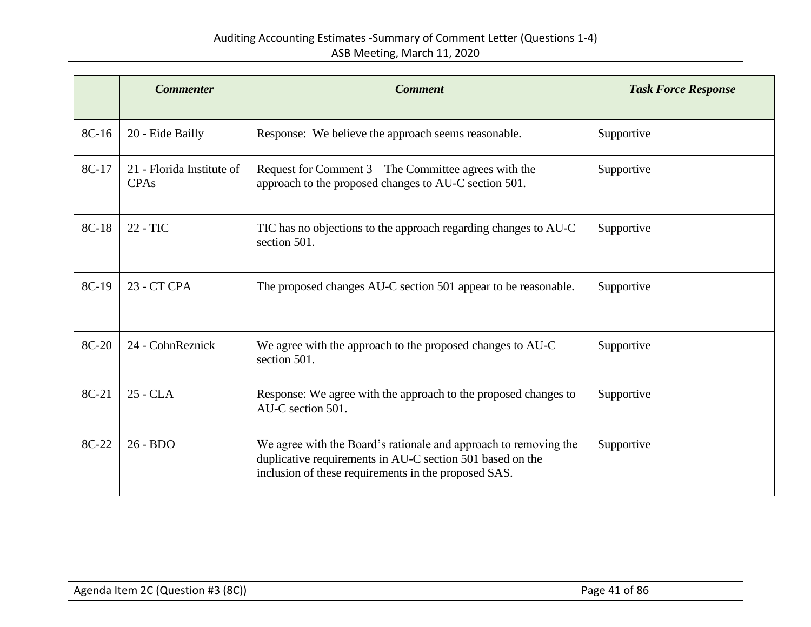|       | <b>Commenter</b>                         | <b>Comment</b>                                                                                                                                                                        | <b>Task Force Response</b> |
|-------|------------------------------------------|---------------------------------------------------------------------------------------------------------------------------------------------------------------------------------------|----------------------------|
| 8C-16 | 20 - Eide Bailly                         | Response: We believe the approach seems reasonable.                                                                                                                                   | Supportive                 |
| 8C-17 | 21 - Florida Institute of<br><b>CPAs</b> | Request for Comment $3$ – The Committee agrees with the<br>approach to the proposed changes to AU-C section 501.                                                                      | Supportive                 |
| 8C-18 | 22 - TIC                                 | TIC has no objections to the approach regarding changes to AU-C<br>section 501.                                                                                                       | Supportive                 |
| 8C-19 | 23 - CT CPA                              | The proposed changes AU-C section 501 appear to be reasonable.                                                                                                                        | Supportive                 |
| 8C-20 | 24 - CohnReznick                         | We agree with the approach to the proposed changes to AU-C<br>section 501.                                                                                                            | Supportive                 |
| 8C-21 | 25 - CLA                                 | Response: We agree with the approach to the proposed changes to<br>AU-C section 501.                                                                                                  | Supportive                 |
| 8C-22 | $26 - BDO$                               | We agree with the Board's rationale and approach to removing the<br>duplicative requirements in AU-C section 501 based on the<br>inclusion of these requirements in the proposed SAS. | Supportive                 |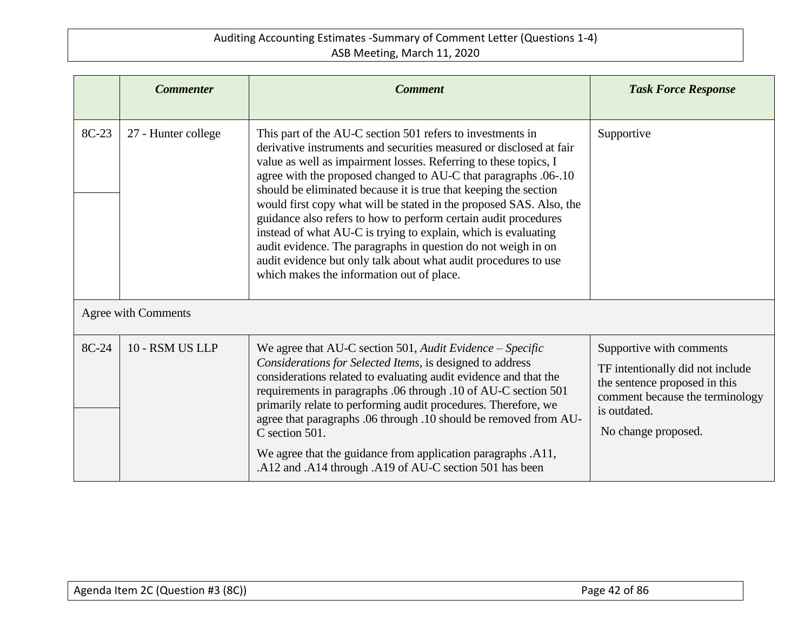|       | <b>Commenter</b>    | <b>Comment</b>                                                                                                                                                                                                                                                                                                                                                                                                                                                                                                                                                                                                                                                                                                                            | <b>Task Force Response</b>                                                                                                                                              |
|-------|---------------------|-------------------------------------------------------------------------------------------------------------------------------------------------------------------------------------------------------------------------------------------------------------------------------------------------------------------------------------------------------------------------------------------------------------------------------------------------------------------------------------------------------------------------------------------------------------------------------------------------------------------------------------------------------------------------------------------------------------------------------------------|-------------------------------------------------------------------------------------------------------------------------------------------------------------------------|
| 8C-23 | 27 - Hunter college | This part of the AU-C section 501 refers to investments in<br>derivative instruments and securities measured or disclosed at fair<br>value as well as impairment losses. Referring to these topics, I<br>agree with the proposed changed to AU-C that paragraphs .06-.10<br>should be eliminated because it is true that keeping the section<br>would first copy what will be stated in the proposed SAS. Also, the<br>guidance also refers to how to perform certain audit procedures<br>instead of what AU-C is trying to explain, which is evaluating<br>audit evidence. The paragraphs in question do not weigh in on<br>audit evidence but only talk about what audit procedures to use<br>which makes the information out of place. | Supportive                                                                                                                                                              |
|       | Agree with Comments |                                                                                                                                                                                                                                                                                                                                                                                                                                                                                                                                                                                                                                                                                                                                           |                                                                                                                                                                         |
| 8C-24 | 10 - RSM US LLP     | We agree that AU-C section 501, Audit Evidence – Specific<br>Considerations for Selected Items, is designed to address<br>considerations related to evaluating audit evidence and that the<br>requirements in paragraphs .06 through .10 of AU-C section 501<br>primarily relate to performing audit procedures. Therefore, we<br>agree that paragraphs .06 through .10 should be removed from AU-<br>C section 501.<br>We agree that the guidance from application paragraphs .A11,<br>.A12 and .A14 through .A19 of AU-C section 501 has been                                                                                                                                                                                           | Supportive with comments<br>TF intentionally did not include<br>the sentence proposed in this<br>comment because the terminology<br>is outdated.<br>No change proposed. |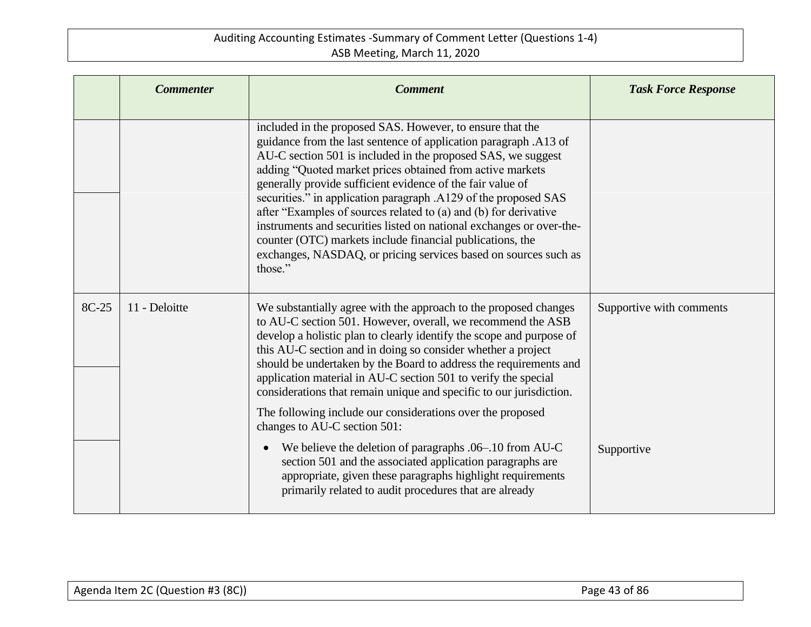|       | <b>Commenter</b> | <b>Comment</b>                                                                                                                                                                                                                                                                                                                                                                                                                                                                                                                                                                                                                                                                     | <b>Task Force Response</b> |
|-------|------------------|------------------------------------------------------------------------------------------------------------------------------------------------------------------------------------------------------------------------------------------------------------------------------------------------------------------------------------------------------------------------------------------------------------------------------------------------------------------------------------------------------------------------------------------------------------------------------------------------------------------------------------------------------------------------------------|----------------------------|
|       |                  | included in the proposed SAS. However, to ensure that the<br>guidance from the last sentence of application paragraph .A13 of<br>AU-C section 501 is included in the proposed SAS, we suggest<br>adding "Quoted market prices obtained from active markets<br>generally provide sufficient evidence of the fair value of<br>securities." in application paragraph .A129 of the proposed SAS<br>after "Examples of sources related to (a) and (b) for derivative<br>instruments and securities listed on national exchanges or over-the-<br>counter (OTC) markets include financial publications, the<br>exchanges, NASDAQ, or pricing services based on sources such as<br>those." |                            |
| 8C-25 | 11 - Deloitte    | We substantially agree with the approach to the proposed changes<br>to AU-C section 501. However, overall, we recommend the ASB<br>develop a holistic plan to clearly identify the scope and purpose of<br>this AU-C section and in doing so consider whether a project<br>should be undertaken by the Board to address the requirements and<br>application material in AU-C section 501 to verify the special<br>considerations that remain unique and specific to our jurisdiction.<br>The following include our considerations over the proposed<br>changes to AU-C section 501:                                                                                                | Supportive with comments   |
|       |                  | We believe the deletion of paragraphs .06-.10 from AU-C<br>$\bullet$<br>section 501 and the associated application paragraphs are<br>appropriate, given these paragraphs highlight requirements<br>primarily related to audit procedures that are already                                                                                                                                                                                                                                                                                                                                                                                                                          | Supportive                 |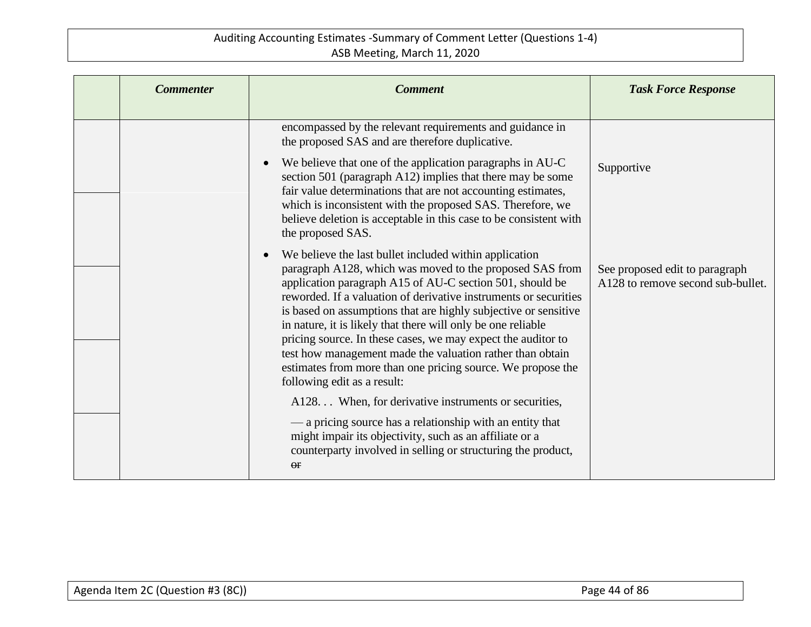| <b>Commenter</b> | <b>Comment</b>                                                                                                                                                                                                                                                                                                                                                                                                                                                                                                                                                                                                                | <b>Task Force Response</b>                                          |
|------------------|-------------------------------------------------------------------------------------------------------------------------------------------------------------------------------------------------------------------------------------------------------------------------------------------------------------------------------------------------------------------------------------------------------------------------------------------------------------------------------------------------------------------------------------------------------------------------------------------------------------------------------|---------------------------------------------------------------------|
|                  | encompassed by the relevant requirements and guidance in<br>the proposed SAS and are therefore duplicative.                                                                                                                                                                                                                                                                                                                                                                                                                                                                                                                   |                                                                     |
|                  | We believe that one of the application paragraphs in AU-C<br>$\bullet$<br>section 501 (paragraph A12) implies that there may be some<br>fair value determinations that are not accounting estimates,<br>which is inconsistent with the proposed SAS. Therefore, we<br>believe deletion is acceptable in this case to be consistent with<br>the proposed SAS.                                                                                                                                                                                                                                                                  | Supportive                                                          |
|                  | We believe the last bullet included within application<br>$\bullet$<br>paragraph A128, which was moved to the proposed SAS from<br>application paragraph A15 of AU-C section 501, should be<br>reworded. If a valuation of derivative instruments or securities<br>is based on assumptions that are highly subjective or sensitive<br>in nature, it is likely that there will only be one reliable<br>pricing source. In these cases, we may expect the auditor to<br>test how management made the valuation rather than obtain<br>estimates from more than one pricing source. We propose the<br>following edit as a result: | See proposed edit to paragraph<br>A128 to remove second sub-bullet. |
|                  | A128. When, for derivative instruments or securities,                                                                                                                                                                                                                                                                                                                                                                                                                                                                                                                                                                         |                                                                     |
|                  | — a pricing source has a relationship with an entity that<br>might impair its objectivity, such as an affiliate or a<br>counterparty involved in selling or structuring the product,<br>$\Theta$ <b>r</b>                                                                                                                                                                                                                                                                                                                                                                                                                     |                                                                     |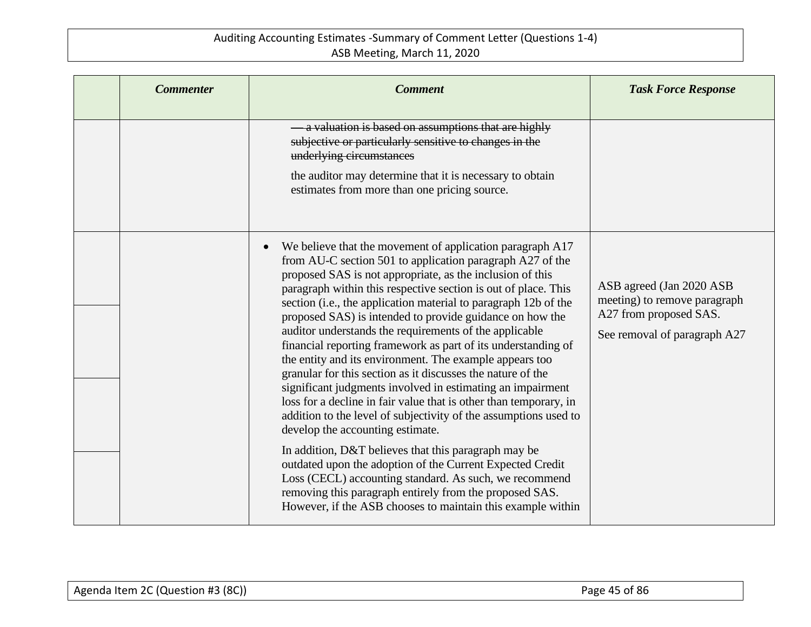| <b>Commenter</b> | <b>Comment</b>                                                                                                                                                                                                                                                                                                                                                                                                                                                                                                                                                                                                                                                                                                                                                                                                                                                                                                                                                                                                                                                                                                                                                                                             | <b>Task Force Response</b>                                                                                          |
|------------------|------------------------------------------------------------------------------------------------------------------------------------------------------------------------------------------------------------------------------------------------------------------------------------------------------------------------------------------------------------------------------------------------------------------------------------------------------------------------------------------------------------------------------------------------------------------------------------------------------------------------------------------------------------------------------------------------------------------------------------------------------------------------------------------------------------------------------------------------------------------------------------------------------------------------------------------------------------------------------------------------------------------------------------------------------------------------------------------------------------------------------------------------------------------------------------------------------------|---------------------------------------------------------------------------------------------------------------------|
|                  | a valuation is based on assumptions that are highly<br>subjective or particularly sensitive to changes in the<br>underlying circumstances<br>the auditor may determine that it is necessary to obtain<br>estimates from more than one pricing source.                                                                                                                                                                                                                                                                                                                                                                                                                                                                                                                                                                                                                                                                                                                                                                                                                                                                                                                                                      |                                                                                                                     |
|                  | We believe that the movement of application paragraph A17<br>$\bullet$<br>from AU-C section 501 to application paragraph A27 of the<br>proposed SAS is not appropriate, as the inclusion of this<br>paragraph within this respective section is out of place. This<br>section (i.e., the application material to paragraph 12b of the<br>proposed SAS) is intended to provide guidance on how the<br>auditor understands the requirements of the applicable<br>financial reporting framework as part of its understanding of<br>the entity and its environment. The example appears too<br>granular for this section as it discusses the nature of the<br>significant judgments involved in estimating an impairment<br>loss for a decline in fair value that is other than temporary, in<br>addition to the level of subjectivity of the assumptions used to<br>develop the accounting estimate.<br>In addition, D&T believes that this paragraph may be<br>outdated upon the adoption of the Current Expected Credit<br>Loss (CECL) accounting standard. As such, we recommend<br>removing this paragraph entirely from the proposed SAS.<br>However, if the ASB chooses to maintain this example within | ASB agreed (Jan 2020 ASB)<br>meeting) to remove paragraph<br>A27 from proposed SAS.<br>See removal of paragraph A27 |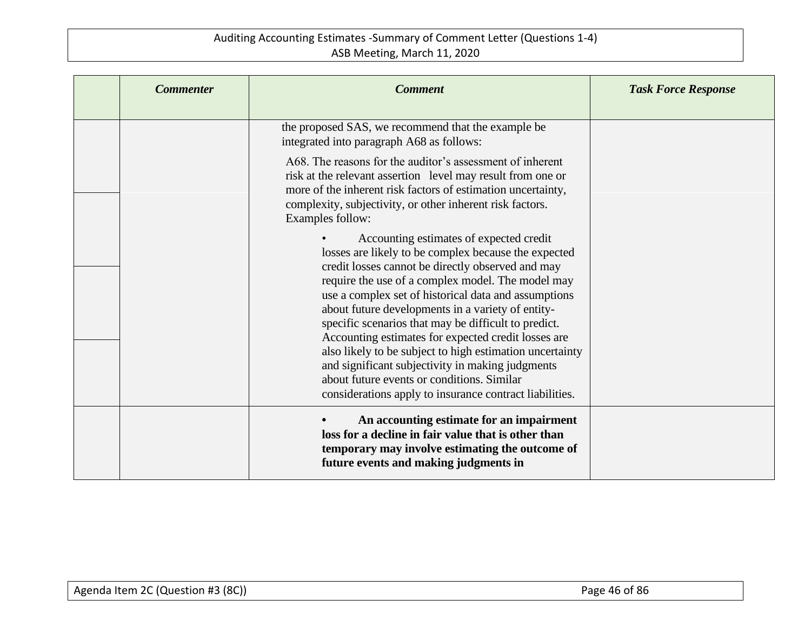| <b>Commenter</b> | <b>Comment</b>                                                                                                                                                                                                                                                                                                                                                                                                                                                                                                                                                                                                                                                 | <b>Task Force Response</b> |
|------------------|----------------------------------------------------------------------------------------------------------------------------------------------------------------------------------------------------------------------------------------------------------------------------------------------------------------------------------------------------------------------------------------------------------------------------------------------------------------------------------------------------------------------------------------------------------------------------------------------------------------------------------------------------------------|----------------------------|
|                  | the proposed SAS, we recommend that the example be<br>integrated into paragraph A68 as follows:                                                                                                                                                                                                                                                                                                                                                                                                                                                                                                                                                                |                            |
|                  | A68. The reasons for the auditor's assessment of inherent<br>risk at the relevant assertion level may result from one or<br>more of the inherent risk factors of estimation uncertainty,<br>complexity, subjectivity, or other inherent risk factors.<br>Examples follow:                                                                                                                                                                                                                                                                                                                                                                                      |                            |
|                  | Accounting estimates of expected credit<br>losses are likely to be complex because the expected<br>credit losses cannot be directly observed and may<br>require the use of a complex model. The model may<br>use a complex set of historical data and assumptions<br>about future developments in a variety of entity-<br>specific scenarios that may be difficult to predict.<br>Accounting estimates for expected credit losses are<br>also likely to be subject to high estimation uncertainty<br>and significant subjectivity in making judgments<br>about future events or conditions. Similar<br>considerations apply to insurance contract liabilities. |                            |
|                  | An accounting estimate for an impairment<br>loss for a decline in fair value that is other than<br>temporary may involve estimating the outcome of<br>future events and making judgments in                                                                                                                                                                                                                                                                                                                                                                                                                                                                    |                            |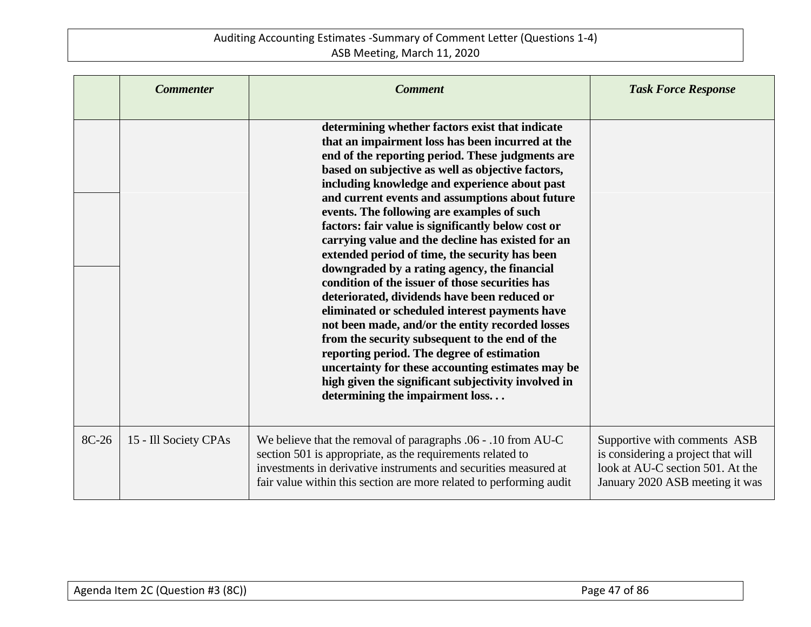|       | <b>Commenter</b>      | <b>Comment</b>                                                                                                                                                                                                                                                                                                                                                                                                                                                                                                                                                                                                                                                                                                                                                                                                                                                                                                                                                                                                                      | <b>Task Force Response</b>                                                                                                                |
|-------|-----------------------|-------------------------------------------------------------------------------------------------------------------------------------------------------------------------------------------------------------------------------------------------------------------------------------------------------------------------------------------------------------------------------------------------------------------------------------------------------------------------------------------------------------------------------------------------------------------------------------------------------------------------------------------------------------------------------------------------------------------------------------------------------------------------------------------------------------------------------------------------------------------------------------------------------------------------------------------------------------------------------------------------------------------------------------|-------------------------------------------------------------------------------------------------------------------------------------------|
|       |                       | determining whether factors exist that indicate<br>that an impairment loss has been incurred at the<br>end of the reporting period. These judgments are<br>based on subjective as well as objective factors,<br>including knowledge and experience about past<br>and current events and assumptions about future<br>events. The following are examples of such<br>factors: fair value is significantly below cost or<br>carrying value and the decline has existed for an<br>extended period of time, the security has been<br>downgraded by a rating agency, the financial<br>condition of the issuer of those securities has<br>deteriorated, dividends have been reduced or<br>eliminated or scheduled interest payments have<br>not been made, and/or the entity recorded losses<br>from the security subsequent to the end of the<br>reporting period. The degree of estimation<br>uncertainty for these accounting estimates may be<br>high given the significant subjectivity involved in<br>determining the impairment loss |                                                                                                                                           |
| 8C-26 | 15 - Ill Society CPAs | We believe that the removal of paragraphs .06 - .10 from AU-C<br>section 501 is appropriate, as the requirements related to<br>investments in derivative instruments and securities measured at<br>fair value within this section are more related to performing audit                                                                                                                                                                                                                                                                                                                                                                                                                                                                                                                                                                                                                                                                                                                                                              | Supportive with comments ASB<br>is considering a project that will<br>look at AU-C section 501. At the<br>January 2020 ASB meeting it was |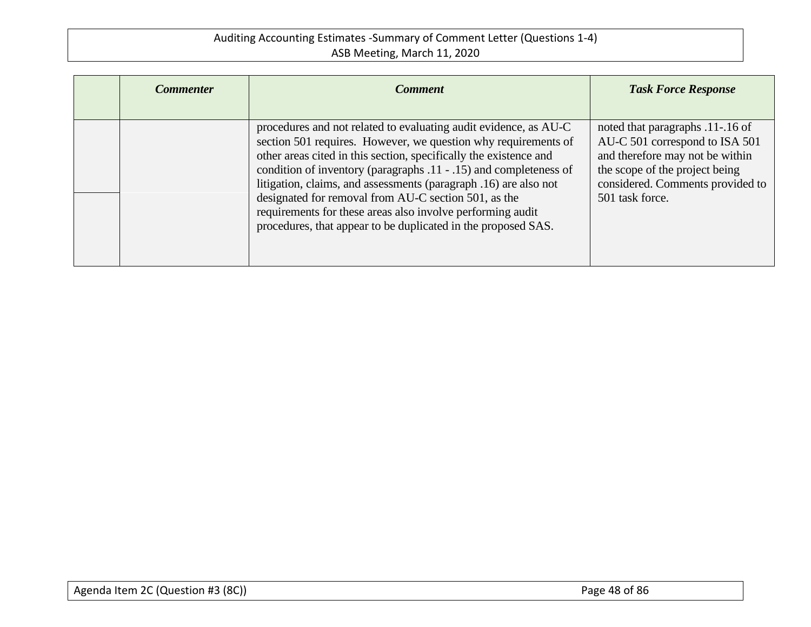| <b>Commenter</b> | <b>Comment</b>                                                                                                                                                                                                                                                                                                                                                                                                                                                                                                                          | <b>Task Force Response</b>                                                                                                                                                                     |
|------------------|-----------------------------------------------------------------------------------------------------------------------------------------------------------------------------------------------------------------------------------------------------------------------------------------------------------------------------------------------------------------------------------------------------------------------------------------------------------------------------------------------------------------------------------------|------------------------------------------------------------------------------------------------------------------------------------------------------------------------------------------------|
|                  |                                                                                                                                                                                                                                                                                                                                                                                                                                                                                                                                         |                                                                                                                                                                                                |
|                  | procedures and not related to evaluating audit evidence, as AU-C<br>section 501 requires. However, we question why requirements of<br>other areas cited in this section, specifically the existence and<br>condition of inventory (paragraphs .11 - .15) and completeness of<br>litigation, claims, and assessments (paragraph .16) are also not<br>designated for removal from AU-C section 501, as the<br>requirements for these areas also involve performing audit<br>procedures, that appear to be duplicated in the proposed SAS. | noted that paragraphs .11-.16 of<br>AU-C 501 correspond to ISA 501<br>and therefore may not be within<br>the scope of the project being<br>considered. Comments provided to<br>501 task force. |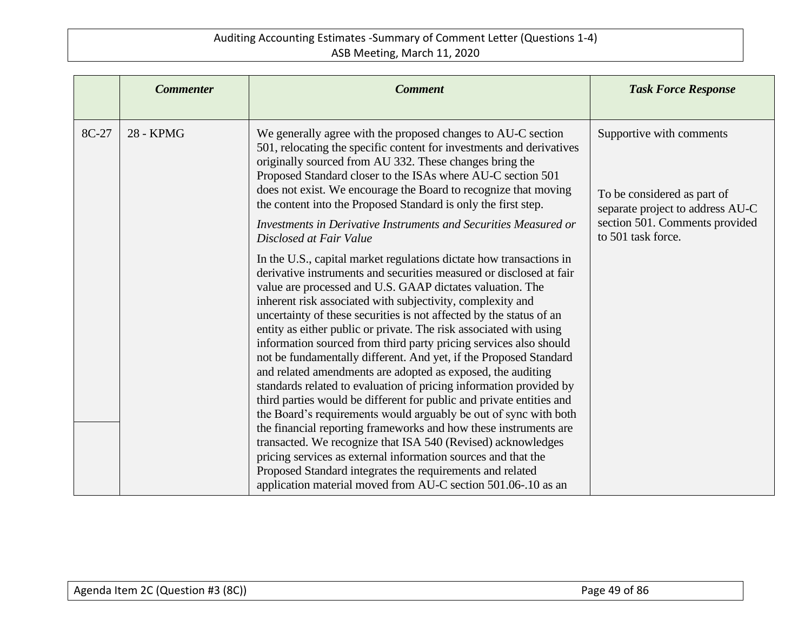|       | <b>Commenter</b> | <b>Comment</b>                                                                                                                                                                                                                                                                                                                                                                                                                                                                                                                                                                                                                                                                                                                                                                                                                                                                                                                                                                                                                                                                                                                                                                                                                                                                                                                                                                                                                                                                                                                                                                                                                                                                         | <b>Task Force Response</b>                                                                                                                          |
|-------|------------------|----------------------------------------------------------------------------------------------------------------------------------------------------------------------------------------------------------------------------------------------------------------------------------------------------------------------------------------------------------------------------------------------------------------------------------------------------------------------------------------------------------------------------------------------------------------------------------------------------------------------------------------------------------------------------------------------------------------------------------------------------------------------------------------------------------------------------------------------------------------------------------------------------------------------------------------------------------------------------------------------------------------------------------------------------------------------------------------------------------------------------------------------------------------------------------------------------------------------------------------------------------------------------------------------------------------------------------------------------------------------------------------------------------------------------------------------------------------------------------------------------------------------------------------------------------------------------------------------------------------------------------------------------------------------------------------|-----------------------------------------------------------------------------------------------------------------------------------------------------|
| 8C-27 | 28 - KPMG        | We generally agree with the proposed changes to AU-C section<br>501, relocating the specific content for investments and derivatives<br>originally sourced from AU 332. These changes bring the<br>Proposed Standard closer to the ISAs where AU-C section 501<br>does not exist. We encourage the Board to recognize that moving<br>the content into the Proposed Standard is only the first step.<br>Investments in Derivative Instruments and Securities Measured or<br>Disclosed at Fair Value<br>In the U.S., capital market regulations dictate how transactions in<br>derivative instruments and securities measured or disclosed at fair<br>value are processed and U.S. GAAP dictates valuation. The<br>inherent risk associated with subjectivity, complexity and<br>uncertainty of these securities is not affected by the status of an<br>entity as either public or private. The risk associated with using<br>information sourced from third party pricing services also should<br>not be fundamentally different. And yet, if the Proposed Standard<br>and related amendments are adopted as exposed, the auditing<br>standards related to evaluation of pricing information provided by<br>third parties would be different for public and private entities and<br>the Board's requirements would arguably be out of sync with both<br>the financial reporting frameworks and how these instruments are<br>transacted. We recognize that ISA 540 (Revised) acknowledges<br>pricing services as external information sources and that the<br>Proposed Standard integrates the requirements and related<br>application material moved from AU-C section 501.06-.10 as an | Supportive with comments<br>To be considered as part of<br>separate project to address AU-C<br>section 501. Comments provided<br>to 501 task force. |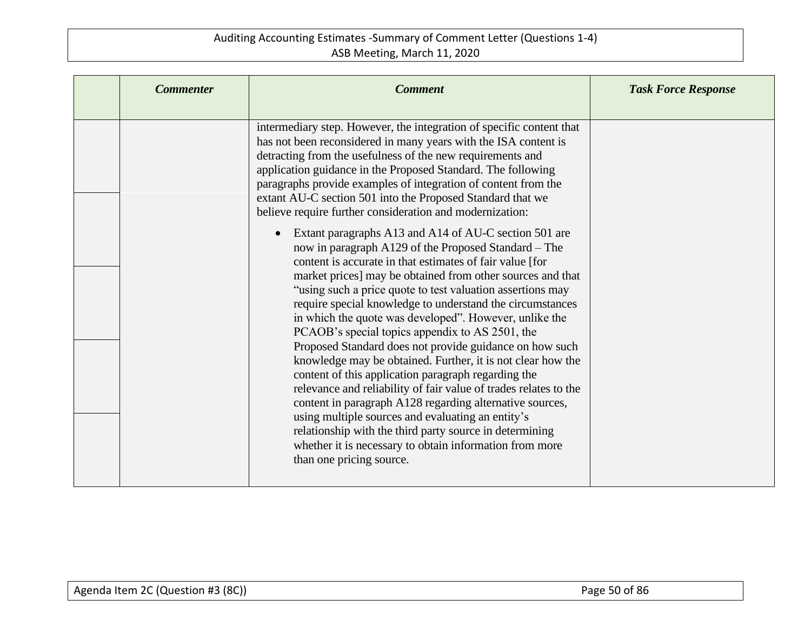| <b>Commenter</b> | <b>Comment</b>                                                                                                                                                                                                                                                                                                                                                                                                                                                                                                                                                                                                                                                                                                                                                                                                                                                                                                                                                                                                                                                                                                                                                                                                                                                                                                                                                                                                                                   | <b>Task Force Response</b> |
|------------------|--------------------------------------------------------------------------------------------------------------------------------------------------------------------------------------------------------------------------------------------------------------------------------------------------------------------------------------------------------------------------------------------------------------------------------------------------------------------------------------------------------------------------------------------------------------------------------------------------------------------------------------------------------------------------------------------------------------------------------------------------------------------------------------------------------------------------------------------------------------------------------------------------------------------------------------------------------------------------------------------------------------------------------------------------------------------------------------------------------------------------------------------------------------------------------------------------------------------------------------------------------------------------------------------------------------------------------------------------------------------------------------------------------------------------------------------------|----------------------------|
|                  | intermediary step. However, the integration of specific content that<br>has not been reconsidered in many years with the ISA content is<br>detracting from the usefulness of the new requirements and<br>application guidance in the Proposed Standard. The following<br>paragraphs provide examples of integration of content from the<br>extant AU-C section 501 into the Proposed Standard that we<br>believe require further consideration and modernization:<br>Extant paragraphs A13 and A14 of AU-C section 501 are<br>now in paragraph A129 of the Proposed Standard – The<br>content is accurate in that estimates of fair value [for<br>market prices] may be obtained from other sources and that<br>"using such a price quote to test valuation assertions may<br>require special knowledge to understand the circumstances<br>in which the quote was developed". However, unlike the<br>PCAOB's special topics appendix to AS 2501, the<br>Proposed Standard does not provide guidance on how such<br>knowledge may be obtained. Further, it is not clear how the<br>content of this application paragraph regarding the<br>relevance and reliability of fair value of trades relates to the<br>content in paragraph A128 regarding alternative sources,<br>using multiple sources and evaluating an entity's<br>relationship with the third party source in determining<br>whether it is necessary to obtain information from more |                            |
|                  | than one pricing source.                                                                                                                                                                                                                                                                                                                                                                                                                                                                                                                                                                                                                                                                                                                                                                                                                                                                                                                                                                                                                                                                                                                                                                                                                                                                                                                                                                                                                         |                            |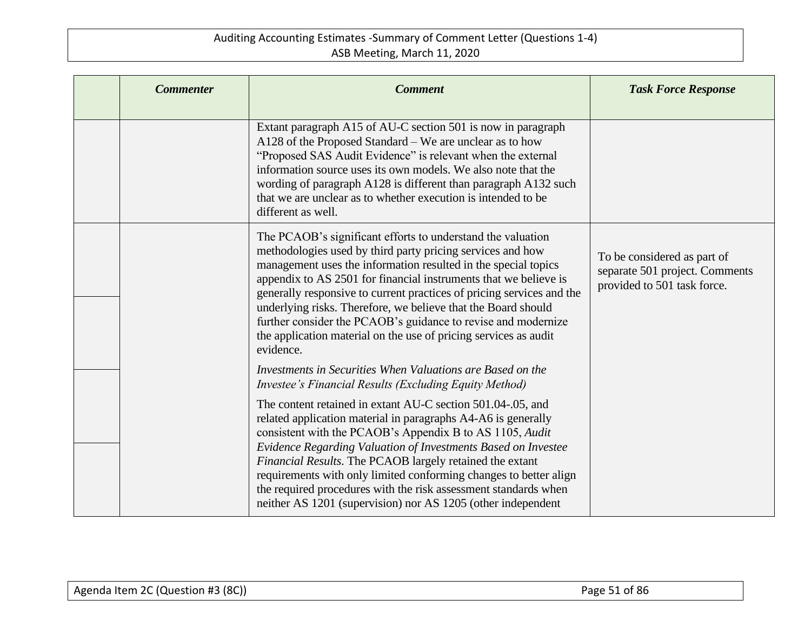| <b>Commenter</b> | <b>Comment</b>                                                                                                                                                                                                                                                                                                                                                                                                                                                                                                                                              | <b>Task Force Response</b>                                                                   |
|------------------|-------------------------------------------------------------------------------------------------------------------------------------------------------------------------------------------------------------------------------------------------------------------------------------------------------------------------------------------------------------------------------------------------------------------------------------------------------------------------------------------------------------------------------------------------------------|----------------------------------------------------------------------------------------------|
|                  | Extant paragraph A15 of AU-C section 501 is now in paragraph<br>A128 of the Proposed Standard – We are unclear as to how<br>"Proposed SAS Audit Evidence" is relevant when the external<br>information source uses its own models. We also note that the<br>wording of paragraph A128 is different than paragraph A132 such<br>that we are unclear as to whether execution is intended to be<br>different as well.                                                                                                                                          |                                                                                              |
|                  | The PCAOB's significant efforts to understand the valuation<br>methodologies used by third party pricing services and how<br>management uses the information resulted in the special topics<br>appendix to AS 2501 for financial instruments that we believe is<br>generally responsive to current practices of pricing services and the<br>underlying risks. Therefore, we believe that the Board should<br>further consider the PCAOB's guidance to revise and modernize<br>the application material on the use of pricing services as audit<br>evidence. | To be considered as part of<br>separate 501 project. Comments<br>provided to 501 task force. |
|                  | Investments in Securities When Valuations are Based on the<br>Investee's Financial Results (Excluding Equity Method)                                                                                                                                                                                                                                                                                                                                                                                                                                        |                                                                                              |
|                  | The content retained in extant AU-C section 501.04-.05, and<br>related application material in paragraphs A4-A6 is generally<br>consistent with the PCAOB's Appendix B to AS 1105, Audit<br>Evidence Regarding Valuation of Investments Based on Investee<br>Financial Results. The PCAOB largely retained the extant<br>requirements with only limited conforming changes to better align<br>the required procedures with the risk assessment standards when<br>neither AS 1201 (supervision) nor AS 1205 (other independent                               |                                                                                              |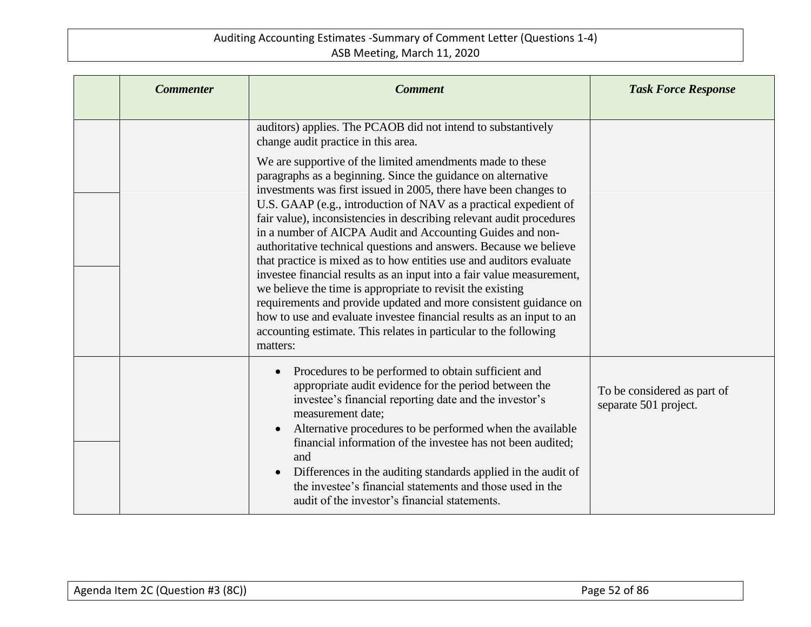| <b>Commenter</b> | <b>Comment</b>                                                                                                                                                                                                                                                                                                                                                                                                                                                                                                                                                                                                                                                                                                                                                                                                                                                                                                        | <b>Task Force Response</b>                           |
|------------------|-----------------------------------------------------------------------------------------------------------------------------------------------------------------------------------------------------------------------------------------------------------------------------------------------------------------------------------------------------------------------------------------------------------------------------------------------------------------------------------------------------------------------------------------------------------------------------------------------------------------------------------------------------------------------------------------------------------------------------------------------------------------------------------------------------------------------------------------------------------------------------------------------------------------------|------------------------------------------------------|
|                  | auditors) applies. The PCAOB did not intend to substantively<br>change audit practice in this area.                                                                                                                                                                                                                                                                                                                                                                                                                                                                                                                                                                                                                                                                                                                                                                                                                   |                                                      |
|                  | We are supportive of the limited amendments made to these<br>paragraphs as a beginning. Since the guidance on alternative<br>investments was first issued in 2005, there have been changes to<br>U.S. GAAP (e.g., introduction of NAV as a practical expedient of<br>fair value), inconsistencies in describing relevant audit procedures<br>in a number of AICPA Audit and Accounting Guides and non-<br>authoritative technical questions and answers. Because we believe<br>that practice is mixed as to how entities use and auditors evaluate<br>investee financial results as an input into a fair value measurement,<br>we believe the time is appropriate to revisit the existing<br>requirements and provide updated and more consistent guidance on<br>how to use and evaluate investee financial results as an input to an<br>accounting estimate. This relates in particular to the following<br>matters: |                                                      |
|                  | Procedures to be performed to obtain sufficient and<br>appropriate audit evidence for the period between the<br>investee's financial reporting date and the investor's<br>measurement date;<br>Alternative procedures to be performed when the available<br>financial information of the investee has not been audited;<br>and<br>Differences in the auditing standards applied in the audit of<br>the investee's financial statements and those used in the<br>audit of the investor's financial statements.                                                                                                                                                                                                                                                                                                                                                                                                         | To be considered as part of<br>separate 501 project. |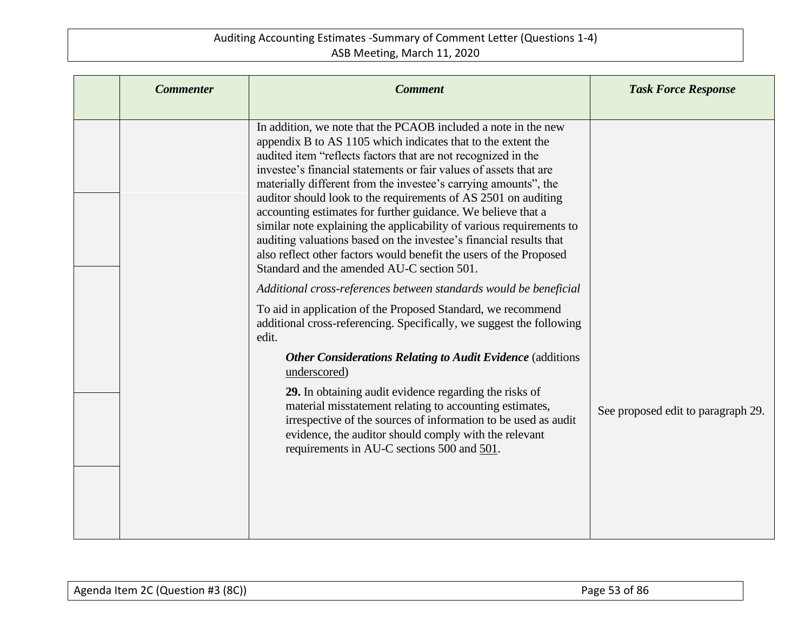| <b>Commenter</b> | <b>Comment</b>                                                                                                                                                                                                                                                                                                                                                                                                                                                                                                                                                                                                                                                                                                                              | <b>Task Force Response</b>         |
|------------------|---------------------------------------------------------------------------------------------------------------------------------------------------------------------------------------------------------------------------------------------------------------------------------------------------------------------------------------------------------------------------------------------------------------------------------------------------------------------------------------------------------------------------------------------------------------------------------------------------------------------------------------------------------------------------------------------------------------------------------------------|------------------------------------|
|                  | In addition, we note that the PCAOB included a note in the new<br>appendix B to AS 1105 which indicates that to the extent the<br>audited item "reflects factors that are not recognized in the<br>investee's financial statements or fair values of assets that are<br>materially different from the investee's carrying amounts", the<br>auditor should look to the requirements of AS 2501 on auditing<br>accounting estimates for further guidance. We believe that a<br>similar note explaining the applicability of various requirements to<br>auditing valuations based on the investee's financial results that<br>also reflect other factors would benefit the users of the Proposed<br>Standard and the amended AU-C section 501. |                                    |
|                  | Additional cross-references between standards would be beneficial<br>To aid in application of the Proposed Standard, we recommend<br>additional cross-referencing. Specifically, we suggest the following<br>edit.<br><b>Other Considerations Relating to Audit Evidence</b> (additions<br>underscored)<br>29. In obtaining audit evidence regarding the risks of                                                                                                                                                                                                                                                                                                                                                                           |                                    |
|                  | material misstatement relating to accounting estimates,<br>irrespective of the sources of information to be used as audit<br>evidence, the auditor should comply with the relevant<br>requirements in AU-C sections 500 and 501.                                                                                                                                                                                                                                                                                                                                                                                                                                                                                                            | See proposed edit to paragraph 29. |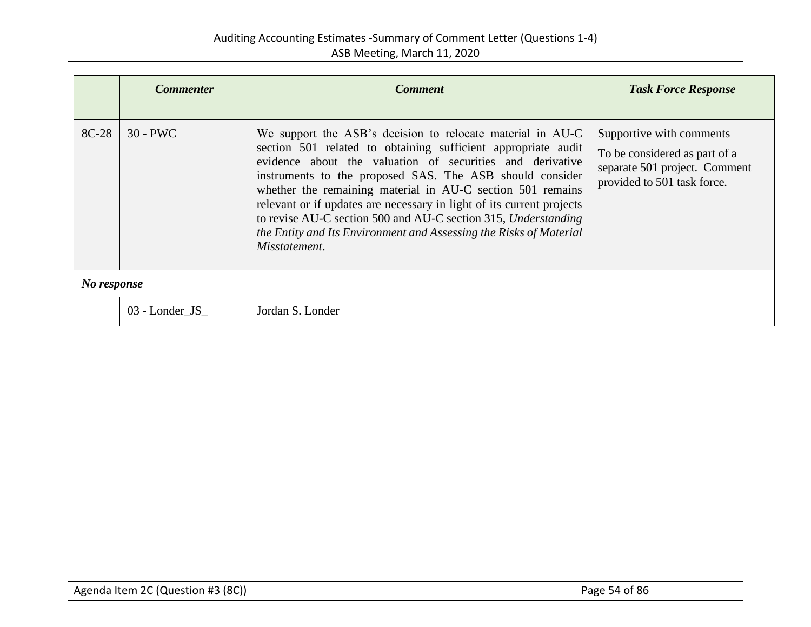|             | <b>Commenter</b> | <b>Comment</b>                                                                                                                                                                                                                                                                                                                                                                                                                                                                                                                                       | <b>Task Force Response</b>                                                                                                |  |
|-------------|------------------|------------------------------------------------------------------------------------------------------------------------------------------------------------------------------------------------------------------------------------------------------------------------------------------------------------------------------------------------------------------------------------------------------------------------------------------------------------------------------------------------------------------------------------------------------|---------------------------------------------------------------------------------------------------------------------------|--|
| 8C-28       | $30 - PWC$       | We support the ASB's decision to relocate material in AU-C<br>section 501 related to obtaining sufficient appropriate audit<br>evidence about the valuation of securities and derivative<br>instruments to the proposed SAS. The ASB should consider<br>whether the remaining material in AU-C section 501 remains<br>relevant or if updates are necessary in light of its current projects<br>to revise AU-C section 500 and AU-C section 315, Understanding<br>the Entity and Its Environment and Assessing the Risks of Material<br>Misstatement. | Supportive with comments<br>To be considered as part of a<br>separate 501 project. Comment<br>provided to 501 task force. |  |
| No response |                  |                                                                                                                                                                                                                                                                                                                                                                                                                                                                                                                                                      |                                                                                                                           |  |
|             | 03 - Londer JS   | Jordan S. Londer                                                                                                                                                                                                                                                                                                                                                                                                                                                                                                                                     |                                                                                                                           |  |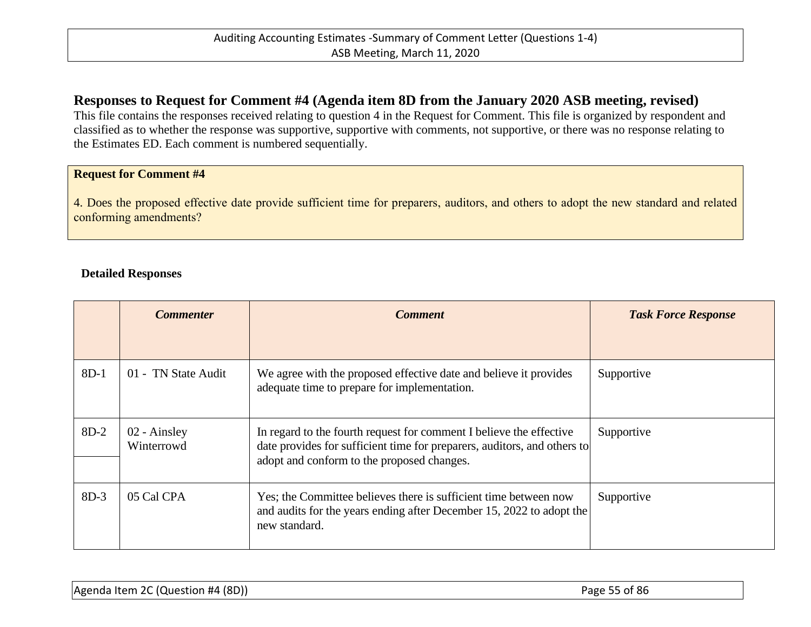## **Responses to Request for Comment #4 (Agenda item 8D from the January 2020 ASB meeting, revised)**

This file contains the responses received relating to question 4 in the Request for Comment. This file is organized by respondent and classified as to whether the response was supportive, supportive with comments, not supportive, or there was no response relating to the Estimates ED. Each comment is numbered sequentially.

### **Request for Comment #4**

4. Does the proposed effective date provide sufficient time for preparers, auditors, and others to adopt the new standard and related conforming amendments?

### **Detailed Responses**

|        | <b>Commenter</b>           | <b>Comment</b>                                                                                                                                                                                | <b>Task Force Response</b> |
|--------|----------------------------|-----------------------------------------------------------------------------------------------------------------------------------------------------------------------------------------------|----------------------------|
| $8D-1$ | 01 - TN State Audit        | We agree with the proposed effective date and believe it provides<br>adequate time to prepare for implementation.                                                                             | Supportive                 |
|        |                            |                                                                                                                                                                                               |                            |
| $8D-2$ | 02 - Ainsley<br>Winterrowd | In regard to the fourth request for comment I believe the effective<br>date provides for sufficient time for preparers, auditors, and others to<br>adopt and conform to the proposed changes. | Supportive                 |
| $8D-3$ | 05 Cal CPA                 | Yes; the Committee believes there is sufficient time between now<br>and audits for the years ending after December 15, 2022 to adopt the<br>new standard.                                     | Supportive                 |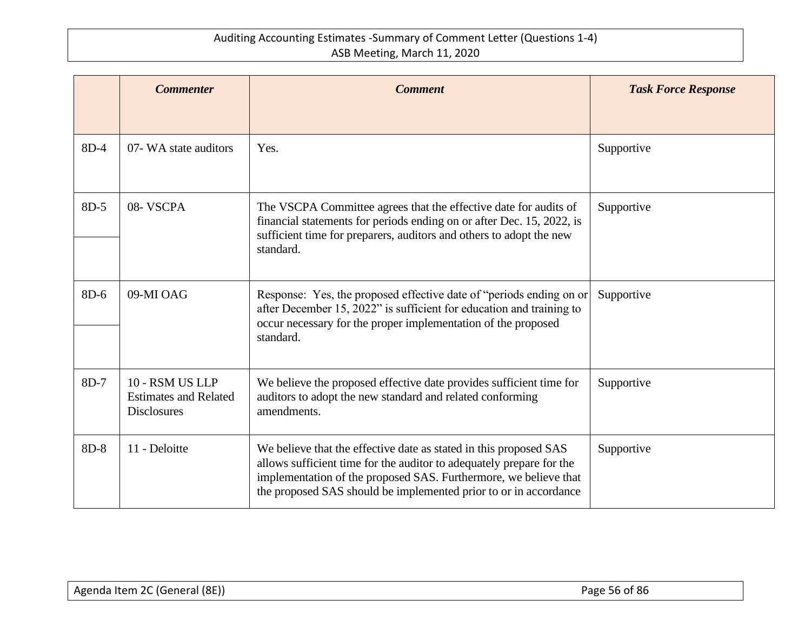|        | <b>Commenter</b>                                                      | <b>Comment</b>                                                                                                                                                                                                                                                                    | <b>Task Force Response</b> |
|--------|-----------------------------------------------------------------------|-----------------------------------------------------------------------------------------------------------------------------------------------------------------------------------------------------------------------------------------------------------------------------------|----------------------------|
|        |                                                                       |                                                                                                                                                                                                                                                                                   |                            |
| $8D-4$ | 07- WA state auditors                                                 | Yes.                                                                                                                                                                                                                                                                              | Supportive                 |
| 8D-5   | 08- VSCPA                                                             | The VSCPA Committee agrees that the effective date for audits of<br>financial statements for periods ending on or after Dec. 15, 2022, is<br>sufficient time for preparers, auditors and others to adopt the new<br>standard.                                                     | Supportive                 |
| 8D-6   | 09-MI OAG                                                             | Response: Yes, the proposed effective date of "periods ending on or<br>after December 15, 2022" is sufficient for education and training to<br>occur necessary for the proper implementation of the proposed<br>standard.                                                         | Supportive                 |
| 8D-7   | 10 - RSM US LLP<br><b>Estimates and Related</b><br><b>Disclosures</b> | We believe the proposed effective date provides sufficient time for<br>auditors to adopt the new standard and related conforming<br>amendments.                                                                                                                                   | Supportive                 |
| 8D-8   | 11 - Deloitte                                                         | We believe that the effective date as stated in this proposed SAS<br>allows sufficient time for the auditor to adequately prepare for the<br>implementation of the proposed SAS. Furthermore, we believe that<br>the proposed SAS should be implemented prior to or in accordance | Supportive                 |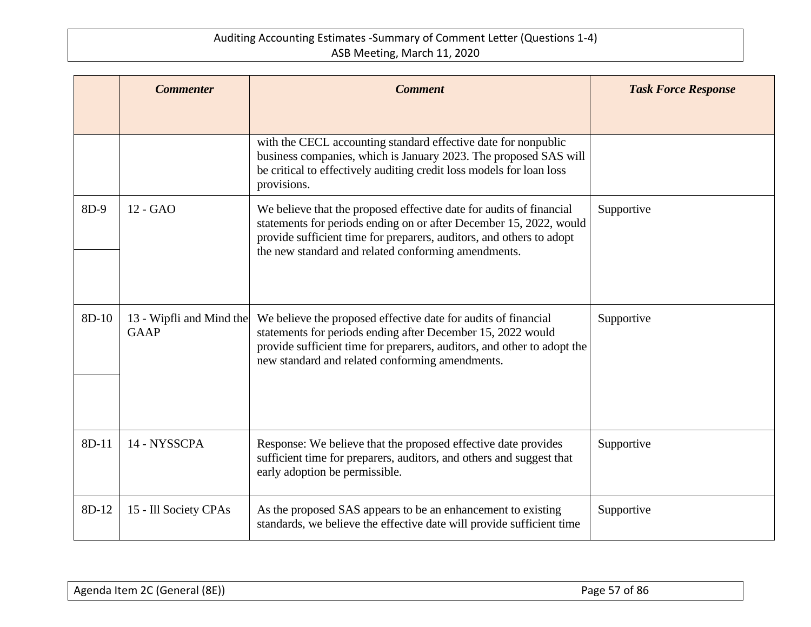|       | <b>Commenter</b>                        | <b>Comment</b>                                                                                                                                                                                                                                                           | <b>Task Force Response</b> |
|-------|-----------------------------------------|--------------------------------------------------------------------------------------------------------------------------------------------------------------------------------------------------------------------------------------------------------------------------|----------------------------|
|       |                                         |                                                                                                                                                                                                                                                                          |                            |
|       |                                         | with the CECL accounting standard effective date for nonpublic<br>business companies, which is January 2023. The proposed SAS will<br>be critical to effectively auditing credit loss models for loan loss<br>provisions.                                                |                            |
| 8D-9  | 12 - GAO                                | We believe that the proposed effective date for audits of financial<br>statements for periods ending on or after December 15, 2022, would<br>provide sufficient time for preparers, auditors, and others to adopt<br>the new standard and related conforming amendments. | Supportive                 |
| 8D-10 | 13 - Wipfli and Mind the<br><b>GAAP</b> | We believe the proposed effective date for audits of financial<br>statements for periods ending after December 15, 2022 would<br>provide sufficient time for preparers, auditors, and other to adopt the<br>new standard and related conforming amendments.              | Supportive                 |
| 8D-11 | 14 - NYSSCPA                            | Response: We believe that the proposed effective date provides<br>sufficient time for preparers, auditors, and others and suggest that<br>early adoption be permissible.                                                                                                 | Supportive                 |
| 8D-12 | 15 - Ill Society CPAs                   | As the proposed SAS appears to be an enhancement to existing<br>standards, we believe the effective date will provide sufficient time                                                                                                                                    | Supportive                 |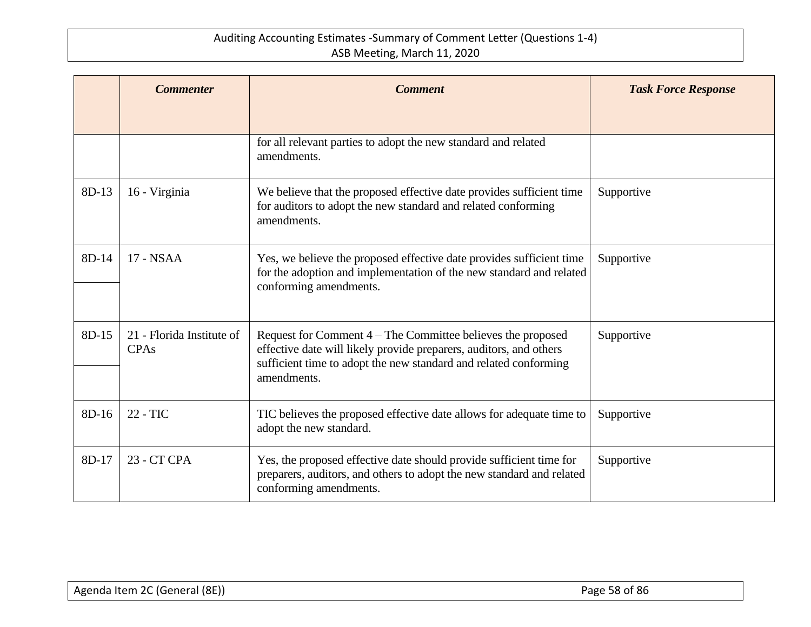|         | <b>Commenter</b>                         | <b>Comment</b>                                                                                                                                                                                                       | <b>Task Force Response</b> |
|---------|------------------------------------------|----------------------------------------------------------------------------------------------------------------------------------------------------------------------------------------------------------------------|----------------------------|
|         |                                          |                                                                                                                                                                                                                      |                            |
|         |                                          | for all relevant parties to adopt the new standard and related<br>amendments.                                                                                                                                        |                            |
| $8D-13$ | 16 - Virginia                            | We believe that the proposed effective date provides sufficient time<br>for auditors to adopt the new standard and related conforming<br>amendments.                                                                 | Supportive                 |
| 8D-14   | 17 - NSAA                                | Yes, we believe the proposed effective date provides sufficient time<br>for the adoption and implementation of the new standard and related<br>conforming amendments.                                                | Supportive                 |
| 8D-15   | 21 - Florida Institute of<br><b>CPAs</b> | Request for Comment 4 – The Committee believes the proposed<br>effective date will likely provide preparers, auditors, and others<br>sufficient time to adopt the new standard and related conforming<br>amendments. | Supportive                 |
| $8D-16$ | 22 - TIC                                 | TIC believes the proposed effective date allows for adequate time to<br>adopt the new standard.                                                                                                                      | Supportive                 |
| $8D-17$ | 23 - CT CPA                              | Yes, the proposed effective date should provide sufficient time for<br>preparers, auditors, and others to adopt the new standard and related<br>conforming amendments.                                               | Supportive                 |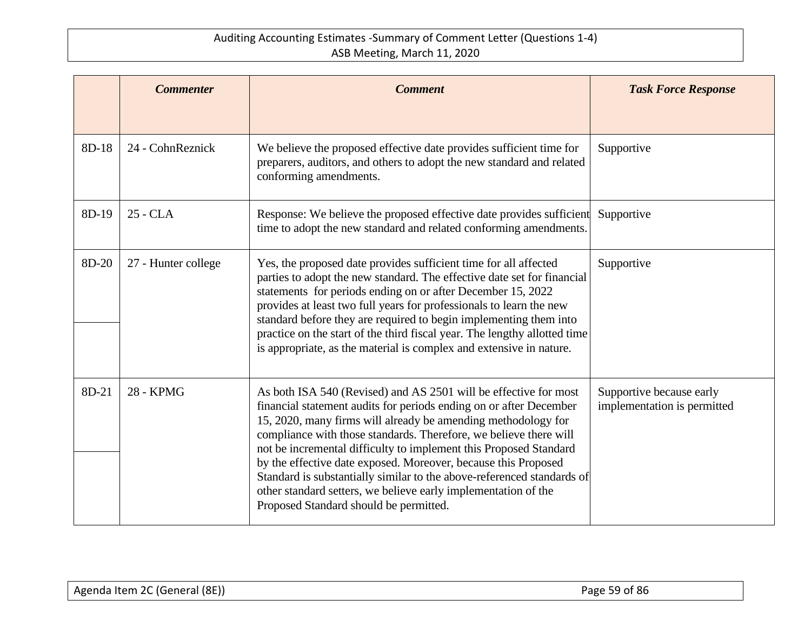|       | <b>Commenter</b>    | <b>Comment</b>                                                                                                                                                                                                                                                                                                                                                                                                                                                                                                                                                                                            | <b>Task Force Response</b>                              |
|-------|---------------------|-----------------------------------------------------------------------------------------------------------------------------------------------------------------------------------------------------------------------------------------------------------------------------------------------------------------------------------------------------------------------------------------------------------------------------------------------------------------------------------------------------------------------------------------------------------------------------------------------------------|---------------------------------------------------------|
| 8D-18 | 24 - CohnReznick    | We believe the proposed effective date provides sufficient time for<br>preparers, auditors, and others to adopt the new standard and related<br>conforming amendments.                                                                                                                                                                                                                                                                                                                                                                                                                                    | Supportive                                              |
| 8D-19 | 25 - CLA            | Response: We believe the proposed effective date provides sufficient<br>time to adopt the new standard and related conforming amendments.                                                                                                                                                                                                                                                                                                                                                                                                                                                                 | Supportive                                              |
| 8D-20 | 27 - Hunter college | Yes, the proposed date provides sufficient time for all affected<br>parties to adopt the new standard. The effective date set for financial<br>statements for periods ending on or after December 15, 2022<br>provides at least two full years for professionals to learn the new<br>standard before they are required to begin implementing them into<br>practice on the start of the third fiscal year. The lengthy allotted time<br>is appropriate, as the material is complex and extensive in nature.                                                                                                | Supportive                                              |
| 8D-21 | 28 - KPMG           | As both ISA 540 (Revised) and AS 2501 will be effective for most<br>financial statement audits for periods ending on or after December<br>15, 2020, many firms will already be amending methodology for<br>compliance with those standards. Therefore, we believe there will<br>not be incremental difficulty to implement this Proposed Standard<br>by the effective date exposed. Moreover, because this Proposed<br>Standard is substantially similar to the above-referenced standards of<br>other standard setters, we believe early implementation of the<br>Proposed Standard should be permitted. | Supportive because early<br>implementation is permitted |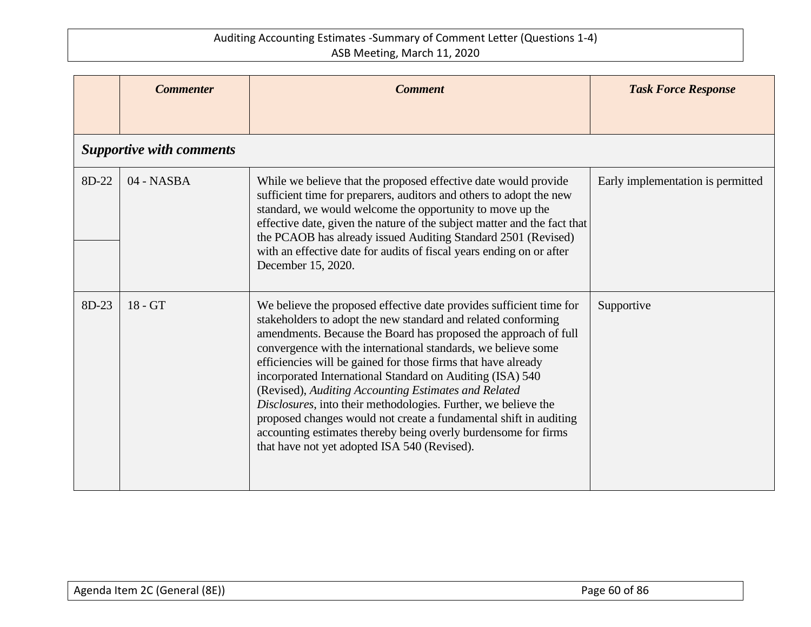|       | <b>Commenter</b>                | <b>Comment</b>                                                                                                                                                                                                                                                                                                                                                                                                                                                                                                                                                                                                                                                                                                          | <b>Task Force Response</b>        |
|-------|---------------------------------|-------------------------------------------------------------------------------------------------------------------------------------------------------------------------------------------------------------------------------------------------------------------------------------------------------------------------------------------------------------------------------------------------------------------------------------------------------------------------------------------------------------------------------------------------------------------------------------------------------------------------------------------------------------------------------------------------------------------------|-----------------------------------|
|       | <b>Supportive with comments</b> |                                                                                                                                                                                                                                                                                                                                                                                                                                                                                                                                                                                                                                                                                                                         |                                   |
|       |                                 |                                                                                                                                                                                                                                                                                                                                                                                                                                                                                                                                                                                                                                                                                                                         |                                   |
| 8D-22 | 04 - NASBA                      | While we believe that the proposed effective date would provide<br>sufficient time for preparers, auditors and others to adopt the new<br>standard, we would welcome the opportunity to move up the<br>effective date, given the nature of the subject matter and the fact that<br>the PCAOB has already issued Auditing Standard 2501 (Revised)<br>with an effective date for audits of fiscal years ending on or after<br>December 15, 2020.                                                                                                                                                                                                                                                                          | Early implementation is permitted |
| 8D-23 | $18 - GT$                       | We believe the proposed effective date provides sufficient time for<br>stakeholders to adopt the new standard and related conforming<br>amendments. Because the Board has proposed the approach of full<br>convergence with the international standards, we believe some<br>efficiencies will be gained for those firms that have already<br>incorporated International Standard on Auditing (ISA) 540<br>(Revised), Auditing Accounting Estimates and Related<br>Disclosures, into their methodologies. Further, we believe the<br>proposed changes would not create a fundamental shift in auditing<br>accounting estimates thereby being overly burdensome for firms<br>that have not yet adopted ISA 540 (Revised). | Supportive                        |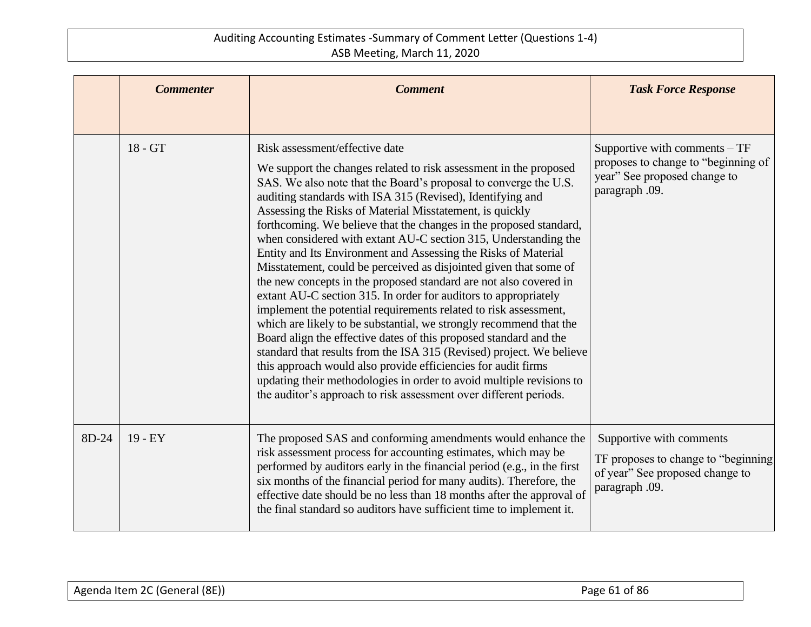|       | <b>Commenter</b> | <b>Comment</b>                                                                                                                                                                                                                                                                                                                                                                                                                                                                                                                                                                                                                                                                                                                                                                                                                                                                                                                                                                                                                                                                                                                                                                                                                 | <b>Task Force Response</b>                                                                                              |
|-------|------------------|--------------------------------------------------------------------------------------------------------------------------------------------------------------------------------------------------------------------------------------------------------------------------------------------------------------------------------------------------------------------------------------------------------------------------------------------------------------------------------------------------------------------------------------------------------------------------------------------------------------------------------------------------------------------------------------------------------------------------------------------------------------------------------------------------------------------------------------------------------------------------------------------------------------------------------------------------------------------------------------------------------------------------------------------------------------------------------------------------------------------------------------------------------------------------------------------------------------------------------|-------------------------------------------------------------------------------------------------------------------------|
|       | 18 - GT          | Risk assessment/effective date<br>We support the changes related to risk assessment in the proposed<br>SAS. We also note that the Board's proposal to converge the U.S.<br>auditing standards with ISA 315 (Revised), Identifying and<br>Assessing the Risks of Material Misstatement, is quickly<br>forthcoming. We believe that the changes in the proposed standard,<br>when considered with extant AU-C section 315, Understanding the<br>Entity and Its Environment and Assessing the Risks of Material<br>Misstatement, could be perceived as disjointed given that some of<br>the new concepts in the proposed standard are not also covered in<br>extant AU-C section 315. In order for auditors to appropriately<br>implement the potential requirements related to risk assessment,<br>which are likely to be substantial, we strongly recommend that the<br>Board align the effective dates of this proposed standard and the<br>standard that results from the ISA 315 (Revised) project. We believe<br>this approach would also provide efficiencies for audit firms<br>updating their methodologies in order to avoid multiple revisions to<br>the auditor's approach to risk assessment over different periods. | Supportive with comments $-TF$<br>proposes to change to "beginning of<br>year" See proposed change to<br>paragraph .09. |
| 8D-24 | $19 - EY$        | The proposed SAS and conforming amendments would enhance the<br>risk assessment process for accounting estimates, which may be<br>performed by auditors early in the financial period (e.g., in the first<br>six months of the financial period for many audits). Therefore, the<br>effective date should be no less than 18 months after the approval of<br>the final standard so auditors have sufficient time to implement it.                                                                                                                                                                                                                                                                                                                                                                                                                                                                                                                                                                                                                                                                                                                                                                                              | Supportive with comments<br>TF proposes to change to "beginning"<br>of year" See proposed change to<br>paragraph .09.   |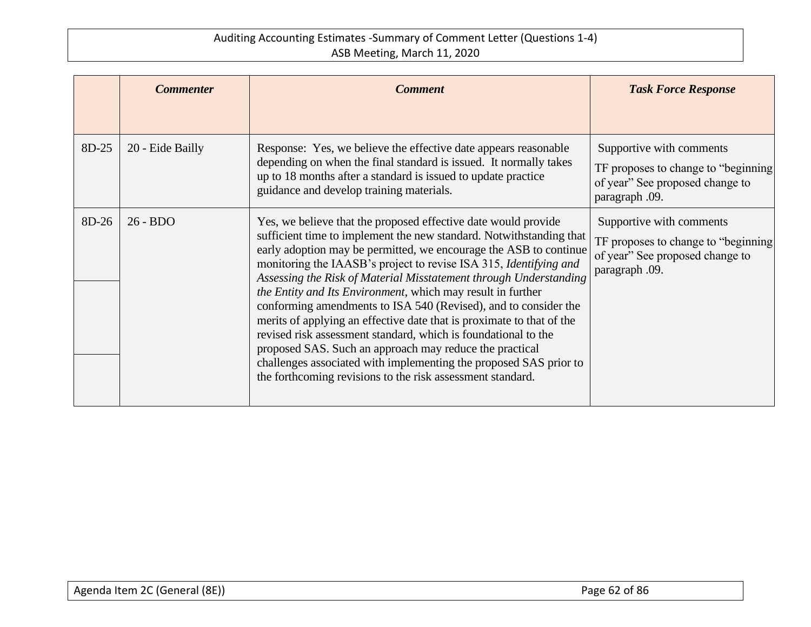|       | <b>Commenter</b> | <b>Comment</b>                                                                                                                                                                                                                                                                                                                                                                                                                                                                                                                                                                                                                                                                                                                                                                                                                  | <b>Task Force Response</b>                                                                                           |
|-------|------------------|---------------------------------------------------------------------------------------------------------------------------------------------------------------------------------------------------------------------------------------------------------------------------------------------------------------------------------------------------------------------------------------------------------------------------------------------------------------------------------------------------------------------------------------------------------------------------------------------------------------------------------------------------------------------------------------------------------------------------------------------------------------------------------------------------------------------------------|----------------------------------------------------------------------------------------------------------------------|
|       |                  |                                                                                                                                                                                                                                                                                                                                                                                                                                                                                                                                                                                                                                                                                                                                                                                                                                 |                                                                                                                      |
| 8D-25 | 20 - Eide Bailly | Response: Yes, we believe the effective date appears reasonable<br>depending on when the final standard is issued. It normally takes<br>up to 18 months after a standard is issued to update practice<br>guidance and develop training materials.                                                                                                                                                                                                                                                                                                                                                                                                                                                                                                                                                                               | Supportive with comments<br>TF proposes to change to "beginning<br>of year" See proposed change to<br>paragraph .09. |
| 8D-26 | $26 - BDO$       | Yes, we believe that the proposed effective date would provide<br>sufficient time to implement the new standard. Notwithstanding that<br>early adoption may be permitted, we encourage the ASB to continue<br>monitoring the IAASB's project to revise ISA 315, Identifying and<br>Assessing the Risk of Material Misstatement through Understanding<br>the Entity and Its Environment, which may result in further<br>conforming amendments to ISA 540 (Revised), and to consider the<br>merits of applying an effective date that is proximate to that of the<br>revised risk assessment standard, which is foundational to the<br>proposed SAS. Such an approach may reduce the practical<br>challenges associated with implementing the proposed SAS prior to<br>the forthcoming revisions to the risk assessment standard. | Supportive with comments<br>TF proposes to change to "beginning<br>of year" See proposed change to<br>paragraph .09. |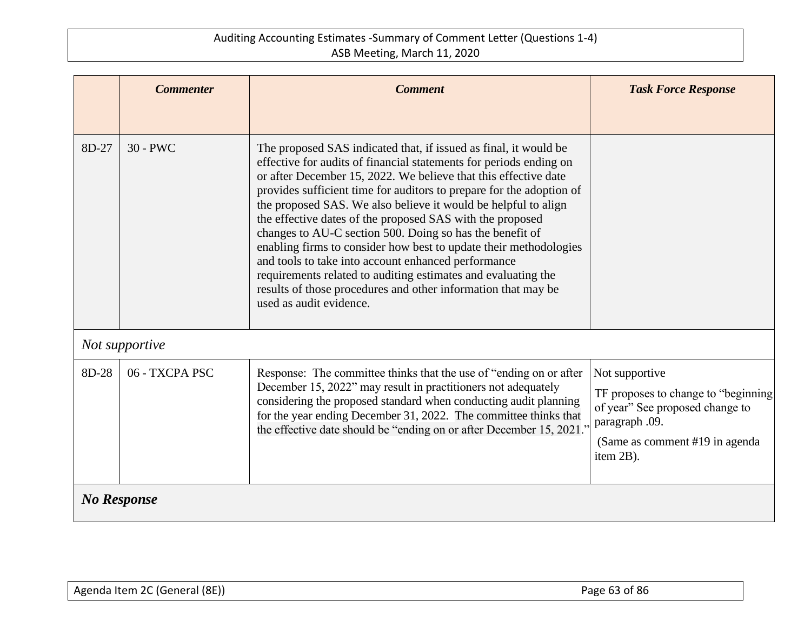|                    | <b>Commenter</b> | <b>Comment</b>                                                                                                                                                                                                                                                                                                                                                                                                                                                                                                                                                                                                                                                                                                                                                        | <b>Task Force Response</b>                                                                                                                                  |
|--------------------|------------------|-----------------------------------------------------------------------------------------------------------------------------------------------------------------------------------------------------------------------------------------------------------------------------------------------------------------------------------------------------------------------------------------------------------------------------------------------------------------------------------------------------------------------------------------------------------------------------------------------------------------------------------------------------------------------------------------------------------------------------------------------------------------------|-------------------------------------------------------------------------------------------------------------------------------------------------------------|
|                    |                  |                                                                                                                                                                                                                                                                                                                                                                                                                                                                                                                                                                                                                                                                                                                                                                       |                                                                                                                                                             |
| 8D-27              | $30 - PWC$       | The proposed SAS indicated that, if issued as final, it would be<br>effective for audits of financial statements for periods ending on<br>or after December 15, 2022. We believe that this effective date<br>provides sufficient time for auditors to prepare for the adoption of<br>the proposed SAS. We also believe it would be helpful to align<br>the effective dates of the proposed SAS with the proposed<br>changes to AU-C section 500. Doing so has the benefit of<br>enabling firms to consider how best to update their methodologies<br>and tools to take into account enhanced performance<br>requirements related to auditing estimates and evaluating the<br>results of those procedures and other information that may be<br>used as audit evidence. |                                                                                                                                                             |
|                    | Not supportive   |                                                                                                                                                                                                                                                                                                                                                                                                                                                                                                                                                                                                                                                                                                                                                                       |                                                                                                                                                             |
| 8D-28              | 06 - TXCPA PSC   | Response: The committee thinks that the use of "ending on or after"<br>December 15, 2022" may result in practitioners not adequately<br>considering the proposed standard when conducting audit planning<br>for the year ending December 31, 2022. The committee thinks that<br>the effective date should be "ending on or after December 15, 2021."                                                                                                                                                                                                                                                                                                                                                                                                                  | Not supportive<br>TF proposes to change to "beginning"<br>of year" See proposed change to<br>paragraph .09.<br>(Same as comment #19 in agenda)<br>item 2B). |
| <b>No Response</b> |                  |                                                                                                                                                                                                                                                                                                                                                                                                                                                                                                                                                                                                                                                                                                                                                                       |                                                                                                                                                             |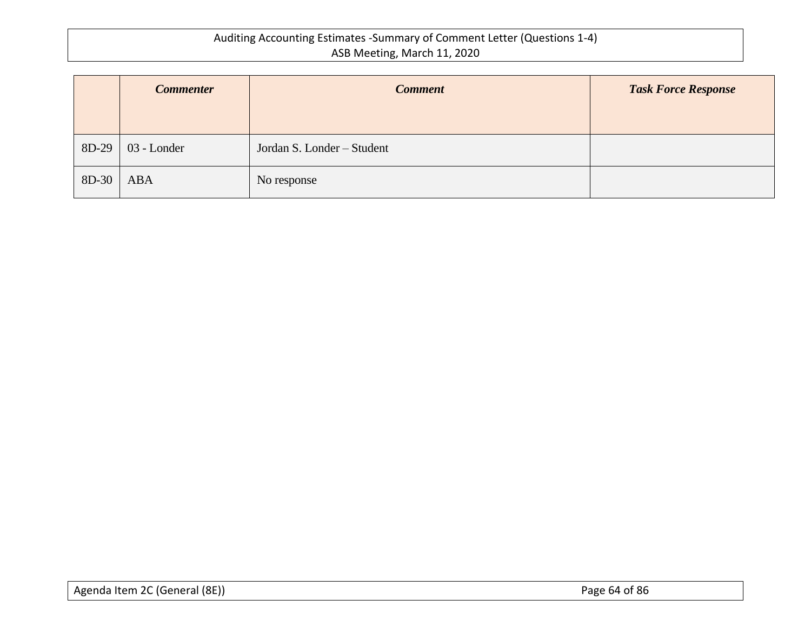|       | <b>Commenter</b> | <b>Comment</b>             | <b>Task Force Response</b> |
|-------|------------------|----------------------------|----------------------------|
| 8D-29 | 03 - Londer      | Jordan S. Londer - Student |                            |
| 8D-30 | <b>ABA</b>       | No response                |                            |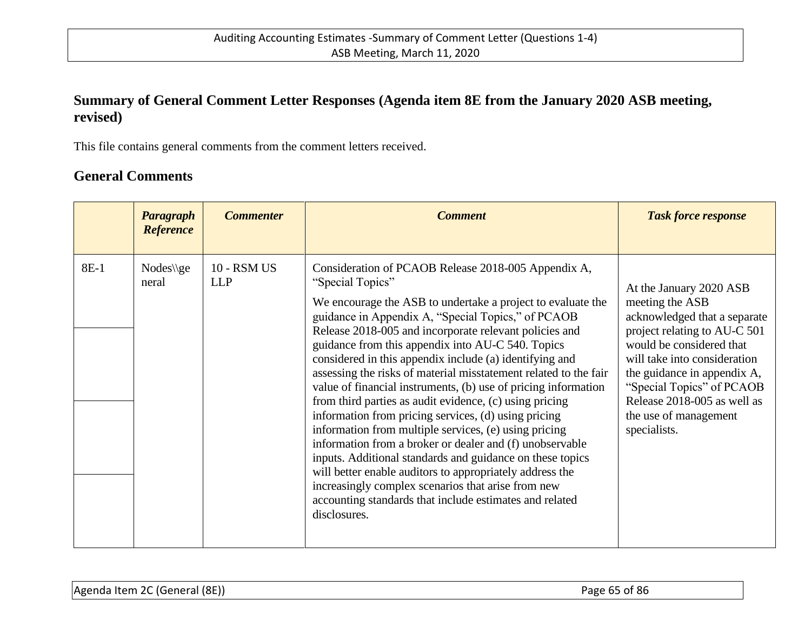## **Summary of General Comment Letter Responses (Agenda item 8E from the January 2020 ASB meeting, revised)**

This file contains general comments from the comment letters received.

# **General Comments**

|      | Paragraph<br><b>Reference</b> | <b>Commenter</b>          | <b>Comment</b>                                                                                                                                                                                                                                                                                                                                                                                                                                                                                                                                                                                                                                                                                                                                                                                                                                                                                                                                                                                                 | <b>Task force response</b>                                                                                                                                                                                                                                                                                 |
|------|-------------------------------|---------------------------|----------------------------------------------------------------------------------------------------------------------------------------------------------------------------------------------------------------------------------------------------------------------------------------------------------------------------------------------------------------------------------------------------------------------------------------------------------------------------------------------------------------------------------------------------------------------------------------------------------------------------------------------------------------------------------------------------------------------------------------------------------------------------------------------------------------------------------------------------------------------------------------------------------------------------------------------------------------------------------------------------------------|------------------------------------------------------------------------------------------------------------------------------------------------------------------------------------------------------------------------------------------------------------------------------------------------------------|
| 8E-1 | $Nodes\q$<br>neral            | 10 - RSM US<br><b>LLP</b> | Consideration of PCAOB Release 2018-005 Appendix A,<br>"Special Topics"<br>We encourage the ASB to undertake a project to evaluate the<br>guidance in Appendix A, "Special Topics," of PCAOB<br>Release 2018-005 and incorporate relevant policies and<br>guidance from this appendix into AU-C 540. Topics<br>considered in this appendix include (a) identifying and<br>assessing the risks of material misstatement related to the fair<br>value of financial instruments, (b) use of pricing information<br>from third parties as audit evidence, (c) using pricing<br>information from pricing services, (d) using pricing<br>information from multiple services, (e) using pricing<br>information from a broker or dealer and (f) unobservable<br>inputs. Additional standards and guidance on these topics<br>will better enable auditors to appropriately address the<br>increasingly complex scenarios that arise from new<br>accounting standards that include estimates and related<br>disclosures. | At the January 2020 ASB<br>meeting the ASB<br>acknowledged that a separate<br>project relating to AU-C 501<br>would be considered that<br>will take into consideration<br>the guidance in appendix A,<br>"Special Topics" of PCAOB<br>Release 2018-005 as well as<br>the use of management<br>specialists. |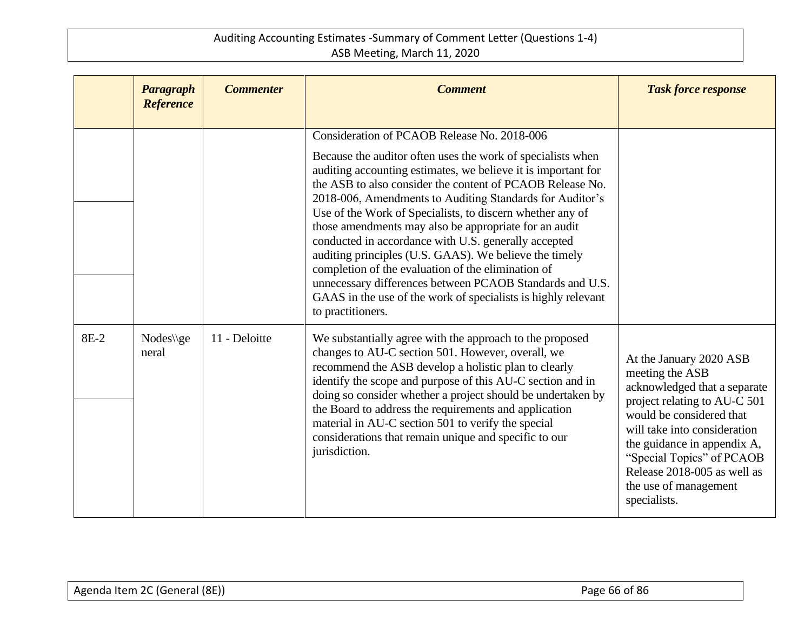|      | Paragraph<br><b>Reference</b> | <b>Commenter</b> | <b>Comment</b>                                                                                                                                                                                                                                                                                                                                                                                                                                                                                                                                                                                                                                                                                                                                       | <b>Task force response</b>                                                                                                                                                                                                                                                                                 |
|------|-------------------------------|------------------|------------------------------------------------------------------------------------------------------------------------------------------------------------------------------------------------------------------------------------------------------------------------------------------------------------------------------------------------------------------------------------------------------------------------------------------------------------------------------------------------------------------------------------------------------------------------------------------------------------------------------------------------------------------------------------------------------------------------------------------------------|------------------------------------------------------------------------------------------------------------------------------------------------------------------------------------------------------------------------------------------------------------------------------------------------------------|
|      |                               |                  | Consideration of PCAOB Release No. 2018-006<br>Because the auditor often uses the work of specialists when<br>auditing accounting estimates, we believe it is important for<br>the ASB to also consider the content of PCAOB Release No.<br>2018-006, Amendments to Auditing Standards for Auditor's<br>Use of the Work of Specialists, to discern whether any of<br>those amendments may also be appropriate for an audit<br>conducted in accordance with U.S. generally accepted<br>auditing principles (U.S. GAAS). We believe the timely<br>completion of the evaluation of the elimination of<br>unnecessary differences between PCAOB Standards and U.S.<br>GAAS in the use of the work of specialists is highly relevant<br>to practitioners. |                                                                                                                                                                                                                                                                                                            |
| 8E-2 | $Nodes\q$<br>neral            | 11 - Deloitte    | We substantially agree with the approach to the proposed<br>changes to AU-C section 501. However, overall, we<br>recommend the ASB develop a holistic plan to clearly<br>identify the scope and purpose of this AU-C section and in<br>doing so consider whether a project should be undertaken by<br>the Board to address the requirements and application<br>material in AU-C section 501 to verify the special<br>considerations that remain unique and specific to our<br>jurisdiction.                                                                                                                                                                                                                                                          | At the January 2020 ASB<br>meeting the ASB<br>acknowledged that a separate<br>project relating to AU-C 501<br>would be considered that<br>will take into consideration<br>the guidance in appendix A,<br>"Special Topics" of PCAOB<br>Release 2018-005 as well as<br>the use of management<br>specialists. |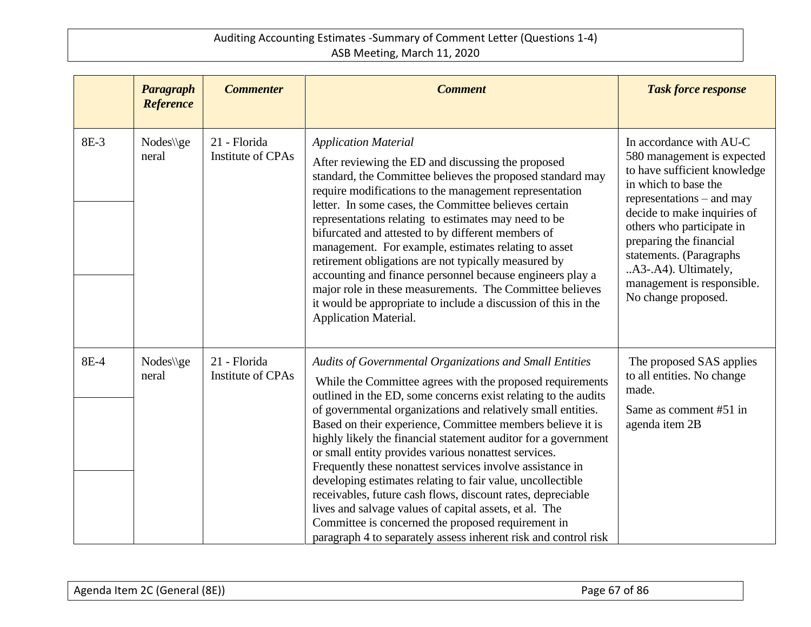|      | Paragraph<br><b>Reference</b> | <b>Commenter</b>                         | <b>Comment</b>                                                                                                                                                                                                                                                                                                                                                                                                                                                                                                                                                                                                                                                                                                                                                                                                              | <b>Task force response</b>                                                                                                                                                                                                                                                                                                                |
|------|-------------------------------|------------------------------------------|-----------------------------------------------------------------------------------------------------------------------------------------------------------------------------------------------------------------------------------------------------------------------------------------------------------------------------------------------------------------------------------------------------------------------------------------------------------------------------------------------------------------------------------------------------------------------------------------------------------------------------------------------------------------------------------------------------------------------------------------------------------------------------------------------------------------------------|-------------------------------------------------------------------------------------------------------------------------------------------------------------------------------------------------------------------------------------------------------------------------------------------------------------------------------------------|
| 8E-3 | $Nodes\q$<br>neral            | 21 - Florida<br>Institute of CPAs        | <b>Application Material</b><br>After reviewing the ED and discussing the proposed<br>standard, the Committee believes the proposed standard may<br>require modifications to the management representation<br>letter. In some cases, the Committee believes certain<br>representations relating to estimates may need to be<br>bifurcated and attested to by different members of<br>management. For example, estimates relating to asset<br>retirement obligations are not typically measured by<br>accounting and finance personnel because engineers play a<br>major role in these measurements. The Committee believes<br>it would be appropriate to include a discussion of this in the<br>Application Material.                                                                                                        | In accordance with AU-C<br>580 management is expected<br>to have sufficient knowledge<br>in which to base the<br>representations – and may<br>decide to make inquiries of<br>others who participate in<br>preparing the financial<br>statements. (Paragraphs<br>A3-.A4). Ultimately,<br>management is responsible.<br>No change proposed. |
| 8E-4 | $Nodes\q$<br>neral            | 21 - Florida<br><b>Institute of CPAs</b> | Audits of Governmental Organizations and Small Entities<br>While the Committee agrees with the proposed requirements<br>outlined in the ED, some concerns exist relating to the audits<br>of governmental organizations and relatively small entities.<br>Based on their experience, Committee members believe it is<br>highly likely the financial statement auditor for a government<br>or small entity provides various nonattest services.<br>Frequently these nonattest services involve assistance in<br>developing estimates relating to fair value, uncollectible<br>receivables, future cash flows, discount rates, depreciable<br>lives and salvage values of capital assets, et al. The<br>Committee is concerned the proposed requirement in<br>paragraph 4 to separately assess inherent risk and control risk | The proposed SAS applies<br>to all entities. No change<br>made.<br>Same as comment #51 in<br>agenda item 2B                                                                                                                                                                                                                               |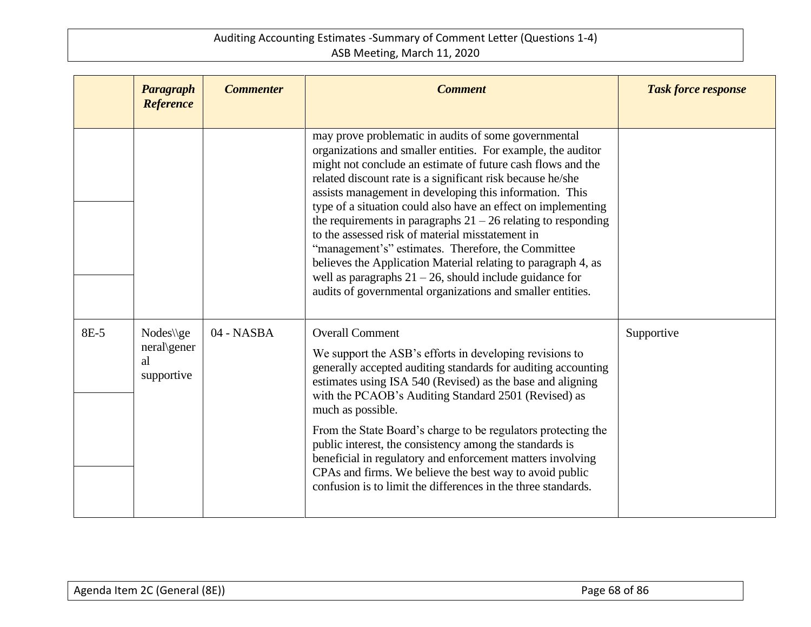|      | Paragraph<br><b>Reference</b>                | <b>Commenter</b> | <b>Comment</b>                                                                                                                                                                                                                                                                                                                                                                                                                                                                                                                                                                                                                                                                                                                                          | <b>Task force response</b> |
|------|----------------------------------------------|------------------|---------------------------------------------------------------------------------------------------------------------------------------------------------------------------------------------------------------------------------------------------------------------------------------------------------------------------------------------------------------------------------------------------------------------------------------------------------------------------------------------------------------------------------------------------------------------------------------------------------------------------------------------------------------------------------------------------------------------------------------------------------|----------------------------|
|      |                                              |                  | may prove problematic in audits of some governmental<br>organizations and smaller entities. For example, the auditor<br>might not conclude an estimate of future cash flows and the<br>related discount rate is a significant risk because he/she<br>assists management in developing this information. This<br>type of a situation could also have an effect on implementing<br>the requirements in paragraphs $21 - 26$ relating to responding<br>to the assessed risk of material misstatement in<br>"management's" estimates. Therefore, the Committee<br>believes the Application Material relating to paragraph 4, as<br>well as paragraphs $21 - 26$ , should include guidance for<br>audits of governmental organizations and smaller entities. |                            |
| 8E-5 | Nodes\\ge<br>neral\gener<br>al<br>supportive | 04 - NASBA       | <b>Overall Comment</b><br>We support the ASB's efforts in developing revisions to<br>generally accepted auditing standards for auditing accounting<br>estimates using ISA 540 (Revised) as the base and aligning<br>with the PCAOB's Auditing Standard 2501 (Revised) as<br>much as possible.<br>From the State Board's charge to be regulators protecting the<br>public interest, the consistency among the standards is<br>beneficial in regulatory and enforcement matters involving<br>CPAs and firms. We believe the best way to avoid public<br>confusion is to limit the differences in the three standards.                                                                                                                                     | Supportive                 |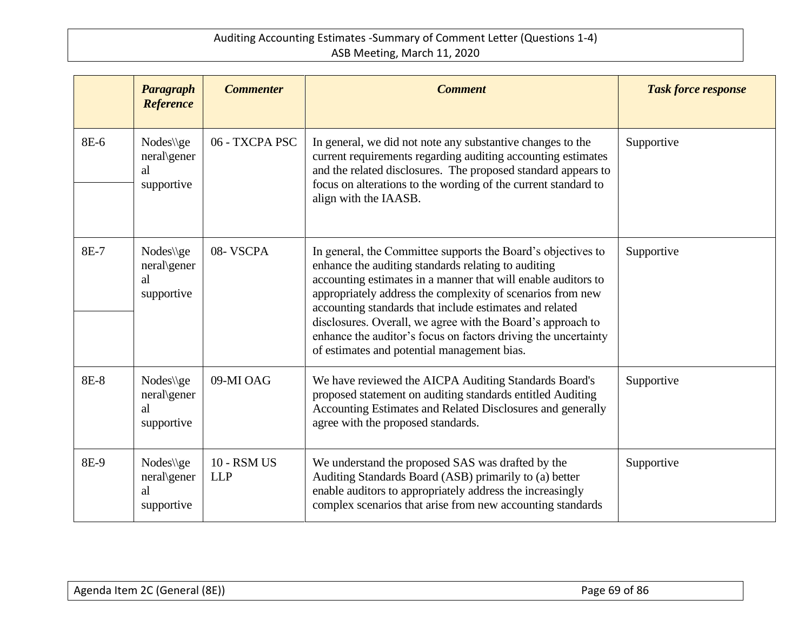|             | Paragraph<br><b>Reference</b>                | <b>Commenter</b>                 | <b>Comment</b>                                                                                                                                                                                                                                                                                                                                                                                                                                                                                | <b>Task force response</b> |
|-------------|----------------------------------------------|----------------------------------|-----------------------------------------------------------------------------------------------------------------------------------------------------------------------------------------------------------------------------------------------------------------------------------------------------------------------------------------------------------------------------------------------------------------------------------------------------------------------------------------------|----------------------------|
| 8E-6        | $Nodes\q$<br>neral\gener<br>al<br>supportive | 06 - TXCPA PSC                   | In general, we did not note any substantive changes to the<br>current requirements regarding auditing accounting estimates<br>and the related disclosures. The proposed standard appears to<br>focus on alterations to the wording of the current standard to<br>align with the IAASB.                                                                                                                                                                                                        | Supportive                 |
| 8E-7        | Nodes\\ge<br>neral\gener<br>al<br>supportive | 08-VSCPA                         | In general, the Committee supports the Board's objectives to<br>enhance the auditing standards relating to auditing<br>accounting estimates in a manner that will enable auditors to<br>appropriately address the complexity of scenarios from new<br>accounting standards that include estimates and related<br>disclosures. Overall, we agree with the Board's approach to<br>enhance the auditor's focus on factors driving the uncertainty<br>of estimates and potential management bias. | Supportive                 |
| <b>8E-8</b> | Nodes\\ge<br>neral\gener<br>al<br>supportive | 09-MI OAG                        | We have reviewed the AICPA Auditing Standards Board's<br>proposed statement on auditing standards entitled Auditing<br>Accounting Estimates and Related Disclosures and generally<br>agree with the proposed standards.                                                                                                                                                                                                                                                                       | Supportive                 |
| 8E-9        | Nodes\\ge<br>neral\gener<br>al<br>supportive | <b>10 - RSM US</b><br><b>LLP</b> | We understand the proposed SAS was drafted by the<br>Auditing Standards Board (ASB) primarily to (a) better<br>enable auditors to appropriately address the increasingly<br>complex scenarios that arise from new accounting standards                                                                                                                                                                                                                                                        | Supportive                 |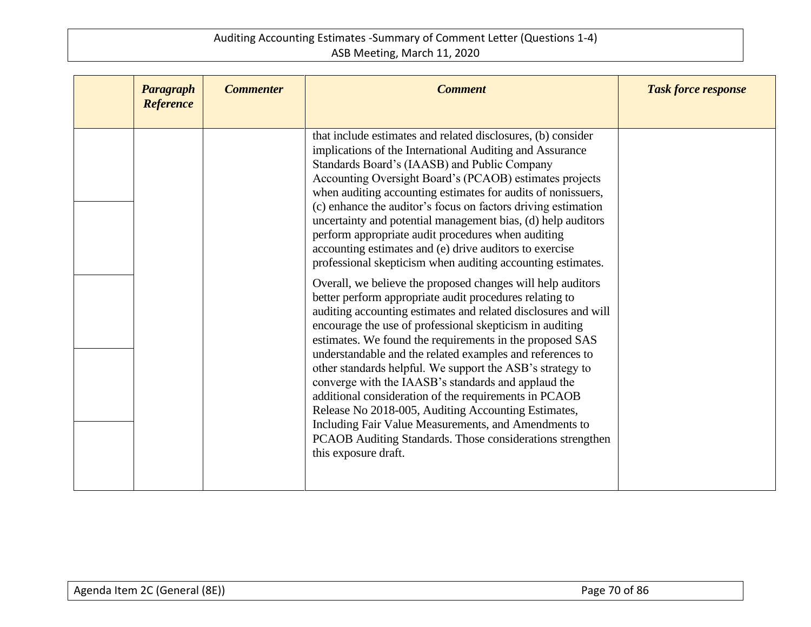| <b>Paragraph</b><br><b>Reference</b> | <b>Commenter</b> | <b>Comment</b>                                                                                                                                                                                                                                                                                                                                                                                                                                                                                                                                                                                                                                                                                                                                                 | <b>Task force response</b> |
|--------------------------------------|------------------|----------------------------------------------------------------------------------------------------------------------------------------------------------------------------------------------------------------------------------------------------------------------------------------------------------------------------------------------------------------------------------------------------------------------------------------------------------------------------------------------------------------------------------------------------------------------------------------------------------------------------------------------------------------------------------------------------------------------------------------------------------------|----------------------------|
|                                      |                  | that include estimates and related disclosures, (b) consider<br>implications of the International Auditing and Assurance<br>Standards Board's (IAASB) and Public Company<br>Accounting Oversight Board's (PCAOB) estimates projects<br>when auditing accounting estimates for audits of nonissuers,<br>(c) enhance the auditor's focus on factors driving estimation<br>uncertainty and potential management bias, (d) help auditors<br>perform appropriate audit procedures when auditing<br>accounting estimates and (e) drive auditors to exercise<br>professional skepticism when auditing accounting estimates.                                                                                                                                           |                            |
|                                      |                  | Overall, we believe the proposed changes will help auditors<br>better perform appropriate audit procedures relating to<br>auditing accounting estimates and related disclosures and will<br>encourage the use of professional skepticism in auditing<br>estimates. We found the requirements in the proposed SAS<br>understandable and the related examples and references to<br>other standards helpful. We support the ASB's strategy to<br>converge with the IAASB's standards and applaud the<br>additional consideration of the requirements in PCAOB<br>Release No 2018-005, Auditing Accounting Estimates,<br>Including Fair Value Measurements, and Amendments to<br>PCAOB Auditing Standards. Those considerations strengthen<br>this exposure draft. |                            |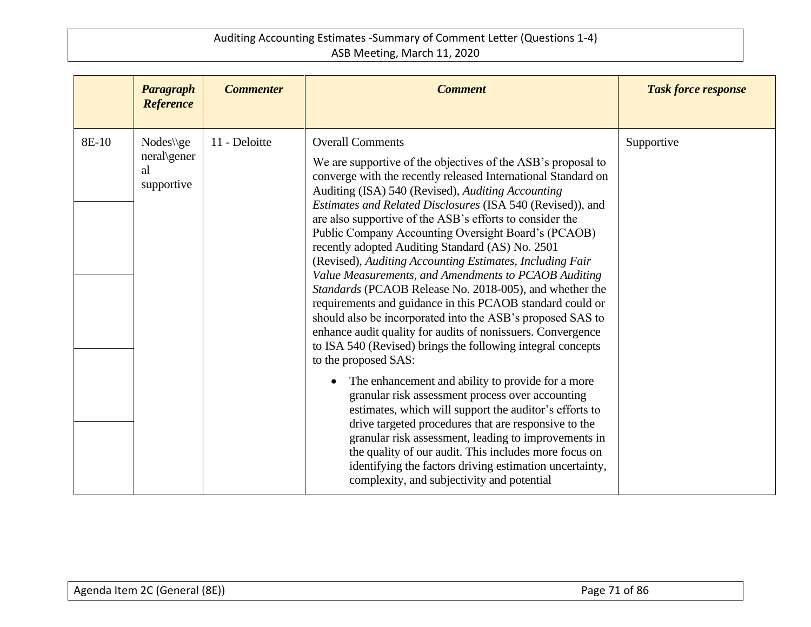|       | Paragraph<br><b>Reference</b>                                                 | <b>Commenter</b> | <b>Comment</b>                                                                                                                                                                                                                                                                                                                                                                                                                                                                                                                                                                                                                                                                                                                                                                                                                                                                                                                                                                                                                                                                                                                                                                                                                                                 | <b>Task force response</b> |
|-------|-------------------------------------------------------------------------------|------------------|----------------------------------------------------------------------------------------------------------------------------------------------------------------------------------------------------------------------------------------------------------------------------------------------------------------------------------------------------------------------------------------------------------------------------------------------------------------------------------------------------------------------------------------------------------------------------------------------------------------------------------------------------------------------------------------------------------------------------------------------------------------------------------------------------------------------------------------------------------------------------------------------------------------------------------------------------------------------------------------------------------------------------------------------------------------------------------------------------------------------------------------------------------------------------------------------------------------------------------------------------------------|----------------------------|
| 8E-10 | $Nodes\left\langle \text{ge}\right\rangle$<br>neral\gener<br>al<br>supportive | 11 - Deloitte    | <b>Overall Comments</b><br>We are supportive of the objectives of the ASB's proposal to<br>converge with the recently released International Standard on<br>Auditing (ISA) 540 (Revised), Auditing Accounting<br>Estimates and Related Disclosures (ISA 540 (Revised)), and<br>are also supportive of the ASB's efforts to consider the<br>Public Company Accounting Oversight Board's (PCAOB)<br>recently adopted Auditing Standard (AS) No. 2501<br>(Revised), Auditing Accounting Estimates, Including Fair<br>Value Measurements, and Amendments to PCAOB Auditing<br>Standards (PCAOB Release No. 2018-005), and whether the<br>requirements and guidance in this PCAOB standard could or<br>should also be incorporated into the ASB's proposed SAS to<br>enhance audit quality for audits of nonissuers. Convergence<br>to ISA 540 (Revised) brings the following integral concepts<br>to the proposed SAS:<br>The enhancement and ability to provide for a more<br>granular risk assessment process over accounting<br>estimates, which will support the auditor's efforts to<br>drive targeted procedures that are responsive to the<br>granular risk assessment, leading to improvements in<br>the quality of our audit. This includes more focus on | Supportive                 |
|       |                                                                               |                  | identifying the factors driving estimation uncertainty,<br>complexity, and subjectivity and potential                                                                                                                                                                                                                                                                                                                                                                                                                                                                                                                                                                                                                                                                                                                                                                                                                                                                                                                                                                                                                                                                                                                                                          |                            |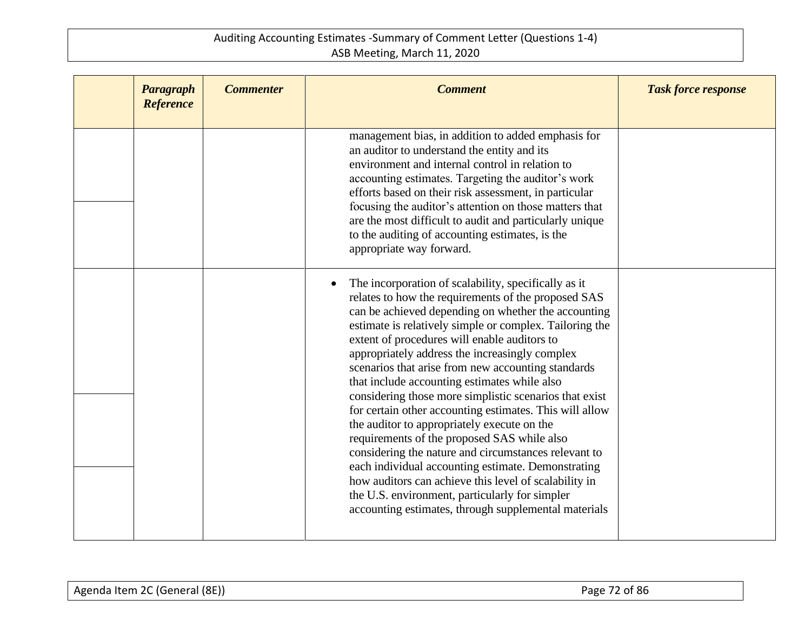| Paragraph<br><b>Reference</b> | <b>Commenter</b> | <b>Comment</b>                                                                                                                                                                                                                                                                                                                                                                                                                                                                                                                                                                                                                                                                                                                                                                                                                                                                                                                            | <b>Task force response</b> |
|-------------------------------|------------------|-------------------------------------------------------------------------------------------------------------------------------------------------------------------------------------------------------------------------------------------------------------------------------------------------------------------------------------------------------------------------------------------------------------------------------------------------------------------------------------------------------------------------------------------------------------------------------------------------------------------------------------------------------------------------------------------------------------------------------------------------------------------------------------------------------------------------------------------------------------------------------------------------------------------------------------------|----------------------------|
|                               |                  | management bias, in addition to added emphasis for<br>an auditor to understand the entity and its<br>environment and internal control in relation to<br>accounting estimates. Targeting the auditor's work<br>efforts based on their risk assessment, in particular<br>focusing the auditor's attention on those matters that<br>are the most difficult to audit and particularly unique<br>to the auditing of accounting estimates, is the<br>appropriate way forward.                                                                                                                                                                                                                                                                                                                                                                                                                                                                   |                            |
|                               |                  | The incorporation of scalability, specifically as it<br>relates to how the requirements of the proposed SAS<br>can be achieved depending on whether the accounting<br>estimate is relatively simple or complex. Tailoring the<br>extent of procedures will enable auditors to<br>appropriately address the increasingly complex<br>scenarios that arise from new accounting standards<br>that include accounting estimates while also<br>considering those more simplistic scenarios that exist<br>for certain other accounting estimates. This will allow<br>the auditor to appropriately execute on the<br>requirements of the proposed SAS while also<br>considering the nature and circumstances relevant to<br>each individual accounting estimate. Demonstrating<br>how auditors can achieve this level of scalability in<br>the U.S. environment, particularly for simpler<br>accounting estimates, through supplemental materials |                            |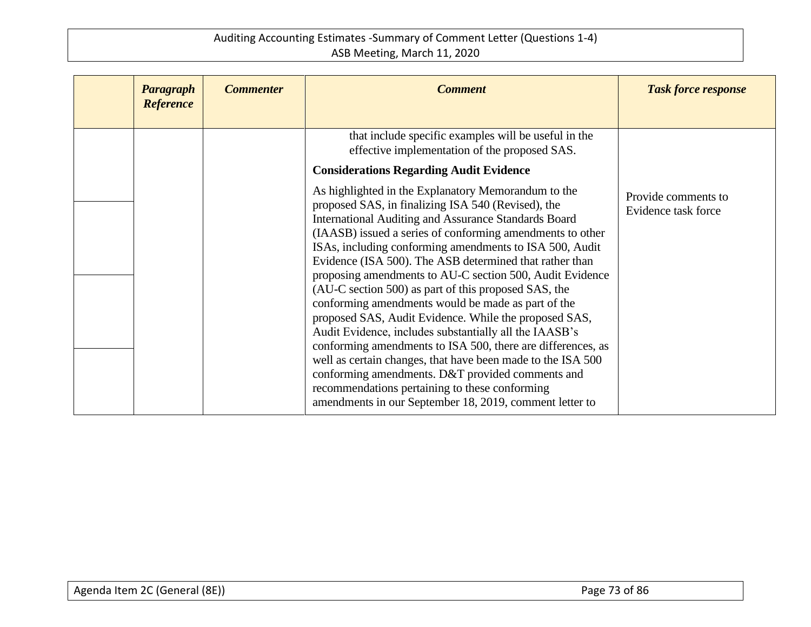| Paragraph<br><b>Reference</b> | <b>Commenter</b> | <b>Comment</b>                                                                                                                                                                                                                                                                                                                                                                                                                                                                                                                                                                                                                                                                                                                                                                                                                                                                                                                                                                                                                                                                                              | <b>Task force response</b>                 |
|-------------------------------|------------------|-------------------------------------------------------------------------------------------------------------------------------------------------------------------------------------------------------------------------------------------------------------------------------------------------------------------------------------------------------------------------------------------------------------------------------------------------------------------------------------------------------------------------------------------------------------------------------------------------------------------------------------------------------------------------------------------------------------------------------------------------------------------------------------------------------------------------------------------------------------------------------------------------------------------------------------------------------------------------------------------------------------------------------------------------------------------------------------------------------------|--------------------------------------------|
|                               |                  | that include specific examples will be useful in the<br>effective implementation of the proposed SAS.<br><b>Considerations Regarding Audit Evidence</b><br>As highlighted in the Explanatory Memorandum to the<br>proposed SAS, in finalizing ISA 540 (Revised), the<br>International Auditing and Assurance Standards Board<br>(IAASB) issued a series of conforming amendments to other<br>ISAs, including conforming amendments to ISA 500, Audit<br>Evidence (ISA 500). The ASB determined that rather than<br>proposing amendments to AU-C section 500, Audit Evidence<br>(AU-C section 500) as part of this proposed SAS, the<br>conforming amendments would be made as part of the<br>proposed SAS, Audit Evidence. While the proposed SAS,<br>Audit Evidence, includes substantially all the IAASB's<br>conforming amendments to ISA 500, there are differences, as<br>well as certain changes, that have been made to the ISA 500<br>conforming amendments. D&T provided comments and<br>recommendations pertaining to these conforming<br>amendments in our September 18, 2019, comment letter to | Provide comments to<br>Evidence task force |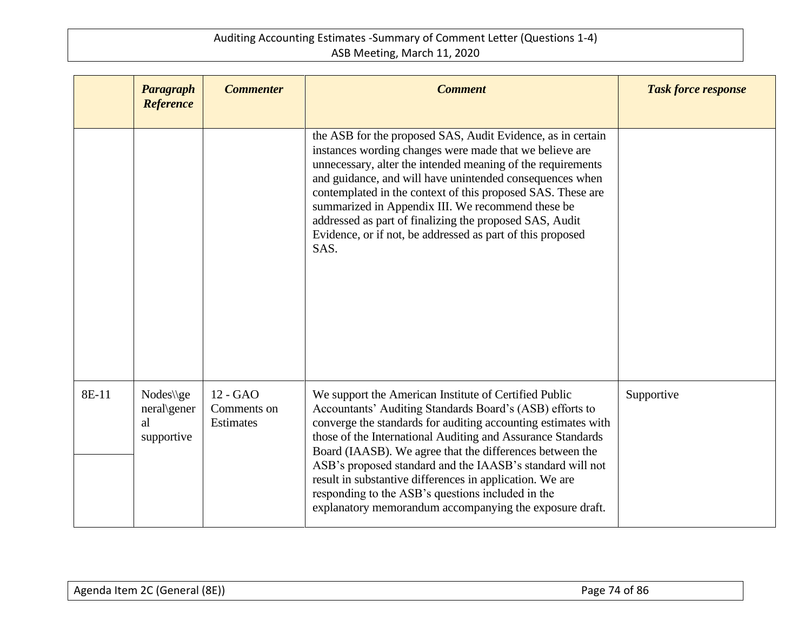|       | <b>Paragraph</b><br>Reference                | <b>Commenter</b>                     | <b>Comment</b>                                                                                                                                                                                                                                                                                                                                                                                                                                                                                                                                         | <b>Task force response</b> |
|-------|----------------------------------------------|--------------------------------------|--------------------------------------------------------------------------------------------------------------------------------------------------------------------------------------------------------------------------------------------------------------------------------------------------------------------------------------------------------------------------------------------------------------------------------------------------------------------------------------------------------------------------------------------------------|----------------------------|
|       |                                              |                                      | the ASB for the proposed SAS, Audit Evidence, as in certain<br>instances wording changes were made that we believe are<br>unnecessary, alter the intended meaning of the requirements<br>and guidance, and will have unintended consequences when<br>contemplated in the context of this proposed SAS. These are<br>summarized in Appendix III. We recommend these be<br>addressed as part of finalizing the proposed SAS, Audit<br>Evidence, or if not, be addressed as part of this proposed<br>SAS.                                                 |                            |
| 8E-11 | $Nodes\q$<br>neral\gener<br>al<br>supportive | 12 - GAO<br>Comments on<br>Estimates | We support the American Institute of Certified Public<br>Accountants' Auditing Standards Board's (ASB) efforts to<br>converge the standards for auditing accounting estimates with<br>those of the International Auditing and Assurance Standards<br>Board (IAASB). We agree that the differences between the<br>ASB's proposed standard and the IAASB's standard will not<br>result in substantive differences in application. We are<br>responding to the ASB's questions included in the<br>explanatory memorandum accompanying the exposure draft. | Supportive                 |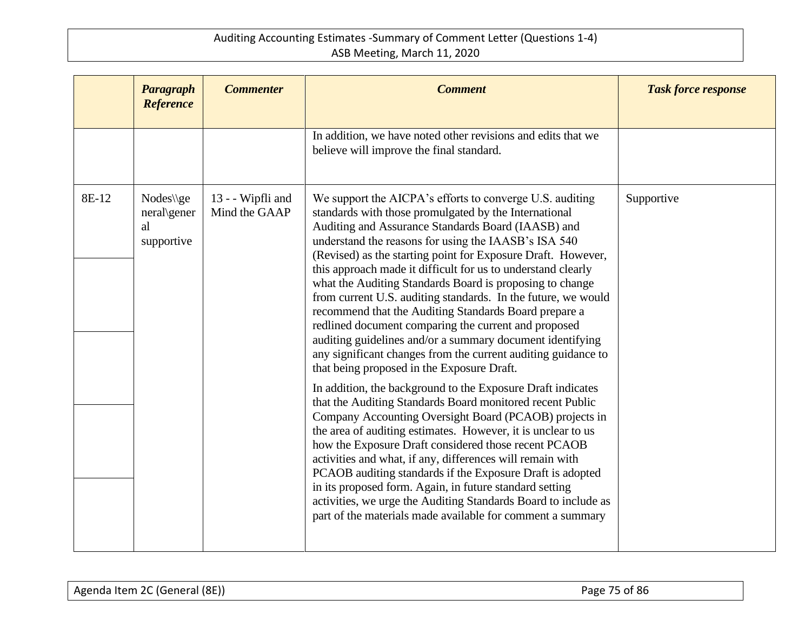|       | <b>Paragraph</b><br>Reference                | <b>Commenter</b>                   | <b>Comment</b>                                                                                                                                                                                                                                                                                                                                                                                                                                                                                                                                                                                                                                                                                                                                                                            | <b>Task force response</b> |
|-------|----------------------------------------------|------------------------------------|-------------------------------------------------------------------------------------------------------------------------------------------------------------------------------------------------------------------------------------------------------------------------------------------------------------------------------------------------------------------------------------------------------------------------------------------------------------------------------------------------------------------------------------------------------------------------------------------------------------------------------------------------------------------------------------------------------------------------------------------------------------------------------------------|----------------------------|
|       |                                              |                                    | In addition, we have noted other revisions and edits that we<br>believe will improve the final standard.                                                                                                                                                                                                                                                                                                                                                                                                                                                                                                                                                                                                                                                                                  |                            |
| 8E-12 | Nodes\\ge<br>neral\gener<br>al<br>supportive | 13 - - Wipfli and<br>Mind the GAAP | We support the AICPA's efforts to converge U.S. auditing<br>standards with those promulgated by the International<br>Auditing and Assurance Standards Board (IAASB) and<br>understand the reasons for using the IAASB's ISA 540<br>(Revised) as the starting point for Exposure Draft. However,<br>this approach made it difficult for us to understand clearly<br>what the Auditing Standards Board is proposing to change<br>from current U.S. auditing standards. In the future, we would<br>recommend that the Auditing Standards Board prepare a<br>redlined document comparing the current and proposed<br>auditing guidelines and/or a summary document identifying<br>any significant changes from the current auditing guidance to<br>that being proposed in the Exposure Draft. | Supportive                 |
|       |                                              |                                    | In addition, the background to the Exposure Draft indicates<br>that the Auditing Standards Board monitored recent Public<br>Company Accounting Oversight Board (PCAOB) projects in<br>the area of auditing estimates. However, it is unclear to us<br>how the Exposure Draft considered those recent PCAOB<br>activities and what, if any, differences will remain with<br>PCAOB auditing standards if the Exposure Draft is adopted<br>in its proposed form. Again, in future standard setting<br>activities, we urge the Auditing Standards Board to include as<br>part of the materials made available for comment a summary                                                                                                                                                           |                            |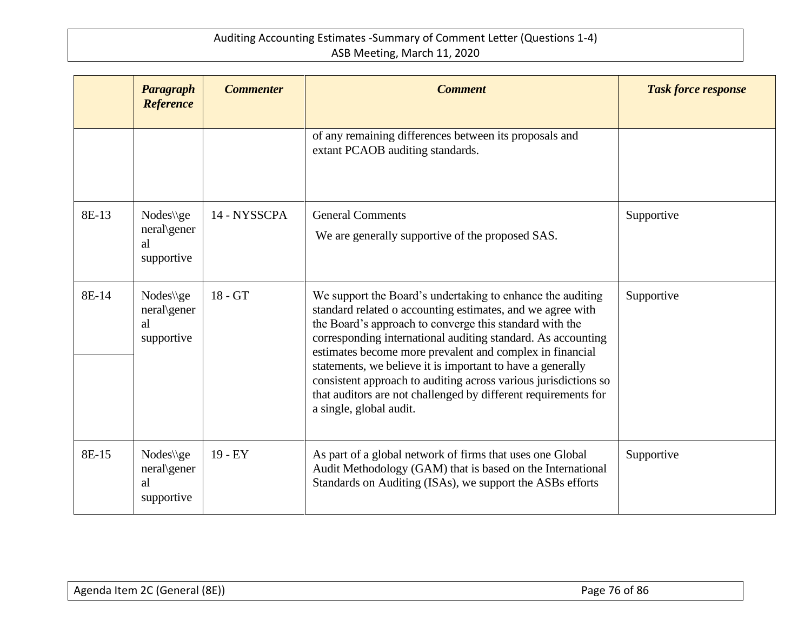|       | <b>Paragraph</b><br><b>Reference</b>         | <b>Commenter</b> | <b>Comment</b>                                                                                                                                                                                                                                                                                                                                                                                                                                                                                                                                | <b>Task force response</b> |
|-------|----------------------------------------------|------------------|-----------------------------------------------------------------------------------------------------------------------------------------------------------------------------------------------------------------------------------------------------------------------------------------------------------------------------------------------------------------------------------------------------------------------------------------------------------------------------------------------------------------------------------------------|----------------------------|
|       |                                              |                  | of any remaining differences between its proposals and<br>extant PCAOB auditing standards.                                                                                                                                                                                                                                                                                                                                                                                                                                                    |                            |
| 8E-13 | Nodes\\ge<br>neral\gener<br>al<br>supportive | 14 - NYSSCPA     | <b>General Comments</b><br>We are generally supportive of the proposed SAS.                                                                                                                                                                                                                                                                                                                                                                                                                                                                   | Supportive                 |
| 8E-14 | Nodes\\ge<br>neral\gener<br>al<br>supportive | $18 - GT$        | We support the Board's undertaking to enhance the auditing<br>standard related o accounting estimates, and we agree with<br>the Board's approach to converge this standard with the<br>corresponding international auditing standard. As accounting<br>estimates become more prevalent and complex in financial<br>statements, we believe it is important to have a generally<br>consistent approach to auditing across various jurisdictions so<br>that auditors are not challenged by different requirements for<br>a single, global audit. | Supportive                 |
| 8E-15 | $Nodes\q$<br>neral\gener<br>al<br>supportive | $19 - EY$        | As part of a global network of firms that uses one Global<br>Audit Methodology (GAM) that is based on the International<br>Standards on Auditing (ISAs), we support the ASBs efforts                                                                                                                                                                                                                                                                                                                                                          | Supportive                 |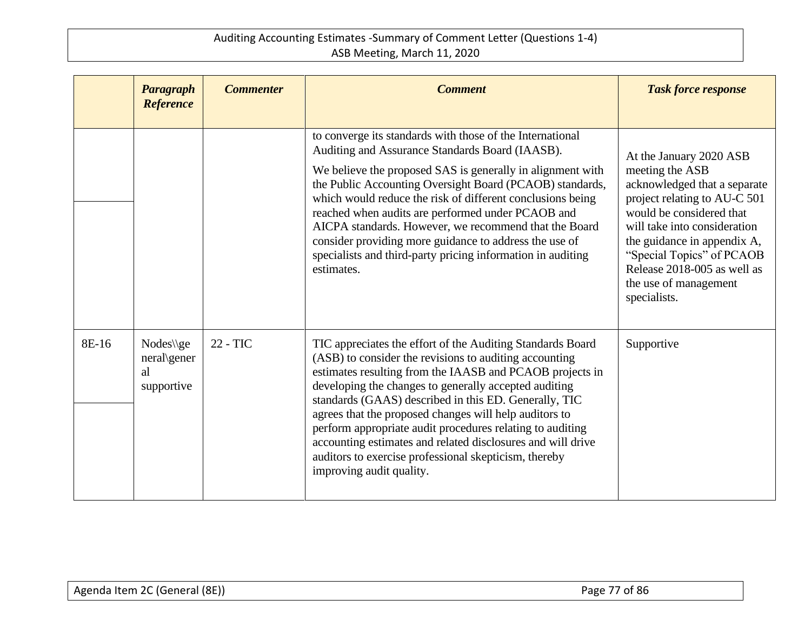|       | Paragraph<br><b>Reference</b>                | <b>Commenter</b> | <b>Comment</b>                                                                                                                                                                                                                                                                                                                                                                                                                                                                                                                                                                | <b>Task force response</b>                                                                                                                                                                                                                                                                                 |
|-------|----------------------------------------------|------------------|-------------------------------------------------------------------------------------------------------------------------------------------------------------------------------------------------------------------------------------------------------------------------------------------------------------------------------------------------------------------------------------------------------------------------------------------------------------------------------------------------------------------------------------------------------------------------------|------------------------------------------------------------------------------------------------------------------------------------------------------------------------------------------------------------------------------------------------------------------------------------------------------------|
|       |                                              |                  | to converge its standards with those of the International<br>Auditing and Assurance Standards Board (IAASB).<br>We believe the proposed SAS is generally in alignment with<br>the Public Accounting Oversight Board (PCAOB) standards,<br>which would reduce the risk of different conclusions being<br>reached when audits are performed under PCAOB and<br>AICPA standards. However, we recommend that the Board<br>consider providing more guidance to address the use of<br>specialists and third-party pricing information in auditing<br>estimates.                     | At the January 2020 ASB<br>meeting the ASB<br>acknowledged that a separate<br>project relating to AU-C 501<br>would be considered that<br>will take into consideration<br>the guidance in appendix A,<br>"Special Topics" of PCAOB<br>Release 2018-005 as well as<br>the use of management<br>specialists. |
| 8E-16 | $Nodes\q$<br>neral\gener<br>al<br>supportive | 22 - TIC         | TIC appreciates the effort of the Auditing Standards Board<br>(ASB) to consider the revisions to auditing accounting<br>estimates resulting from the IAASB and PCAOB projects in<br>developing the changes to generally accepted auditing<br>standards (GAAS) described in this ED. Generally, TIC<br>agrees that the proposed changes will help auditors to<br>perform appropriate audit procedures relating to auditing<br>accounting estimates and related disclosures and will drive<br>auditors to exercise professional skepticism, thereby<br>improving audit quality. | Supportive                                                                                                                                                                                                                                                                                                 |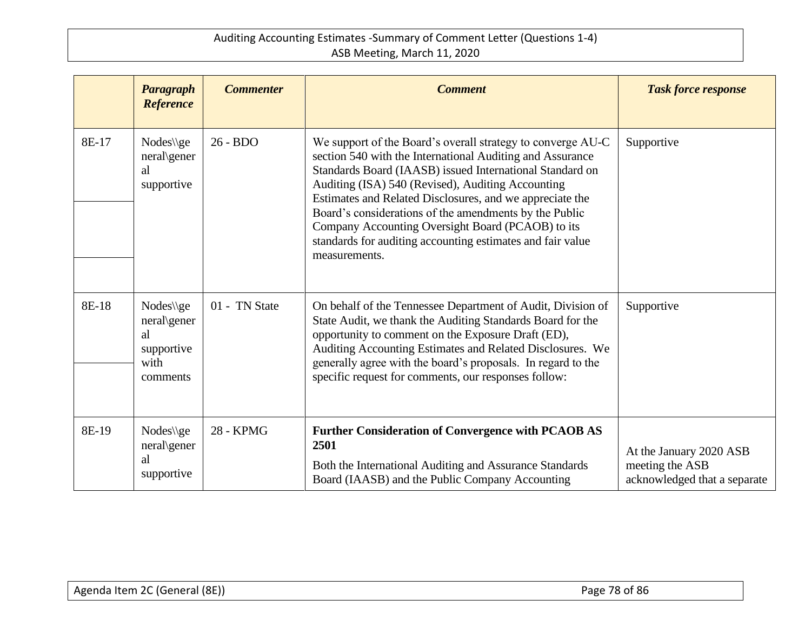|       | <b>Paragraph</b><br><b>Reference</b>                             | <b>Commenter</b> | <b>Comment</b>                                                                                                                                                                                                                                                                                                                                                                                                                                                                                      | <b>Task force response</b>                                                 |
|-------|------------------------------------------------------------------|------------------|-----------------------------------------------------------------------------------------------------------------------------------------------------------------------------------------------------------------------------------------------------------------------------------------------------------------------------------------------------------------------------------------------------------------------------------------------------------------------------------------------------|----------------------------------------------------------------------------|
| 8E-17 | Nodes\\ge<br>neral\gener<br>al<br>supportive                     | 26 - BDO         | We support of the Board's overall strategy to converge AU-C<br>section 540 with the International Auditing and Assurance<br>Standards Board (IAASB) issued International Standard on<br>Auditing (ISA) 540 (Revised), Auditing Accounting<br>Estimates and Related Disclosures, and we appreciate the<br>Board's considerations of the amendments by the Public<br>Company Accounting Oversight Board (PCAOB) to its<br>standards for auditing accounting estimates and fair value<br>measurements. | Supportive                                                                 |
| 8E-18 | Nodes\\ge<br>neral\gener<br>al<br>supportive<br>with<br>comments | 01 - TN State    | On behalf of the Tennessee Department of Audit, Division of<br>State Audit, we thank the Auditing Standards Board for the<br>opportunity to comment on the Exposure Draft (ED),<br>Auditing Accounting Estimates and Related Disclosures. We<br>generally agree with the board's proposals. In regard to the<br>specific request for comments, our responses follow:                                                                                                                                | Supportive                                                                 |
| 8E-19 | Nodes\\ge<br>neral\gener<br>al<br>supportive                     | <b>28 - KPMG</b> | <b>Further Consideration of Convergence with PCAOB AS</b><br>2501<br>Both the International Auditing and Assurance Standards<br>Board (IAASB) and the Public Company Accounting                                                                                                                                                                                                                                                                                                                     | At the January 2020 ASB<br>meeting the ASB<br>acknowledged that a separate |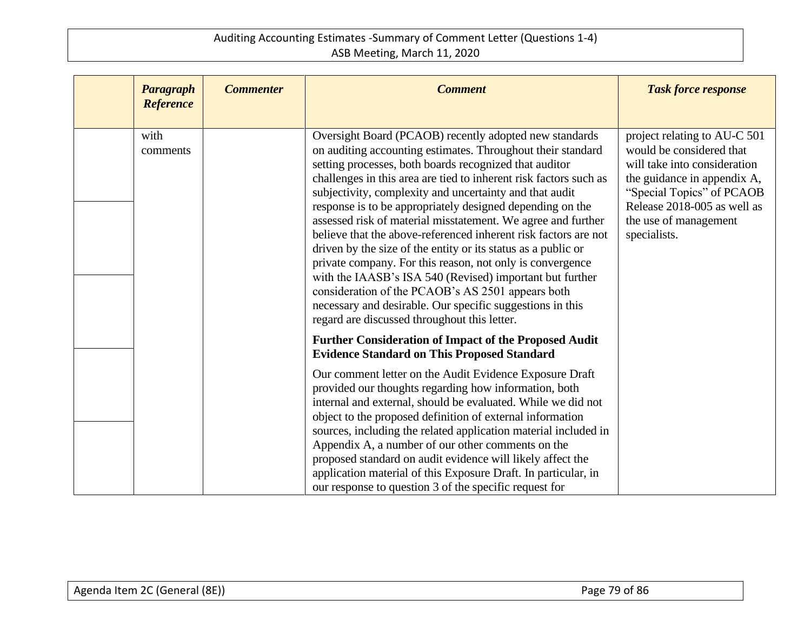| Paragraph<br><b>Reference</b> | <b>Commenter</b> | <b>Comment</b>                                                                                                                                                                                                                                                                                                                                                                                                                                                                                                                                                                                                                                                                                                                                                                                                                                                              | <b>Task force response</b>                                                                                                                                                                                                   |
|-------------------------------|------------------|-----------------------------------------------------------------------------------------------------------------------------------------------------------------------------------------------------------------------------------------------------------------------------------------------------------------------------------------------------------------------------------------------------------------------------------------------------------------------------------------------------------------------------------------------------------------------------------------------------------------------------------------------------------------------------------------------------------------------------------------------------------------------------------------------------------------------------------------------------------------------------|------------------------------------------------------------------------------------------------------------------------------------------------------------------------------------------------------------------------------|
| with<br>comments              |                  | Oversight Board (PCAOB) recently adopted new standards<br>on auditing accounting estimates. Throughout their standard<br>setting processes, both boards recognized that auditor<br>challenges in this area are tied to inherent risk factors such as<br>subjectivity, complexity and uncertainty and that audit<br>response is to be appropriately designed depending on the<br>assessed risk of material misstatement. We agree and further<br>believe that the above-referenced inherent risk factors are not<br>driven by the size of the entity or its status as a public or<br>private company. For this reason, not only is convergence<br>with the IAASB's ISA 540 (Revised) important but further<br>consideration of the PCAOB's AS 2501 appears both<br>necessary and desirable. Our specific suggestions in this<br>regard are discussed throughout this letter. | project relating to AU-C 501<br>would be considered that<br>will take into consideration<br>the guidance in appendix A,<br>"Special Topics" of PCAOB<br>Release 2018-005 as well as<br>the use of management<br>specialists. |
|                               |                  | <b>Further Consideration of Impact of the Proposed Audit</b><br><b>Evidence Standard on This Proposed Standard</b>                                                                                                                                                                                                                                                                                                                                                                                                                                                                                                                                                                                                                                                                                                                                                          |                                                                                                                                                                                                                              |
|                               |                  | Our comment letter on the Audit Evidence Exposure Draft<br>provided our thoughts regarding how information, both<br>internal and external, should be evaluated. While we did not<br>object to the proposed definition of external information<br>sources, including the related application material included in<br>Appendix A, a number of our other comments on the<br>proposed standard on audit evidence will likely affect the<br>application material of this Exposure Draft. In particular, in<br>our response to question 3 of the specific request for                                                                                                                                                                                                                                                                                                             |                                                                                                                                                                                                                              |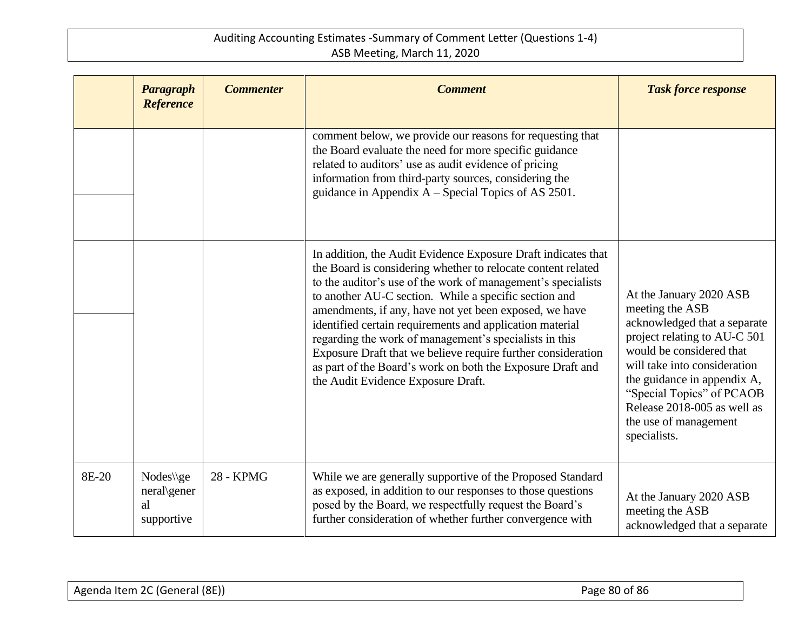|       | <b>Paragraph</b><br><b>Reference</b>         | <b>Commenter</b> | <b>Comment</b>                                                                                                                                                                                                                                                                                                                                                                                                                                                                                                                                                                                             | <b>Task force response</b>                                                                                                                                                                                                                                                                                 |
|-------|----------------------------------------------|------------------|------------------------------------------------------------------------------------------------------------------------------------------------------------------------------------------------------------------------------------------------------------------------------------------------------------------------------------------------------------------------------------------------------------------------------------------------------------------------------------------------------------------------------------------------------------------------------------------------------------|------------------------------------------------------------------------------------------------------------------------------------------------------------------------------------------------------------------------------------------------------------------------------------------------------------|
|       |                                              |                  | comment below, we provide our reasons for requesting that<br>the Board evaluate the need for more specific guidance<br>related to auditors' use as audit evidence of pricing<br>information from third-party sources, considering the<br>guidance in Appendix $A - Special$ Topics of AS 2501.                                                                                                                                                                                                                                                                                                             |                                                                                                                                                                                                                                                                                                            |
|       |                                              |                  | In addition, the Audit Evidence Exposure Draft indicates that<br>the Board is considering whether to relocate content related<br>to the auditor's use of the work of management's specialists<br>to another AU-C section. While a specific section and<br>amendments, if any, have not yet been exposed, we have<br>identified certain requirements and application material<br>regarding the work of management's specialists in this<br>Exposure Draft that we believe require further consideration<br>as part of the Board's work on both the Exposure Draft and<br>the Audit Evidence Exposure Draft. | At the January 2020 ASB<br>meeting the ASB<br>acknowledged that a separate<br>project relating to AU-C 501<br>would be considered that<br>will take into consideration<br>the guidance in appendix A,<br>"Special Topics" of PCAOB<br>Release 2018-005 as well as<br>the use of management<br>specialists. |
| 8E-20 | Nodes\\ge<br>neral\gener<br>al<br>supportive | 28 - KPMG        | While we are generally supportive of the Proposed Standard<br>as exposed, in addition to our responses to those questions<br>posed by the Board, we respectfully request the Board's<br>further consideration of whether further convergence with                                                                                                                                                                                                                                                                                                                                                          | At the January 2020 ASB<br>meeting the ASB<br>acknowledged that a separate                                                                                                                                                                                                                                 |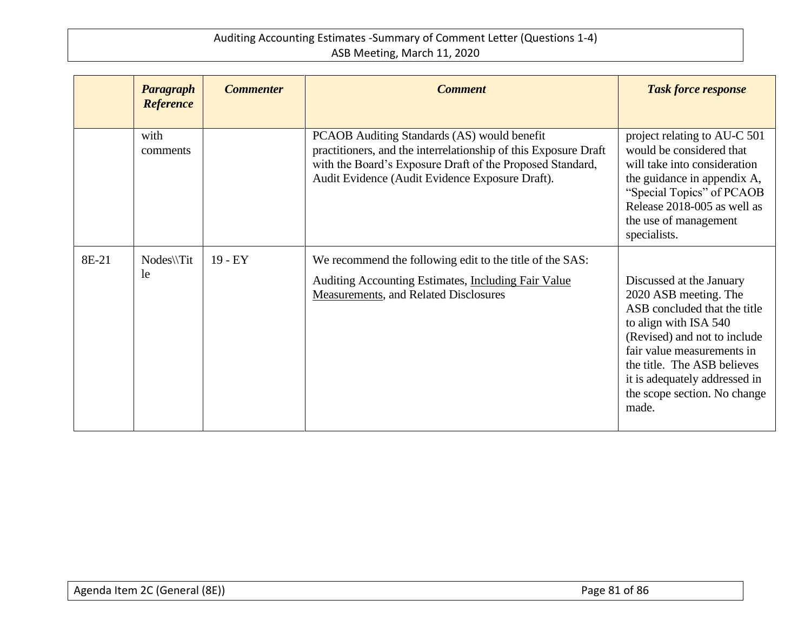|       | Paragraph<br><b>Reference</b> | <b>Commenter</b> | <b>Comment</b>                                                                                                                                                                                                                 | <b>Task force response</b>                                                                                                                                                                                                                                                        |
|-------|-------------------------------|------------------|--------------------------------------------------------------------------------------------------------------------------------------------------------------------------------------------------------------------------------|-----------------------------------------------------------------------------------------------------------------------------------------------------------------------------------------------------------------------------------------------------------------------------------|
|       | with<br>comments              |                  | PCAOB Auditing Standards (AS) would benefit<br>practitioners, and the interrelationship of this Exposure Draft<br>with the Board's Exposure Draft of the Proposed Standard,<br>Audit Evidence (Audit Evidence Exposure Draft). | project relating to AU-C 501<br>would be considered that<br>will take into consideration<br>the guidance in appendix A,<br>"Special Topics" of PCAOB<br>Release 2018-005 as well as<br>the use of management<br>specialists.                                                      |
| 8E-21 | Nodes\\Tit<br>le              | $19 - EY$        | We recommend the following edit to the title of the SAS:<br>Auditing Accounting Estimates, <i>Including Fair Value</i><br>Measurements, and Related Disclosures                                                                | Discussed at the January<br>2020 ASB meeting. The<br>ASB concluded that the title<br>to align with ISA 540<br>(Revised) and not to include<br>fair value measurements in<br>the title. The ASB believes<br>it is adequately addressed in<br>the scope section. No change<br>made. |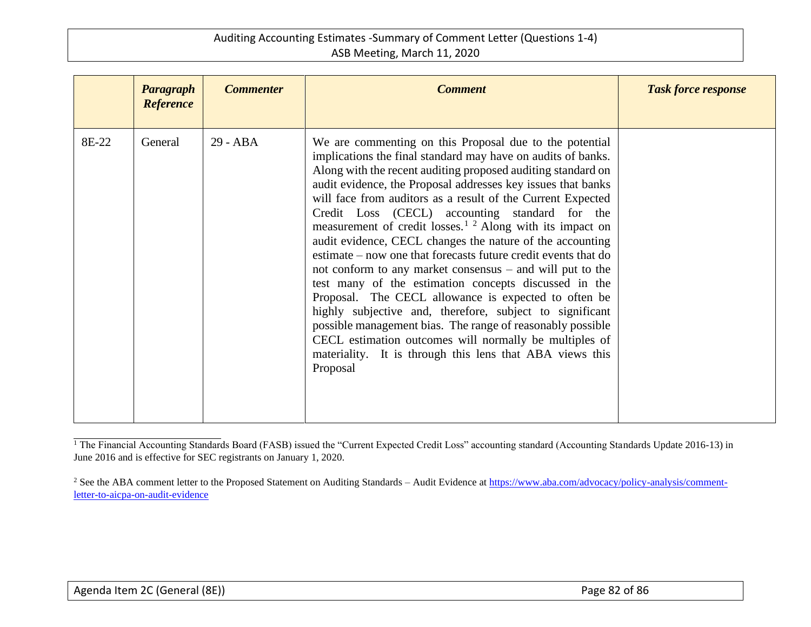|       | <b>Paragraph</b><br><b>Reference</b> | <b>Commenter</b> | <b>Comment</b>                                                                                                                                                                                                                                                                                                                                                                                                                                                                                                                                                                                                                                                                                                                                                                                                                                                                                                                                                                                                                 | <b>Task force response</b> |
|-------|--------------------------------------|------------------|--------------------------------------------------------------------------------------------------------------------------------------------------------------------------------------------------------------------------------------------------------------------------------------------------------------------------------------------------------------------------------------------------------------------------------------------------------------------------------------------------------------------------------------------------------------------------------------------------------------------------------------------------------------------------------------------------------------------------------------------------------------------------------------------------------------------------------------------------------------------------------------------------------------------------------------------------------------------------------------------------------------------------------|----------------------------|
| 8E-22 | General                              | 29 - ABA         | We are commenting on this Proposal due to the potential<br>implications the final standard may have on audits of banks.<br>Along with the recent auditing proposed auditing standard on<br>audit evidence, the Proposal addresses key issues that banks<br>will face from auditors as a result of the Current Expected<br>Credit Loss (CECL) accounting standard for the<br>measurement of credit losses. <sup>1</sup> $2$ Along with its impact on<br>audit evidence, CECL changes the nature of the accounting<br>estimate – now one that forecasts future credit events that do<br>not conform to any market consensus $-$ and will put to the<br>test many of the estimation concepts discussed in the<br>Proposal. The CECL allowance is expected to often be<br>highly subjective and, therefore, subject to significant<br>possible management bias. The range of reasonably possible<br>CECL estimation outcomes will normally be multiples of<br>materiality. It is through this lens that ABA views this<br>Proposal |                            |

<sup>&</sup>lt;sup>1</sup> The Financial Accounting Standards Board (FASB) issued the "Current Expected Credit Loss" accounting standard (Accounting Standards Update 2016-13) in June 2016 and is effective for SEC registrants on January 1, 2020.

<sup>&</sup>lt;sup>2</sup> See the ABA comment letter to the Proposed Statement on Auditing Standards – Audit Evidence a[t https://www.aba.com/advocacy/policy-analysis/comment](https://www.aba.com/advocacy/policy-analysis/comment-letter-to-aicpa-on-audit-evidence)[letter-to-aicpa-on-audit-evidence](https://www.aba.com/advocacy/policy-analysis/comment-letter-to-aicpa-on-audit-evidence)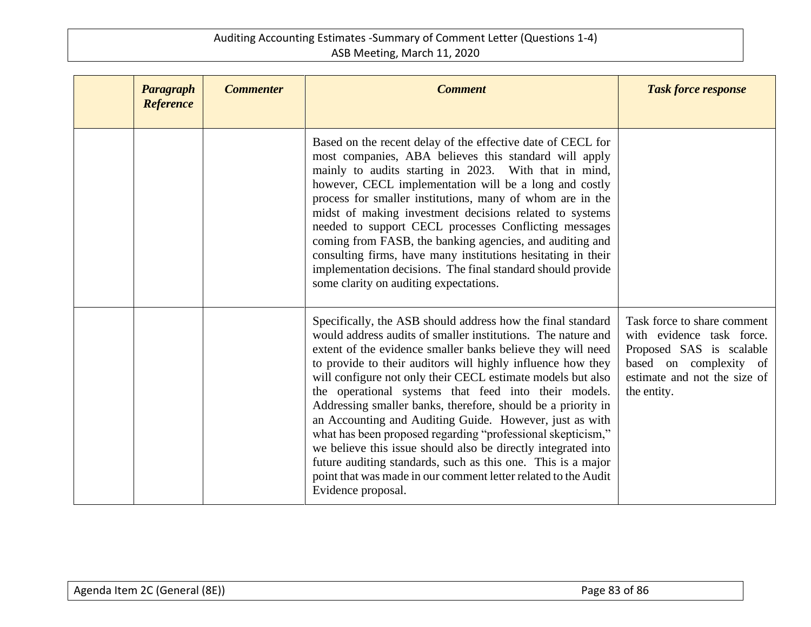| Paragraph<br><b>Reference</b> | <b>Commenter</b> | <b>Comment</b>                                                                                                                                                                                                                                                                                                                                                                                                                                                                                                                                                                                                                                                                                                                                                                                      | <b>Task force response</b>                                                                                                                                    |
|-------------------------------|------------------|-----------------------------------------------------------------------------------------------------------------------------------------------------------------------------------------------------------------------------------------------------------------------------------------------------------------------------------------------------------------------------------------------------------------------------------------------------------------------------------------------------------------------------------------------------------------------------------------------------------------------------------------------------------------------------------------------------------------------------------------------------------------------------------------------------|---------------------------------------------------------------------------------------------------------------------------------------------------------------|
|                               |                  | Based on the recent delay of the effective date of CECL for<br>most companies, ABA believes this standard will apply<br>mainly to audits starting in 2023. With that in mind,<br>however, CECL implementation will be a long and costly<br>process for smaller institutions, many of whom are in the<br>midst of making investment decisions related to systems<br>needed to support CECL processes Conflicting messages<br>coming from FASB, the banking agencies, and auditing and<br>consulting firms, have many institutions hesitating in their<br>implementation decisions. The final standard should provide<br>some clarity on auditing expectations.                                                                                                                                       |                                                                                                                                                               |
|                               |                  | Specifically, the ASB should address how the final standard<br>would address audits of smaller institutions. The nature and<br>extent of the evidence smaller banks believe they will need<br>to provide to their auditors will highly influence how they<br>will configure not only their CECL estimate models but also<br>the operational systems that feed into their models.<br>Addressing smaller banks, therefore, should be a priority in<br>an Accounting and Auditing Guide. However, just as with<br>what has been proposed regarding "professional skepticism,"<br>we believe this issue should also be directly integrated into<br>future auditing standards, such as this one. This is a major<br>point that was made in our comment letter related to the Audit<br>Evidence proposal. | Task force to share comment<br>with evidence task force.<br>Proposed SAS is scalable<br>based on complexity of<br>estimate and not the size of<br>the entity. |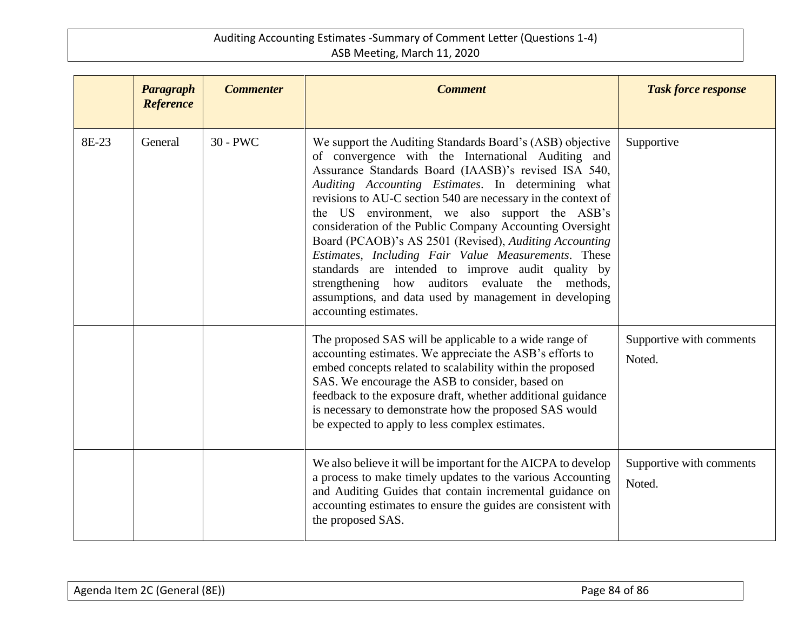|       | Paragraph<br><b>Reference</b> | <b>Commenter</b> | <b>Comment</b>                                                                                                                                                                                                                                                                                                                                                                                                                                                                                                                                                                                                                                                                                                            | <b>Task force response</b>         |
|-------|-------------------------------|------------------|---------------------------------------------------------------------------------------------------------------------------------------------------------------------------------------------------------------------------------------------------------------------------------------------------------------------------------------------------------------------------------------------------------------------------------------------------------------------------------------------------------------------------------------------------------------------------------------------------------------------------------------------------------------------------------------------------------------------------|------------------------------------|
| 8E-23 | General                       | $30 - PWC$       | We support the Auditing Standards Board's (ASB) objective<br>of convergence with the International Auditing and<br>Assurance Standards Board (IAASB)'s revised ISA 540,<br>Auditing Accounting Estimates. In determining what<br>revisions to AU-C section 540 are necessary in the context of<br>the US environment, we also support the ASB's<br>consideration of the Public Company Accounting Oversight<br>Board (PCAOB)'s AS 2501 (Revised), Auditing Accounting<br>Estimates, Including Fair Value Measurements. These<br>standards are intended to improve audit quality by<br>strengthening how auditors evaluate the methods,<br>assumptions, and data used by management in developing<br>accounting estimates. | Supportive                         |
|       |                               |                  | The proposed SAS will be applicable to a wide range of<br>accounting estimates. We appreciate the ASB's efforts to<br>embed concepts related to scalability within the proposed<br>SAS. We encourage the ASB to consider, based on<br>feedback to the exposure draft, whether additional guidance<br>is necessary to demonstrate how the proposed SAS would<br>be expected to apply to less complex estimates.                                                                                                                                                                                                                                                                                                            | Supportive with comments<br>Noted. |
|       |                               |                  | We also believe it will be important for the AICPA to develop<br>a process to make timely updates to the various Accounting<br>and Auditing Guides that contain incremental guidance on<br>accounting estimates to ensure the guides are consistent with<br>the proposed SAS.                                                                                                                                                                                                                                                                                                                                                                                                                                             | Supportive with comments<br>Noted. |